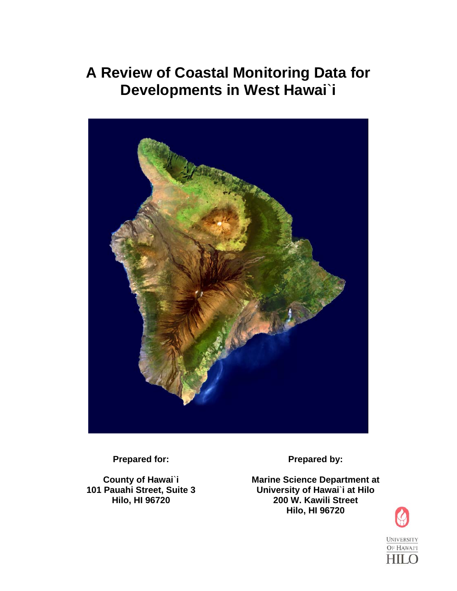# **A Review of Coastal Monitoring Data for Developments in West Hawai**`**i**



**Prepared for:** 

**County of Hawai**`**i 101 Pauahi Street, Suite 3 Hilo, HI 96720** 

**Prepared by:** 

**Marine Science Department at University of Hawai**`**i at Hilo 200 W. Kawili Street Hilo, HI 96720**

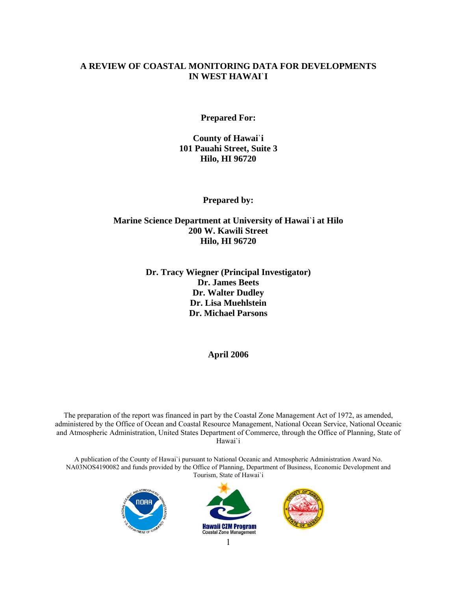# **A REVIEW OF COASTAL MONITORING DATA FOR DEVELOPMENTS IN WEST HAWAI**`**I**

**Prepared For:** 

**County of Hawai**`**i 101 Pauahi Street, Suite 3 Hilo, HI 96720** 

**Prepared by:** 

# **Marine Science Department at University of Hawai**`**i at Hilo 200 W. Kawili Street Hilo, HI 96720**

# **Dr. Tracy Wiegner (Principal Investigator) Dr. James Beets Dr. Walter Dudley Dr. Lisa Muehlstein Dr. Michael Parsons**

**April 2006** 

The preparation of the report was financed in part by the Coastal Zone Management Act of 1972, as amended, administered by the Office of Ocean and Coastal Resource Management, National Ocean Service, National Oceanic and Atmospheric Administration, United States Department of Commerce, through the Office of Planning, State of Hawai`i

A publication of the County of Hawai`i pursuant to National Oceanic and Atmospheric Administration Award No. NA03NOS4190082 and funds provided by the Office of Planning, Department of Business, Economic Development and Tourism, State of Hawai`i





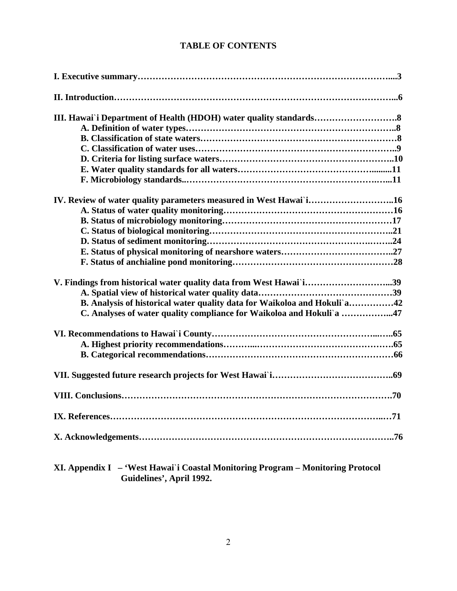# **TABLE OF CONTENTS**

| IV. Review of water quality parameters measured in West Hawai i16        |
|--------------------------------------------------------------------------|
|                                                                          |
|                                                                          |
|                                                                          |
|                                                                          |
|                                                                          |
|                                                                          |
| V. Findings from historical water quality data from West Hawai i39       |
|                                                                          |
| B. Analysis of historical water quality data for Waikoloa and Hokuli'a42 |
| C. Analyses of water quality compliance for Waikoloa and Hokuli'a 47     |
|                                                                          |
|                                                                          |
|                                                                          |
|                                                                          |
|                                                                          |
|                                                                          |
|                                                                          |
|                                                                          |

**XI. Appendix I – 'West Hawai**`**i Coastal Monitoring Program – Monitoring Protocol Guidelines', April 1992.**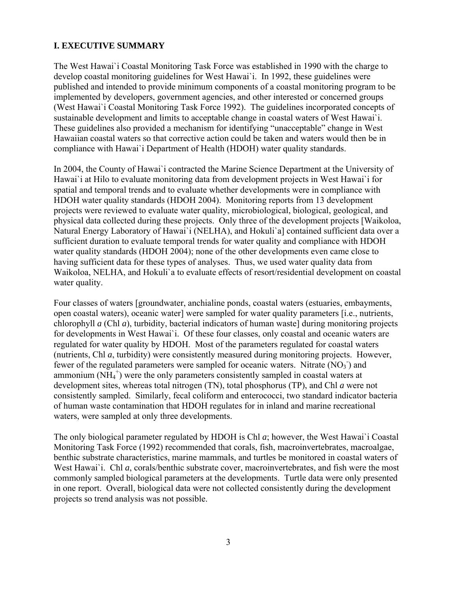# **I. EXECUTIVE SUMMARY**

The West Hawai`i Coastal Monitoring Task Force was established in 1990 with the charge to develop coastal monitoring guidelines for West Hawai`i. In 1992, these guidelines were published and intended to provide minimum components of a coastal monitoring program to be implemented by developers, government agencies, and other interested or concerned groups (West Hawai`i Coastal Monitoring Task Force 1992). The guidelines incorporated concepts of sustainable development and limits to acceptable change in coastal waters of West Hawai`i. These guidelines also provided a mechanism for identifying "unacceptable" change in West Hawaiian coastal waters so that corrective action could be taken and waters would then be in compliance with Hawai`i Department of Health (HDOH) water quality standards.

In 2004, the County of Hawai`i contracted the Marine Science Department at the University of Hawai`i at Hilo to evaluate monitoring data from development projects in West Hawai`i for spatial and temporal trends and to evaluate whether developments were in compliance with HDOH water quality standards (HDOH 2004). Monitoring reports from 13 development projects were reviewed to evaluate water quality, microbiological, biological, geological, and physical data collected during these projects. Only three of the development projects [Waikoloa, Natural Energy Laboratory of Hawai`i (NELHA), and Hokuli`a] contained sufficient data over a sufficient duration to evaluate temporal trends for water quality and compliance with HDOH water quality standards (HDOH 2004); none of the other developments even came close to having sufficient data for these types of analyses. Thus, we used water quality data from Waikoloa, NELHA, and Hokuli`a to evaluate effects of resort/residential development on coastal water quality.

Four classes of waters [groundwater, anchialine ponds, coastal waters (estuaries, embayments, open coastal waters), oceanic water] were sampled for water quality parameters [i.e., nutrients, chlorophyll *a* (Chl *a*), turbidity, bacterial indicators of human waste] during monitoring projects for developments in West Hawai`i. Of these four classes, only coastal and oceanic waters are regulated for water quality by HDOH. Most of the parameters regulated for coastal waters (nutrients, Chl *a*, turbidity) were consistently measured during monitoring projects. However, fewer of the regulated parameters were sampled for oceanic waters. Nitrate  $(NO<sub>3</sub>)$  and ammonium  $(NH_4^+)$  were the only parameters consistently sampled in coastal waters at development sites, whereas total nitrogen (TN), total phosphorus (TP), and Chl *a* were not consistently sampled. Similarly, fecal coliform and enterococci, two standard indicator bacteria of human waste contamination that HDOH regulates for in inland and marine recreational waters, were sampled at only three developments.

The only biological parameter regulated by HDOH is Chl *a*; however, the West Hawai`i Coastal Monitoring Task Force (1992) recommended that corals, fish, macroinvertebrates, macroalgae, benthic substrate characteristics, marine mammals, and turtles be monitored in coastal waters of West Hawai'i. Chl *a*, corals/benthic substrate cover, macroinvertebrates, and fish were the most commonly sampled biological parameters at the developments. Turtle data were only presented in one report. Overall, biological data were not collected consistently during the development projects so trend analysis was not possible.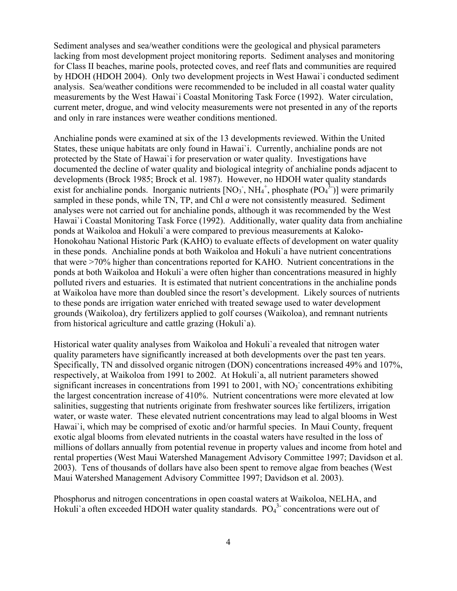Sediment analyses and sea/weather conditions were the geological and physical parameters lacking from most development project monitoring reports. Sediment analyses and monitoring for Class II beaches, marine pools, protected coves, and reef flats and communities are required by HDOH (HDOH 2004). Only two development projects in West Hawai`i conducted sediment analysis. Sea/weather conditions were recommended to be included in all coastal water quality measurements by the West Hawai`i Coastal Monitoring Task Force (1992). Water circulation, current meter, drogue, and wind velocity measurements were not presented in any of the reports and only in rare instances were weather conditions mentioned.

Anchialine ponds were examined at six of the 13 developments reviewed. Within the United States, these unique habitats are only found in Hawai`i. Currently, anchialine ponds are not protected by the State of Hawai`i for preservation or water quality. Investigations have documented the decline of water quality and biological integrity of anchialine ponds adjacent to developments (Brock 1985; Brock et al. 1987). However, no HDOH water quality standards exist for anchialine ponds. Inorganic nutrients  $[NO<sub>3</sub>$ ,  $NH<sub>4</sub><sup>+</sup>$ , phosphate  $[PO<sub>4</sub><sup>3</sup>$ -)] were primarily sampled in these ponds, while TN, TP, and Chl *a* were not consistently measured. Sediment analyses were not carried out for anchialine ponds, although it was recommended by the West Hawai`i Coastal Monitoring Task Force (1992). Additionally, water quality data from anchialine ponds at Waikoloa and Hokuli`a were compared to previous measurements at Kaloko-Honokohau National Historic Park (KAHO) to evaluate effects of development on water quality in these ponds. Anchialine ponds at both Waikoloa and Hokuli`a have nutrient concentrations that were >70% higher than concentrations reported for KAHO. Nutrient concentrations in the ponds at both Waikoloa and Hokuli`a were often higher than concentrations measured in highly polluted rivers and estuaries. It is estimated that nutrient concentrations in the anchialine ponds at Waikoloa have more than doubled since the resort's development. Likely sources of nutrients to these ponds are irrigation water enriched with treated sewage used to water development grounds (Waikoloa), dry fertilizers applied to golf courses (Waikoloa), and remnant nutrients from historical agriculture and cattle grazing (Hokuli`a).

Historical water quality analyses from Waikoloa and Hokuli`a revealed that nitrogen water quality parameters have significantly increased at both developments over the past ten years. Specifically, TN and dissolved organic nitrogen (DON) concentrations increased 49% and 107%, respectively, at Waikoloa from 1991 to 2002. At Hokuli`a, all nutrient parameters showed significant increases in concentrations from 1991 to 2001, with  $NO<sub>3</sub>$  concentrations exhibiting the largest concentration increase of 410%. Nutrient concentrations were more elevated at low salinities, suggesting that nutrients originate from freshwater sources like fertilizers, irrigation water, or waste water. These elevated nutrient concentrations may lead to algal blooms in West Hawai'i, which may be comprised of exotic and/or harmful species. In Maui County, frequent exotic algal blooms from elevated nutrients in the coastal waters have resulted in the loss of millions of dollars annually from potential revenue in property values and income from hotel and rental properties (West Maui Watershed Management Advisory Committee 1997; Davidson et al. 2003). Tens of thousands of dollars have also been spent to remove algae from beaches (West Maui Watershed Management Advisory Committee 1997; Davidson et al. 2003).

Phosphorus and nitrogen concentrations in open coastal waters at Waikoloa, NELHA, and Hokuli'a often exceeded HDOH water quality standards.  $PO<sub>4</sub><sup>3</sup>$  concentrations were out of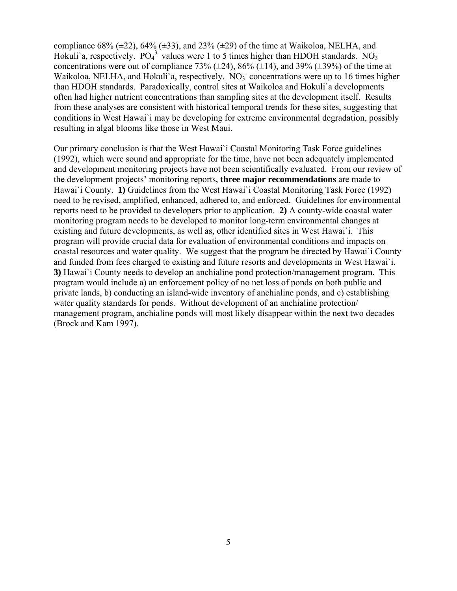compliance 68%  $(\pm 22)$ , 64%  $(\pm 33)$ , and 23%  $(\pm 29)$  of the time at Waikoloa, NELHA, and Hokuli'a, respectively.  $PO_4^3$  values were 1 to 5 times higher than HDOH standards. NO<sub>3</sub> concentrations were out of compliance 73% ( $\pm$ 24), 86% ( $\pm$ 14), and 39% ( $\pm$ 39%) of the time at Waikoloa, NELHA, and Hokuli'a, respectively.  $\overline{NO_3}$  concentrations were up to 16 times higher than HDOH standards. Paradoxically, control sites at Waikoloa and Hokuli`a developments often had higher nutrient concentrations than sampling sites at the development itself. Results from these analyses are consistent with historical temporal trends for these sites, suggesting that conditions in West Hawai`i may be developing for extreme environmental degradation, possibly resulting in algal blooms like those in West Maui.

Our primary conclusion is that the West Hawai`i Coastal Monitoring Task Force guidelines (1992), which were sound and appropriate for the time, have not been adequately implemented and development monitoring projects have not been scientifically evaluated. From our review of the development projects' monitoring reports, **three major recommendations** are made to Hawai`i County. **1)** Guidelines from the West Hawai`i Coastal Monitoring Task Force (1992) need to be revised, amplified, enhanced, adhered to, and enforced. Guidelines for environmental reports need to be provided to developers prior to application. **2)** A county-wide coastal water monitoring program needs to be developed to monitor long-term environmental changes at existing and future developments, as well as, other identified sites in West Hawai`i. This program will provide crucial data for evaluation of environmental conditions and impacts on coastal resources and water quality. We suggest that the program be directed by Hawai`i County and funded from fees charged to existing and future resorts and developments in West Hawai`i. **3)** Hawai`i County needs to develop an anchialine pond protection/management program. This program would include a) an enforcement policy of no net loss of ponds on both public and private lands, b) conducting an island-wide inventory of anchialine ponds, and c) establishing water quality standards for ponds. Without development of an anchialine protection/ management program, anchialine ponds will most likely disappear within the next two decades (Brock and Kam 1997).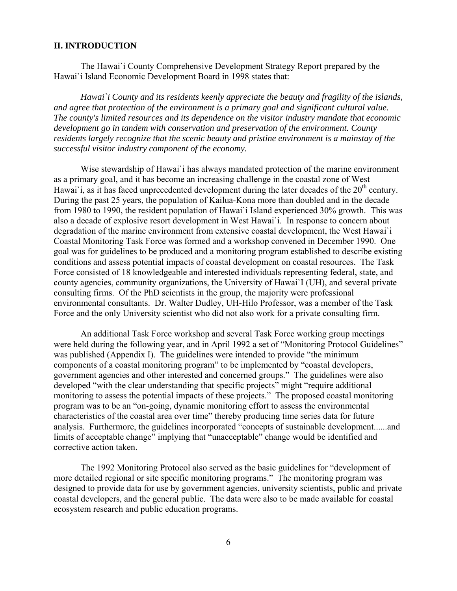#### **II. INTRODUCTION**

The Hawai`i County Comprehensive Development Strategy Report prepared by the Hawai`i Island Economic Development Board in 1998 states that:

*Hawai`i County and its residents keenly appreciate the beauty and fragility of the islands, and agree that protection of the environment is a primary goal and significant cultural value. The county's limited resources and its dependence on the visitor industry mandate that economic development go in tandem with conservation and preservation of the environment. County residents largely recognize that the scenic beauty and pristine environment is a mainstay of the successful visitor industry component of the economy.* 

Wise stewardship of Hawai`i has always mandated protection of the marine environment as a primary goal, and it has become an increasing challenge in the coastal zone of West Hawai'i, as it has faced unprecedented development during the later decades of the  $20<sup>th</sup>$  century. During the past 25 years, the population of Kailua-Kona more than doubled and in the decade from 1980 to 1990, the resident population of Hawai`i Island experienced 30% growth. This was also a decade of explosive resort development in West Hawai`i. In response to concern about degradation of the marine environment from extensive coastal development, the West Hawai`i Coastal Monitoring Task Force was formed and a workshop convened in December 1990. One goal was for guidelines to be produced and a monitoring program established to describe existing conditions and assess potential impacts of coastal development on coastal resources. The Task Force consisted of 18 knowledgeable and interested individuals representing federal, state, and county agencies, community organizations, the University of Hawai`I (UH), and several private consulting firms. Of the PhD scientists in the group, the majority were professional environmental consultants. Dr. Walter Dudley, UH-Hilo Professor, was a member of the Task Force and the only University scientist who did not also work for a private consulting firm.

An additional Task Force workshop and several Task Force working group meetings were held during the following year, and in April 1992 a set of "Monitoring Protocol Guidelines" was published (Appendix I). The guidelines were intended to provide "the minimum components of a coastal monitoring program" to be implemented by "coastal developers, government agencies and other interested and concerned groups." The guidelines were also developed "with the clear understanding that specific projects" might "require additional monitoring to assess the potential impacts of these projects." The proposed coastal monitoring program was to be an "on-going, dynamic monitoring effort to assess the environmental characteristics of the coastal area over time" thereby producing time series data for future analysis. Furthermore, the guidelines incorporated "concepts of sustainable development......and limits of acceptable change" implying that "unacceptable" change would be identified and corrective action taken.

The 1992 Monitoring Protocol also served as the basic guidelines for "development of more detailed regional or site specific monitoring programs." The monitoring program was designed to provide data for use by government agencies, university scientists, public and private coastal developers, and the general public. The data were also to be made available for coastal ecosystem research and public education programs.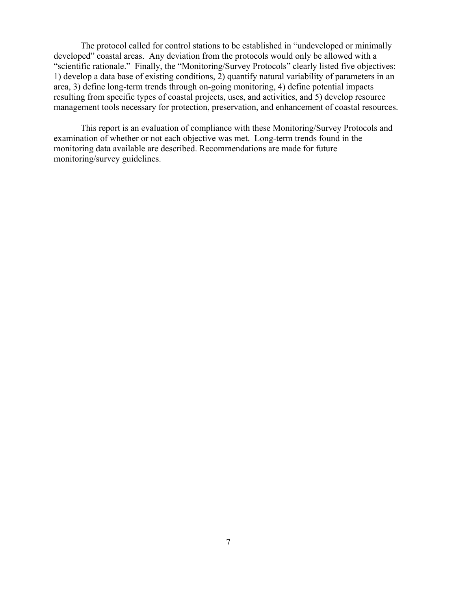The protocol called for control stations to be established in "undeveloped or minimally developed" coastal areas. Any deviation from the protocols would only be allowed with a "scientific rationale." Finally, the "Monitoring/Survey Protocols" clearly listed five objectives: 1) develop a data base of existing conditions, 2) quantify natural variability of parameters in an area, 3) define long-term trends through on-going monitoring, 4) define potential impacts resulting from specific types of coastal projects, uses, and activities, and 5) develop resource management tools necessary for protection, preservation, and enhancement of coastal resources.

This report is an evaluation of compliance with these Monitoring/Survey Protocols and examination of whether or not each objective was met. Long-term trends found in the monitoring data available are described. Recommendations are made for future monitoring/survey guidelines.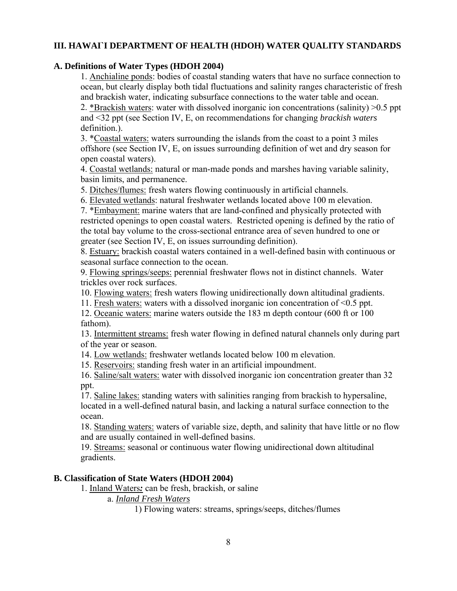# **III. HAWAI`I DEPARTMENT OF HEALTH (HDOH) WATER QUALITY STANDARDS**

# **A. Definitions of Water Types (HDOH 2004)**

1. Anchialine ponds: bodies of coastal standing waters that have no surface connection to ocean, but clearly display both tidal fluctuations and salinity ranges characteristic of fresh and brackish water, indicating subsurface connections to the water table and ocean. 2. \*Brackish waters: water with dissolved inorganic ion concentrations (salinity) >0.5 ppt and <32 ppt (see Section IV, E, on recommendations for changing *brackish waters*

definition.).

3. \*Coastal waters: waters surrounding the islands from the coast to a point 3 miles offshore (see Section IV, E, on issues surrounding definition of wet and dry season for open coastal waters).

4. Coastal wetlands: natural or man-made ponds and marshes having variable salinity, basin limits, and permanence.

5. Ditches/flumes: fresh waters flowing continuously in artificial channels.

6. Elevated wetlands: natural freshwater wetlands located above 100 m elevation.

7. \*Embayment: marine waters that are land-confined and physically protected with restricted openings to open coastal waters. Restricted opening is defined by the ratio of the total bay volume to the cross-sectional entrance area of seven hundred to one or greater (see Section IV, E, on issues surrounding definition).

8. Estuary: brackish coastal waters contained in a well-defined basin with continuous or seasonal surface connection to the ocean.

9. Flowing springs/seeps: perennial freshwater flows not in distinct channels. Water trickles over rock surfaces.

10. Flowing waters: fresh waters flowing unidirectionally down altitudinal gradients.

11. Fresh waters: waters with a dissolved inorganic ion concentration of <0.5 ppt.

12. Oceanic waters: marine waters outside the 183 m depth contour (600 ft or 100 fathom).

13. Intermittent streams: fresh water flowing in defined natural channels only during part of the year or season.

14. Low wetlands: freshwater wetlands located below 100 m elevation.

15. Reservoirs: standing fresh water in an artificial impoundment.

16. Saline/salt waters: water with dissolved inorganic ion concentration greater than 32 ppt.

17. Saline lakes: standing waters with salinities ranging from brackish to hypersaline, located in a well-defined natural basin, and lacking a natural surface connection to the ocean.

18. Standing waters: waters of variable size, depth, and salinity that have little or no flow and are usually contained in well-defined basins.

19. Streams: seasonal or continuous water flowing unidirectional down altitudinal gradients.

# **B. Classification of State Waters (HDOH 2004)**

1. Inland Waters*:* can be fresh, brackish, or saline

a. *Inland Fresh Waters*

1) Flowing waters: streams, springs/seeps, ditches/flumes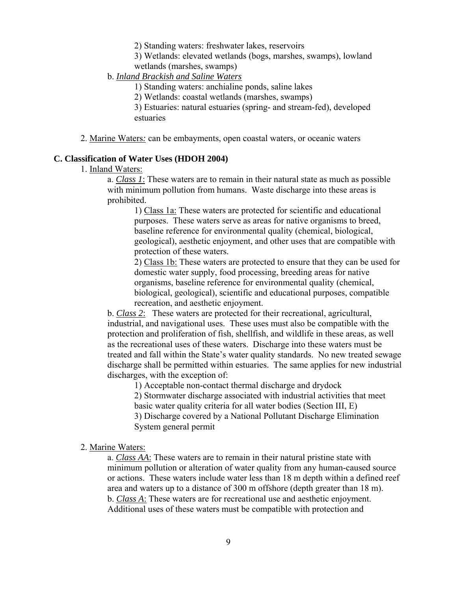2) Standing waters: freshwater lakes, reservoirs

3) Wetlands: elevated wetlands (bogs, marshes, swamps), lowland wetlands (marshes, swamps)

b. *Inland Brackish and Saline Waters*

1) Standing waters: anchialine ponds, saline lakes

2) Wetlands: coastal wetlands (marshes, swamps)

3) Estuaries: natural estuaries (spring- and stream-fed), developed estuaries

2. Marine Waters*:* can be embayments, open coastal waters, or oceanic waters

## **C. Classification of Water Uses (HDOH 2004)**

## 1. Inland Waters:

a. *Class 1*: These waters are to remain in their natural state as much as possible with minimum pollution from humans. Waste discharge into these areas is prohibited.

1) Class 1a: These waters are protected for scientific and educational purposes. These waters serve as areas for native organisms to breed, baseline reference for environmental quality (chemical, biological, geological), aesthetic enjoyment, and other uses that are compatible with protection of these waters.

2) Class 1b: These waters are protected to ensure that they can be used for domestic water supply, food processing, breeding areas for native organisms, baseline reference for environmental quality (chemical, biological, geological), scientific and educational purposes, compatible recreation, and aesthetic enjoyment.

b. *Class 2*: These waters are protected for their recreational, agricultural, industrial, and navigational uses. These uses must also be compatible with the protection and proliferation of fish, shellfish, and wildlife in these areas, as well as the recreational uses of these waters. Discharge into these waters must be treated and fall within the State's water quality standards. No new treated sewage discharge shall be permitted within estuaries. The same applies for new industrial discharges, with the exception of:

1) Acceptable non-contact thermal discharge and drydock

2) Stormwater discharge associated with industrial activities that meet basic water quality criteria for all water bodies (Section III, E) 3) Discharge covered by a National Pollutant Discharge Elimination System general permit

2. Marine Waters:

a. *Class AA*: These waters are to remain in their natural pristine state with minimum pollution or alteration of water quality from any human-caused source or actions. These waters include water less than 18 m depth within a defined reef area and waters up to a distance of 300 m offshore (depth greater than 18 m). b. *Class A*: These waters are for recreational use and aesthetic enjoyment. Additional uses of these waters must be compatible with protection and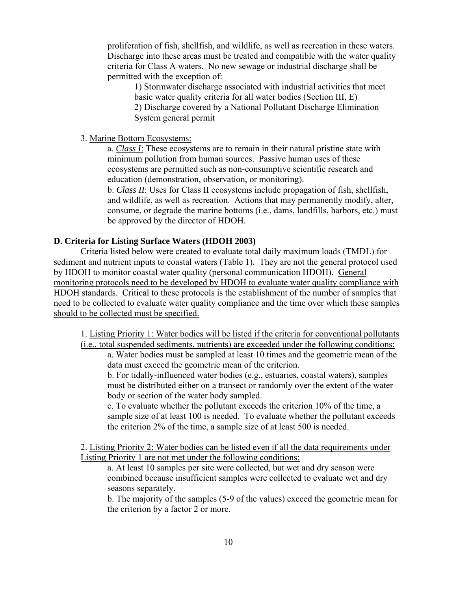proliferation of fish, shellfish, and wildlife, as well as recreation in these waters. Discharge into these areas must be treated and compatible with the water quality criteria for Class A waters. No new sewage or industrial discharge shall be permitted with the exception of:

1) Stormwater discharge associated with industrial activities that meet basic water quality criteria for all water bodies (Section III, E) 2) Discharge covered by a National Pollutant Discharge Elimination System general permit

3. Marine Bottom Ecosystems:

a. *Class I*: These ecosystems are to remain in their natural pristine state with minimum pollution from human sources. Passive human uses of these ecosystems are permitted such as non-consumptive scientific research and education (demonstration, observation, or monitoring).

b. *Class II*: Uses for Class II ecosystems include propagation of fish, shellfish, and wildlife, as well as recreation. Actions that may permanently modify, alter, consume, or degrade the marine bottoms (i.e., dams, landfills, harbors, etc.) must be approved by the director of HDOH.

#### **D. Criteria for Listing Surface Waters (HDOH 2003)**

Criteria listed below were created to evaluate total daily maximum loads (TMDL) for sediment and nutrient inputs to coastal waters (Table 1). They are not the general protocol used by HDOH to monitor coastal water quality (personal communication HDOH). General monitoring protocols need to be developed by HDOH to evaluate water quality compliance with HDOH standards. Critical to these protocols is the establishment of the number of samples that need to be collected to evaluate water quality compliance and the time over which these samples should to be collected must be specified.

1. Listing Priority 1: Water bodies will be listed if the criteria for conventional pollutants (i.e., total suspended sediments, nutrients) are exceeded under the following conditions:

a. Water bodies must be sampled at least 10 times and the geometric mean of the data must exceed the geometric mean of the criterion.

b. For tidally-influenced water bodies (e.g., estuaries, coastal waters), samples must be distributed either on a transect or randomly over the extent of the water body or section of the water body sampled.

c. To evaluate whether the pollutant exceeds the criterion 10% of the time, a sample size of at least 100 is needed. To evaluate whether the pollutant exceeds the criterion 2% of the time, a sample size of at least 500 is needed.

2. Listing Priority 2: Water bodies can be listed even if all the data requirements under Listing Priority 1 are not met under the following conditions:

a. At least 10 samples per site were collected, but wet and dry season were combined because insufficient samples were collected to evaluate wet and dry seasons separately.

b. The majority of the samples (5-9 of the values) exceed the geometric mean for the criterion by a factor 2 or more.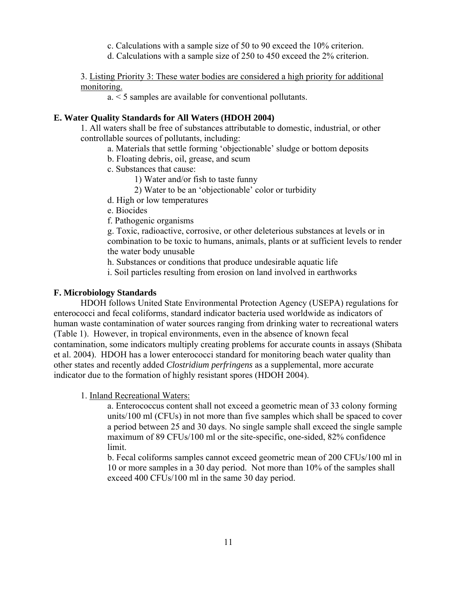- c. Calculations with a sample size of 50 to 90 exceed the 10% criterion.
- d. Calculations with a sample size of 250 to 450 exceed the 2% criterion.

## 3. Listing Priority 3: These water bodies are considered a high priority for additional monitoring.

a. < 5 samples are available for conventional pollutants.

#### **E. Water Quality Standards for All Waters (HDOH 2004)**

1. All waters shall be free of substances attributable to domestic, industrial, or other controllable sources of pollutants, including:

- a. Materials that settle forming 'objectionable' sludge or bottom deposits
- b. Floating debris, oil, grease, and scum
- c. Substances that cause:
	- 1) Water and/or fish to taste funny
	- 2) Water to be an 'objectionable' color or turbidity
- d. High or low temperatures
- e. Biocides
- f. Pathogenic organisms

g. Toxic, radioactive, corrosive, or other deleterious substances at levels or in combination to be toxic to humans, animals, plants or at sufficient levels to render the water body unusable

h. Substances or conditions that produce undesirable aquatic life

i. Soil particles resulting from erosion on land involved in earthworks

## **F. Microbiology Standards**

HDOH follows United State Environmental Protection Agency (USEPA) regulations for enterococci and fecal coliforms, standard indicator bacteria used worldwide as indicators of human waste contamination of water sources ranging from drinking water to recreational waters (Table 1). However, in tropical environments, even in the absence of known fecal contamination, some indicators multiply creating problems for accurate counts in assays (Shibata et al. 2004). HDOH has a lower enterococci standard for monitoring beach water quality than other states and recently added *Clostridium perfringens* as a supplemental, more accurate indicator due to the formation of highly resistant spores (HDOH 2004).

#### 1. Inland Recreational Waters:

a. Enterococcus content shall not exceed a geometric mean of 33 colony forming units/100 ml (CFUs) in not more than five samples which shall be spaced to cover a period between 25 and 30 days. No single sample shall exceed the single sample maximum of 89 CFUs/100 ml or the site-specific, one-sided, 82% confidence limit.

b. Fecal coliforms samples cannot exceed geometric mean of 200 CFUs/100 ml in 10 or more samples in a 30 day period. Not more than 10% of the samples shall exceed 400 CFUs/100 ml in the same 30 day period.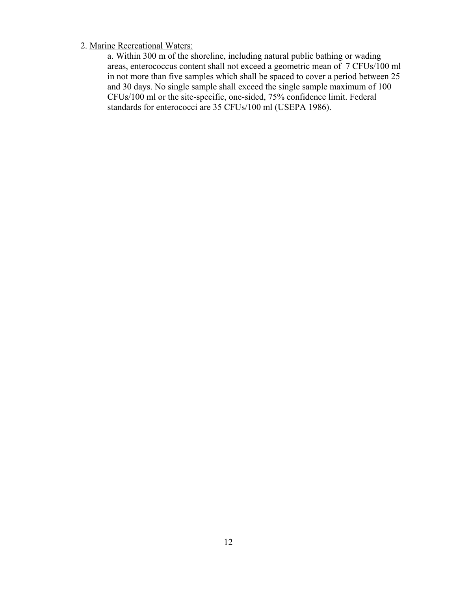# 2. Marine Recreational Waters:

a. Within 300 m of the shoreline, including natural public bathing or wading areas, enterococcus content shall not exceed a geometric mean of 7 CFUs/100 ml in not more than five samples which shall be spaced to cover a period between 25 and 30 days. No single sample shall exceed the single sample maximum of 100 CFUs/100 ml or the site-specific, one-sided, 75% confidence limit. Federal standards for enterococci are 35 CFUs/100 ml (USEPA 1986).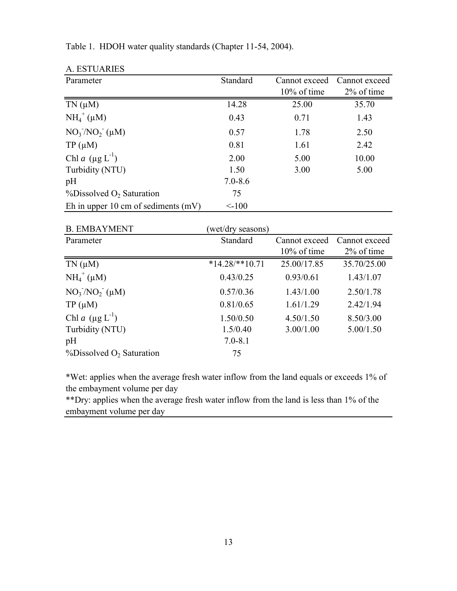| A. ESTUARIES                             |             |                |               |
|------------------------------------------|-------------|----------------|---------------|
| Parameter                                | Standard    | Cannot exceed  | Cannot exceed |
|                                          |             | $10\%$ of time | 2% of time    |
| $TN(\mu M)$                              | 14.28       | 25.00          | 35.70         |
| $NH_4^+(\mu M)$                          | 0.43        | 0.71           | 1.43          |
| $NO_3/NO_2$ ( $\mu$ M)                   | 0.57        | 1.78           | 2.50          |
| $TP(\mu M)$                              | 0.81        | 1.61           | 2.42          |
| Chl a $(\mu g L^{-1})$                   | 2.00        | 5.00           | 10.00         |
| Turbidity (NTU)                          | 1.50        | 3.00           | 5.00          |
| pH                                       | $7.0 - 8.6$ |                |               |
| $\%$ Dissolved O <sub>2</sub> Saturation | 75          |                |               |
| Eh in upper 10 cm of sediments $(mV)$    | $<$ -100    |                |               |

Table 1. HDOH water quality standards (Chapter 11-54, 2004).

| <b>B. EMBAYMENT</b>                      | (wet/dry seasons) |                |               |
|------------------------------------------|-------------------|----------------|---------------|
| Parameter                                | Standard          | Cannot exceed  | Cannot exceed |
|                                          |                   | $10\%$ of time | 2% of time    |
| $TN(\mu M)$                              | $*14.28$ /**10.71 | 25.00/17.85    | 35.70/25.00   |
| $NH_4^+$ (µM)                            | 0.43/0.25         | 0.93/0.61      | 1.43/1.07     |
| $NO_3/NO_2$ ( $\mu$ M)                   | 0.57/0.36         | 1.43/1.00      | 2.50/1.78     |
| $TP(\mu M)$                              | 0.81/0.65         | 1.61/1.29      | 2.42/1.94     |
| Chl a $(\mu g L^{-1})$                   | 1.50/0.50         | 4.50/1.50      | 8.50/3.00     |
| Turbidity (NTU)                          | 1.5/0.40          | 3.00/1.00      | 5.00/1.50     |
| pH                                       | $7.0 - 8.1$       |                |               |
| $\%$ Dissolved O <sub>2</sub> Saturation | 75                |                |               |

\*Wet: applies when the average fresh water inflow from the land equals or exceeds 1% of the embayment volume per day

\*\*Dry: applies when the average fresh water inflow from the land is less than 1% of the embayment volume per day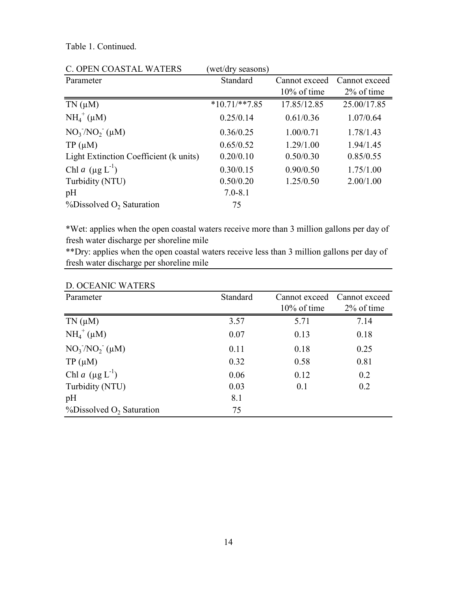Table 1. Continued.

| C. OPEN COASTAL WATERS                   | (wet/dry seasons) |                |               |
|------------------------------------------|-------------------|----------------|---------------|
| Parameter                                | Standard          | Cannot exceed  | Cannot exceed |
|                                          |                   | $10\%$ of time | 2% of time    |
| $TN(\mu M)$                              | $*10.71$ /**7.85  | 17.85/12.85    | 25.00/17.85   |
| $NH_4^+(\mu M)$                          | 0.25/0.14         | 0.61/0.36      | 1.07/0.64     |
| $NO_3/NO_2$ ( $\mu$ M)                   | 0.36/0.25         | 1.00/0.71      | 1.78/1.43     |
| $TP(\mu M)$                              | 0.65/0.52         | 1.29/1.00      | 1.94/1.45     |
| Light Extinction Coefficient (k units)   | 0.20/0.10         | 0.50/0.30      | 0.85/0.55     |
| Chl a $(\mu g L^{-1})$                   | 0.30/0.15         | 0.90/0.50      | 1.75/1.00     |
| Turbidity (NTU)                          | 0.50/0.20         | 1.25/0.50      | 2.00/1.00     |
| pH                                       | $7.0 - 8.1$       |                |               |
| $\%$ Dissolved O <sub>2</sub> Saturation | 75                |                |               |

\*Wet: applies when the open coastal waters receive more than 3 million gallons per day of fresh water discharge per shoreline mile

\*\*Dry: applies when the open coastal waters receive less than 3 million gallons per day of fresh water discharge per shoreline mile

| Parameter                                | Standard | Cannot exceed  | Cannot exceed |  |
|------------------------------------------|----------|----------------|---------------|--|
|                                          |          | $10\%$ of time | 2% of time    |  |
| $TN(\mu M)$                              | 3.57     | 5.71           | 7.14          |  |
| $NH_4^+(\mu M)$                          | 0.07     | 0.13           | 0.18          |  |
| $NO_3/NO_2$ ( $\mu$ M)                   | 0.11     | 0.18           | 0.25          |  |
| $TP(\mu M)$                              | 0.32     | 0.58           | 0.81          |  |
| Chl a $(\mu g L^{-1})$                   | 0.06     | 0.12           | 0.2           |  |
| Turbidity (NTU)                          | 0.03     | 0.1            | 0.2           |  |
| pH                                       | 8.1      |                |               |  |
| $\%$ Dissolved O <sub>2</sub> Saturation | 75       |                |               |  |

# D. OCEANIC WATERS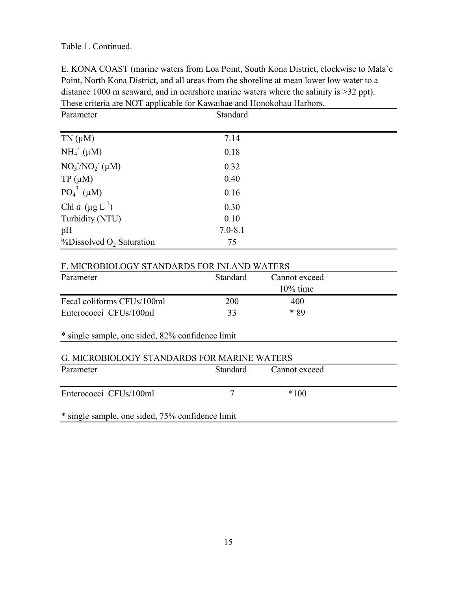Table 1. Continued.

E. KONA COAST (marine waters from Loa Point, South Kona District, clockwise to Mala`e Point, North Kona District, and all areas from the shoreline at mean lower low water to a distance 1000 m seaward, and in nearshore marine waters where the salinity is >32 ppt). These criteria are NOT applicable for Kawaihae and Honokohau Harbors.

| Parameter                                | Standard    |  |
|------------------------------------------|-------------|--|
| $TN(\mu M)$                              | 7.14        |  |
|                                          |             |  |
| $NH_4^+$ ( $\mu$ M)                      | 0.18        |  |
| $NO_3/NO_2$ ( $\mu$ M)                   | 0.32        |  |
| $TP(\mu M)$                              | 0.40        |  |
| $PO_4^{3}(\mu M)$                        | 0.16        |  |
| Chl a $(\mu g L^{-1})$                   | 0.30        |  |
| Turbidity (NTU)                          | 0.10        |  |
| pH                                       | $7.0 - 8.1$ |  |
| $\%$ Dissolved O <sub>2</sub> Saturation | 75          |  |

## F. MICROBIOLOGY STANDARDS FOR INLAND WATERS

| Parameter                                        | Standard | Cannot exceed |  |
|--------------------------------------------------|----------|---------------|--|
|                                                  |          | $10\%$ time   |  |
| Fecal coliforms CFUs/100ml                       | 200      | 400           |  |
| Enterococci CFUs/100ml                           | 33       | $*89$         |  |
| * single sample, one sided, 82% confidence limit |          |               |  |
|                                                  |          |               |  |
| G. MICROBIOLOGY STANDARDS FOR MARINE WATERS      |          |               |  |
| Parameter                                        | Standard | Cannot exceed |  |
|                                                  |          |               |  |
| Enterococci CFUs/100ml                           | 7        | $*100$        |  |
|                                                  |          |               |  |
| * single sample, one sided, 75% confidence limit |          |               |  |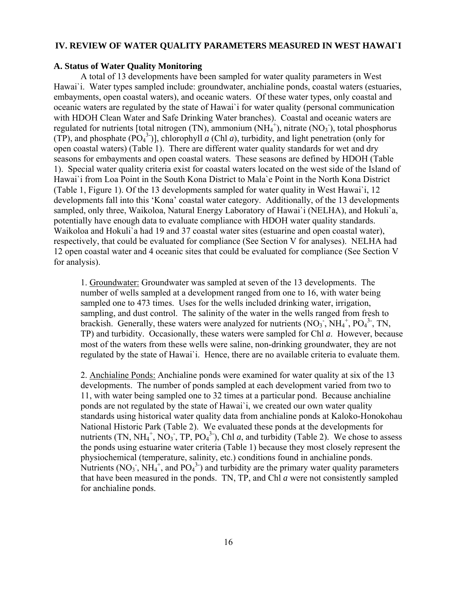## **IV. REVIEW OF WATER QUALITY PARAMETERS MEASURED IN WEST HAWAI`I**

## **A. Status of Water Quality Monitoring**

A total of 13 developments have been sampled for water quality parameters in West Hawai`i. Water types sampled include: groundwater, anchialine ponds, coastal waters (estuaries, embayments, open coastal waters), and oceanic waters. Of these water types, only coastal and oceanic waters are regulated by the state of Hawai`i for water quality (personal communication with HDOH Clean Water and Safe Drinking Water branches). Coastal and oceanic waters are regulated for nutrients [total nitrogen (TN), ammonium (NH $_4^{\text{+}}$ ), nitrate (NO<sub>3</sub>), total phosphorus (TP), and phosphate  $(PO<sub>4</sub><sup>3</sup>)$ ], chlorophyll *a* (Chl *a*), turbidity, and light penetration (only for open coastal waters) (Table 1). There are different water quality standards for wet and dry seasons for embayments and open coastal waters. These seasons are defined by HDOH (Table 1). Special water quality criteria exist for coastal waters located on the west side of the Island of Hawai`i from Loa Point in the South Kona District to Mala`e Point in the North Kona District (Table 1, Figure 1). Of the 13 developments sampled for water quality in West Hawai`i, 12 developments fall into this 'Kona' coastal water category. Additionally, of the 13 developments sampled, only three, Waikoloa, Natural Energy Laboratory of Hawai`i (NELHA), and Hokuli`a, potentially have enough data to evaluate compliance with HDOH water quality standards. Waikoloa and Hokuli`a had 19 and 37 coastal water sites (estuarine and open coastal water), respectively, that could be evaluated for compliance (See Section V for analyses). NELHA had 12 open coastal water and 4 oceanic sites that could be evaluated for compliance (See Section V for analysis).

1. Groundwater: Groundwater was sampled at seven of the 13 developments. The number of wells sampled at a development ranged from one to 16, with water being sampled one to 473 times. Uses for the wells included drinking water, irrigation, sampling, and dust control. The salinity of the water in the wells ranged from fresh to brackish. Generally, these waters were analyzed for nutrients  $(NO<sub>3</sub>$ ,  $NH<sub>4</sub>$ <sup>+</sup>,  $PO<sub>4</sub><sup>3</sup>$ -, TN, TP) and turbidity. Occasionally, these waters were sampled for Chl *a*. However, because most of the waters from these wells were saline, non-drinking groundwater, they are not regulated by the state of Hawai`i. Hence, there are no available criteria to evaluate them.

2. Anchialine Ponds: Anchialine ponds were examined for water quality at six of the 13 developments. The number of ponds sampled at each development varied from two to 11, with water being sampled one to 32 times at a particular pond. Because anchialine ponds are not regulated by the state of Hawai`i, we created our own water quality standards using historical water quality data from anchialine ponds at Kaloko-Honokohau National Historic Park (Table 2). We evaluated these ponds at the developments for nutrients (TN, NH<sub>4</sub><sup>+</sup>, NO<sub>3</sub>, TP, PO<sub>4</sub><sup>3</sup>), Chl *a*, and turbidity (Table 2). We chose to assess the ponds using estuarine water criteria (Table 1) because they most closely represent the physiochemical (temperature, salinity, etc.) conditions found in anchialine ponds. Nutrients (NO<sub>3</sub>, NH<sub>4</sub><sup>+</sup>, and PO<sub>4</sub><sup>3</sup>) and turbidity are the primary water quality parameters that have been measured in the ponds. TN, TP, and Chl *a* were not consistently sampled for anchialine ponds.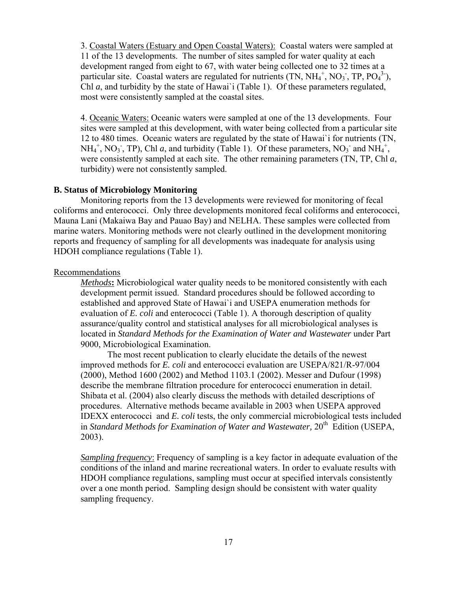3. Coastal Waters (Estuary and Open Coastal Waters): Coastal waters were sampled at 11 of the 13 developments. The number of sites sampled for water quality at each development ranged from eight to 67, with water being collected one to 32 times at a particular site. Coastal waters are regulated for nutrients (TN,  $NH_4^+$ , NO<sub>3</sub>, TP, PO<sub>4</sub><sup>3</sup>), Chl *a*, and turbidity by the state of Hawai`i (Table 1). Of these parameters regulated, most were consistently sampled at the coastal sites.

4. Oceanic Waters: Oceanic waters were sampled at one of the 13 developments. Four sites were sampled at this development, with water being collected from a particular site 12 to 480 times. Oceanic waters are regulated by the state of Hawai`i for nutrients (TN, NH<sub>4</sub><sup>+</sup>, NO<sub>3</sub>, TP), Chl *a*, and turbidity (Table 1). Of these parameters, NO<sub>3</sub> and NH<sub>4</sub><sup>+</sup>, were consistently sampled at each site. The other remaining parameters (TN, TP, Chl *a*, turbidity) were not consistently sampled.

## **B. Status of Microbiology Monitoring**

Monitoring reports from the 13 developments were reviewed for monitoring of fecal coliforms and enterococci. Only three developments monitored fecal coliforms and enterococci, Mauna Lani (Makaiwa Bay and Pauao Bay) and NELHA. These samples were collected from marine waters. Monitoring methods were not clearly outlined in the development monitoring reports and frequency of sampling for all developments was inadequate for analysis using HDOH compliance regulations (Table 1).

#### Recommendations

*Methods***:** Microbiological water quality needs to be monitored consistently with each development permit issued. Standard procedures should be followed according to established and approved State of Hawai`i and USEPA enumeration methods for evaluation of *E. coli* and enterococci (Table 1). A thorough description of quality assurance/quality control and statistical analyses for all microbiological analyses is located in *Standard Methods for the Examination of Water and Wastewater* under Part 9000, Microbiological Examination.

The most recent publication to clearly elucidate the details of the newest improved methods for *E. coli* and enterococci evaluation are USEPA/821/R-97/004 (2000), Method 1600 (2002) and Method 1103.1 (2002). Messer and Dufour (1998) describe the membrane filtration procedure for enterococci enumeration in detail. Shibata et al. (2004) also clearly discuss the methods with detailed descriptions of procedures. Alternative methods became available in 2003 when USEPA approved IDEXX enterococci and *E. coli* tests, the only commercial microbiological tests included in *Standard Methods for Examination of Water and Wastewater*,  $20<sup>th</sup>$  Edition (USEPA, 2003).

*Sampling frequency*: Frequency of sampling is a key factor in adequate evaluation of the conditions of the inland and marine recreational waters. In order to evaluate results with HDOH compliance regulations, sampling must occur at specified intervals consistently over a one month period. Sampling design should be consistent with water quality sampling frequency.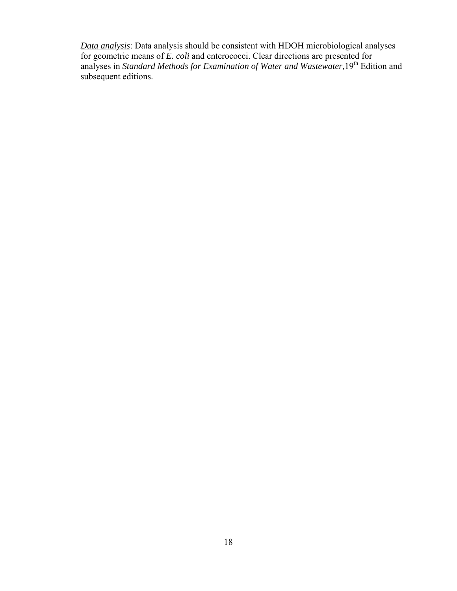*Data analysis*: Data analysis should be consistent with HDOH microbiological analyses for geometric means of *E. coli* and enterococci. Clear directions are presented for analyses in *Standard Methods for Examination of Water and Wastewater,*19th Edition and subsequent editions.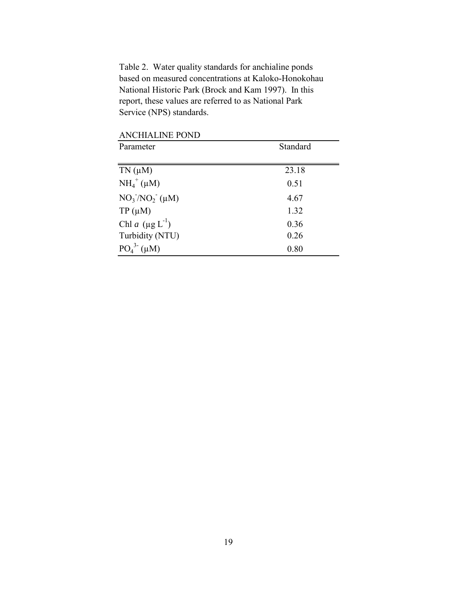Table 2. Water quality standards for anchialine ponds based on measured concentrations at Kaloko-Honokohau National Historic Park (Brock and Kam 1997). In this report, these values are referred to as National Park Service (NPS) standards.

| лиснитенте і отр       |          |
|------------------------|----------|
| Parameter              | Standard |
|                        |          |
| $TN(\mu M)$            | 23.18    |
| $NH_4^+$ ( $\mu$ M)    | 0.51     |
| $NO_3/NO_2$ ( $\mu$ M) | 4.67     |
| $TP(\mu M)$            | 1.32     |
| Chl a $(\mu g L^{-1})$ | 0.36     |
| Turbidity (NTU)        | 0.26     |
| $PO43(\mu M)$          | 0.80     |

ANCHIALINE POND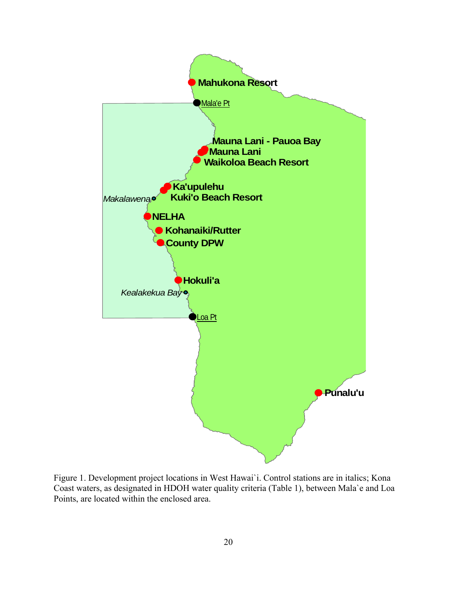

Figure 1. Development project locations in West Hawai`i. Control stations are in italics; Kona Coast waters, as designated in HDOH water quality criteria (Table 1), between Mala`e and Loa Points, are located within the enclosed area.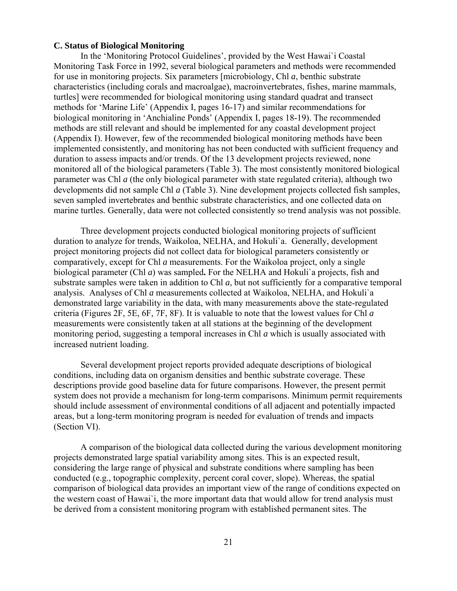#### **C. Status of Biological Monitoring**

In the 'Monitoring Protocol Guidelines', provided by the West Hawai`i Coastal Monitoring Task Force in 1992, several biological parameters and methods were recommended for use in monitoring projects. Six parameters [microbiology, Chl *a*, benthic substrate characteristics (including corals and macroalgae), macroinvertebrates, fishes, marine mammals, turtles] were recommended for biological monitoring using standard quadrat and transect methods for 'Marine Life' (Appendix I, pages 16-17) and similar recommendations for biological monitoring in 'Anchialine Ponds' (Appendix I, pages 18-19). The recommended methods are still relevant and should be implemented for any coastal development project (Appendix I). However, few of the recommended biological monitoring methods have been implemented consistently, and monitoring has not been conducted with sufficient frequency and duration to assess impacts and/or trends. Of the 13 development projects reviewed, none monitored all of the biological parameters (Table 3). The most consistently monitored biological parameter was Chl *a* (the only biological parameter with state regulated criteria), although two developments did not sample Chl *a* (Table 3). Nine development projects collected fish samples, seven sampled invertebrates and benthic substrate characteristics, and one collected data on marine turtles. Generally, data were not collected consistently so trend analysis was not possible.

Three development projects conducted biological monitoring projects of sufficient duration to analyze for trends, Waikoloa, NELHA, and Hokuli`a. Generally, development project monitoring projects did not collect data for biological parameters consistently or comparatively, except for Chl *a* measurements. For the Waikoloa project, only a single biological parameter (Chl *a*) was sampled**.** For the NELHA and Hokuli`a projects, fish and substrate samples were taken in addition to Chl *a*, but not sufficiently for a comparative temporal analysis. Analyses of Chl *a* measurements collected at Waikoloa, NELHA, and Hokuli`a demonstrated large variability in the data, with many measurements above the state-regulated criteria (Figures 2F, 5E, 6F, 7F, 8F). It is valuable to note that the lowest values for Chl *a* measurements were consistently taken at all stations at the beginning of the development monitoring period, suggesting a temporal increases in Chl *a* which is usually associated with increased nutrient loading.

Several development project reports provided adequate descriptions of biological conditions, including data on organism densities and benthic substrate coverage. These descriptions provide good baseline data for future comparisons. However, the present permit system does not provide a mechanism for long-term comparisons. Minimum permit requirements should include assessment of environmental conditions of all adjacent and potentially impacted areas, but a long-term monitoring program is needed for evaluation of trends and impacts (Section VI).

A comparison of the biological data collected during the various development monitoring projects demonstrated large spatial variability among sites. This is an expected result, considering the large range of physical and substrate conditions where sampling has been conducted (e.g., topographic complexity, percent coral cover, slope). Whereas, the spatial comparison of biological data provides an important view of the range of conditions expected on the western coast of Hawai`i, the more important data that would allow for trend analysis must be derived from a consistent monitoring program with established permanent sites. The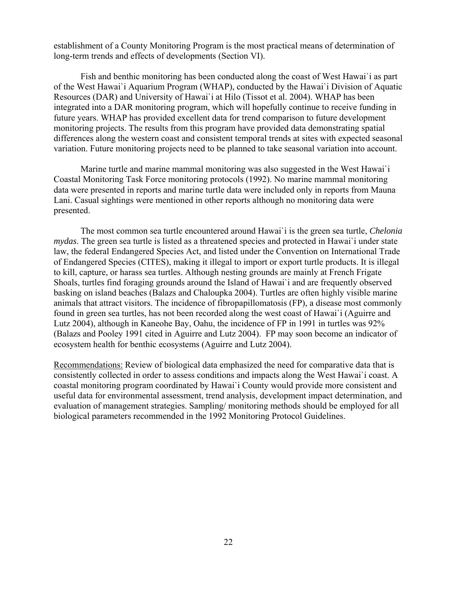establishment of a County Monitoring Program is the most practical means of determination of long-term trends and effects of developments (Section VI).

Fish and benthic monitoring has been conducted along the coast of West Hawai`i as part of the West Hawai`i Aquarium Program (WHAP), conducted by the Hawai`i Division of Aquatic Resources (DAR) and University of Hawai`i at Hilo (Tissot et al. 2004). WHAP has been integrated into a DAR monitoring program, which will hopefully continue to receive funding in future years. WHAP has provided excellent data for trend comparison to future development monitoring projects. The results from this program have provided data demonstrating spatial differences along the western coast and consistent temporal trends at sites with expected seasonal variation. Future monitoring projects need to be planned to take seasonal variation into account.

Marine turtle and marine mammal monitoring was also suggested in the West Hawai`i Coastal Monitoring Task Force monitoring protocols (1992). No marine mammal monitoring data were presented in reports and marine turtle data were included only in reports from Mauna Lani. Casual sightings were mentioned in other reports although no monitoring data were presented.

The most common sea turtle encountered around Hawai`i is the green sea turtle, *Chelonia mydas*. The green sea turtle is listed as a threatened species and protected in Hawai`i under state law, the federal Endangered Species Act, and listed under the Convention on International Trade of Endangered Species (CITES), making it illegal to import or export turtle products. It is illegal to kill, capture, or harass sea turtles. Although nesting grounds are mainly at French Frigate Shoals, turtles find foraging grounds around the Island of Hawai`i and are frequently observed basking on island beaches (Balazs and Chaloupka 2004). Turtles are often highly visible marine animals that attract visitors. The incidence of fibropapillomatosis (FP), a disease most commonly found in green sea turtles, has not been recorded along the west coast of Hawai`i (Aguirre and Lutz 2004), although in Kaneohe Bay, Oahu, the incidence of FP in 1991 in turtles was 92% (Balazs and Pooley 1991 cited in Aguirre and Lutz 2004). FP may soon become an indicator of ecosystem health for benthic ecosystems (Aguirre and Lutz 2004).

Recommendations: Review of biological data emphasized the need for comparative data that is consistently collected in order to assess conditions and impacts along the West Hawai`i coast. A coastal monitoring program coordinated by Hawai`i County would provide more consistent and useful data for environmental assessment, trend analysis, development impact determination, and evaluation of management strategies. Sampling/ monitoring methods should be employed for all biological parameters recommended in the 1992 Monitoring Protocol Guidelines.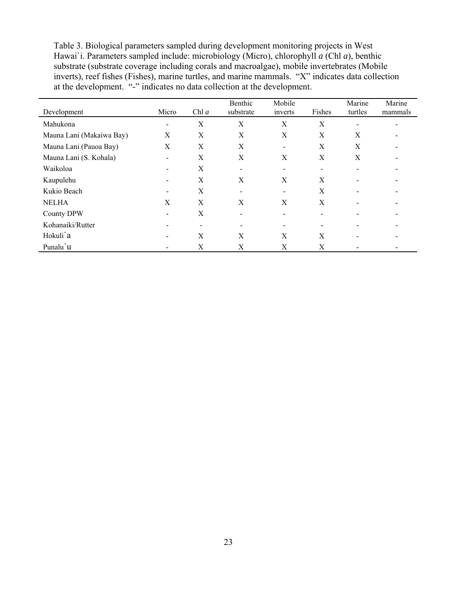Table 3. Biological parameters sampled during development monitoring projects in West Hawai`i. Parameters sampled include: microbiology (Micro), chlorophyll *a* (Chl *a*), benthic substrate (substrate coverage including corals and macroalgae), mobile invertebrates (Mobile inverts), reef fishes (Fishes), marine turtles, and marine mammals. "X" indicates data collection at the development. "-" indicates no data collection at the development.

| Development              | Micro                    | Chl $a$ | Benthic<br>substrate | Mobile<br>inverts        | Fishes | Marine<br>turtles | Marine<br>mammals |
|--------------------------|--------------------------|---------|----------------------|--------------------------|--------|-------------------|-------------------|
| Mahukona                 | -                        | X       | X                    | X                        | X      |                   |                   |
| Mauna Lani (Makaiwa Bay) | X                        | X       | X                    | X                        | X      | X                 |                   |
| Mauna Lani (Pauoa Bay)   | X                        | X       | X                    | $\overline{\phantom{a}}$ | X      | X                 |                   |
| Mauna Lani (S. Kohala)   |                          | X       | X                    | X                        | X      | X                 |                   |
| Waikoloa                 |                          | X       | -                    | $\overline{\phantom{a}}$ | -      |                   |                   |
| Kaupulehu                |                          | X       | X                    | X                        | X      |                   |                   |
| Kukio Beach              | $\overline{\phantom{0}}$ | X       | -                    | $\overline{\phantom{a}}$ | X      |                   |                   |
| <b>NELHA</b>             | X                        | X       | X                    | X                        | X      |                   |                   |
| County DPW               | $\overline{\phantom{0}}$ | X       |                      | $\overline{\phantom{a}}$ |        |                   |                   |
| Kohanaiki/Rutter         |                          | -       |                      | -                        |        |                   |                   |
| Hokuli'a                 |                          | X       | X                    | X                        | X      |                   |                   |
| Punalu'u                 |                          | X       | X                    | X                        | X      |                   |                   |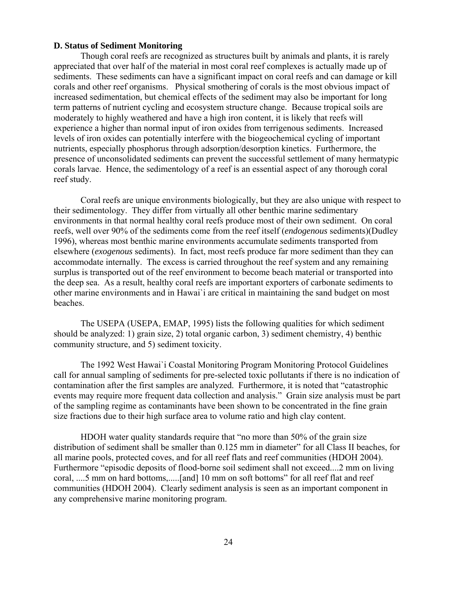## **D. Status of Sediment Monitoring**

Though coral reefs are recognized as structures built by animals and plants, it is rarely appreciated that over half of the material in most coral reef complexes is actually made up of sediments. These sediments can have a significant impact on coral reefs and can damage or kill corals and other reef organisms. Physical smothering of corals is the most obvious impact of increased sedimentation, but chemical effects of the sediment may also be important for long term patterns of nutrient cycling and ecosystem structure change. Because tropical soils are moderately to highly weathered and have a high iron content, it is likely that reefs will experience a higher than normal input of iron oxides from terrigenous sediments. Increased levels of iron oxides can potentially interfere with the biogeochemical cycling of important nutrients, especially phosphorus through adsorption/desorption kinetics. Furthermore, the presence of unconsolidated sediments can prevent the successful settlement of many hermatypic corals larvae. Hence, the sedimentology of a reef is an essential aspect of any thorough coral reef study.

Coral reefs are unique environments biologically, but they are also unique with respect to their sedimentology. They differ from virtually all other benthic marine sedimentary environments in that normal healthy coral reefs produce most of their own sediment. On coral reefs, well over 90% of the sediments come from the reef itself (*endogenous* sediments)(Dudley 1996), whereas most benthic marine environments accumulate sediments transported from elsewhere (*exogenous* sediments). In fact, most reefs produce far more sediment than they can accommodate internally. The excess is carried throughout the reef system and any remaining surplus is transported out of the reef environment to become beach material or transported into the deep sea. As a result, healthy coral reefs are important exporters of carbonate sediments to other marine environments and in Hawai`i are critical in maintaining the sand budget on most beaches.

The USEPA (USEPA, EMAP, 1995) lists the following qualities for which sediment should be analyzed: 1) grain size, 2) total organic carbon, 3) sediment chemistry, 4) benthic community structure, and 5) sediment toxicity.

The 1992 West Hawai`i Coastal Monitoring Program Monitoring Protocol Guidelines call for annual sampling of sediments for pre-selected toxic pollutants if there is no indication of contamination after the first samples are analyzed. Furthermore, it is noted that "catastrophic events may require more frequent data collection and analysis." Grain size analysis must be part of the sampling regime as contaminants have been shown to be concentrated in the fine grain size fractions due to their high surface area to volume ratio and high clay content.

HDOH water quality standards require that "no more than 50% of the grain size distribution of sediment shall be smaller than 0.125 mm in diameter" for all Class II beaches, for all marine pools, protected coves, and for all reef flats and reef communities (HDOH 2004). Furthermore "episodic deposits of flood-borne soil sediment shall not exceed....2 mm on living coral, ....5 mm on hard bottoms,.....[and] 10 mm on soft bottoms" for all reef flat and reef communities (HDOH 2004). Clearly sediment analysis is seen as an important component in any comprehensive marine monitoring program.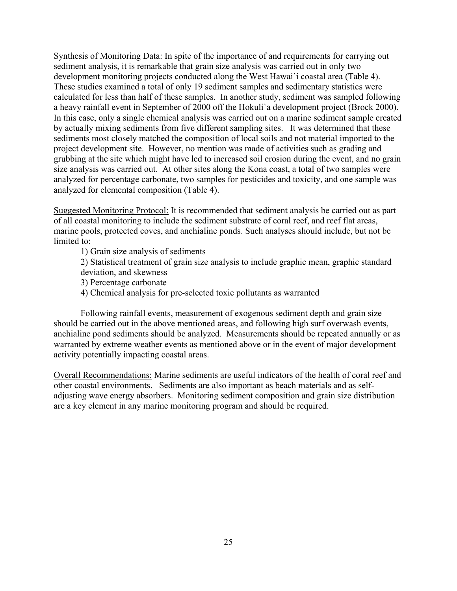Synthesis of Monitoring Data: In spite of the importance of and requirements for carrying out sediment analysis, it is remarkable that grain size analysis was carried out in only two development monitoring projects conducted along the West Hawai`i coastal area (Table 4). These studies examined a total of only 19 sediment samples and sedimentary statistics were calculated for less than half of these samples. In another study, sediment was sampled following a heavy rainfall event in September of 2000 off the Hokuli`a development project (Brock 2000). In this case, only a single chemical analysis was carried out on a marine sediment sample created by actually mixing sediments from five different sampling sites. It was determined that these sediments most closely matched the composition of local soils and not material imported to the project development site. However, no mention was made of activities such as grading and grubbing at the site which might have led to increased soil erosion during the event, and no grain size analysis was carried out. At other sites along the Kona coast, a total of two samples were analyzed for percentage carbonate, two samples for pesticides and toxicity, and one sample was analyzed for elemental composition (Table 4).

Suggested Monitoring Protocol: It is recommended that sediment analysis be carried out as part of all coastal monitoring to include the sediment substrate of coral reef, and reef flat areas, marine pools, protected coves, and anchialine ponds. Such analyses should include, but not be limited to:

1) Grain size analysis of sediments

2) Statistical treatment of grain size analysis to include graphic mean, graphic standard deviation, and skewness

- 3) Percentage carbonate
- 4) Chemical analysis for pre-selected toxic pollutants as warranted

Following rainfall events, measurement of exogenous sediment depth and grain size should be carried out in the above mentioned areas, and following high surf overwash events, anchialine pond sediments should be analyzed. Measurements should be repeated annually or as warranted by extreme weather events as mentioned above or in the event of major development activity potentially impacting coastal areas.

Overall Recommendations: Marine sediments are useful indicators of the health of coral reef and other coastal environments. Sediments are also important as beach materials and as selfadjusting wave energy absorbers. Monitoring sediment composition and grain size distribution are a key element in any marine monitoring program and should be required.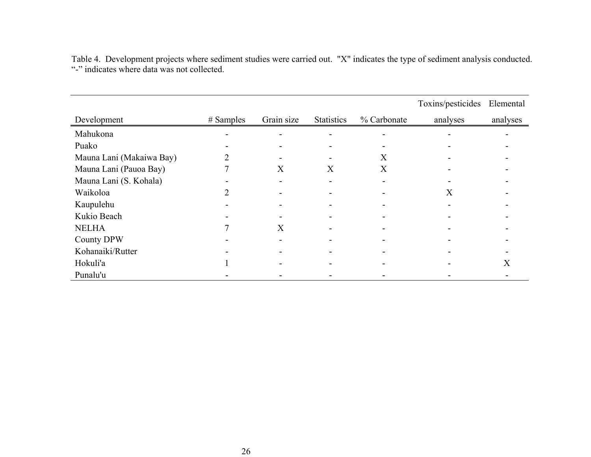|                          |             |            |                   |             | Toxins/pesticides | Elemental |
|--------------------------|-------------|------------|-------------------|-------------|-------------------|-----------|
| Development              | $#$ Samples | Grain size | <b>Statistics</b> | % Carbonate | analyses          | analyses  |
| Mahukona                 |             |            |                   |             |                   |           |
| Puako                    |             |            |                   |             |                   |           |
| Mauna Lani (Makaiwa Bay) |             |            |                   | X           |                   |           |
| Mauna Lani (Pauoa Bay)   |             | X          | X                 | X           |                   |           |
| Mauna Lani (S. Kohala)   |             |            |                   |             |                   |           |
| Waikoloa                 |             |            |                   |             | X                 |           |
| Kaupulehu                |             |            |                   |             |                   |           |
| Kukio Beach              |             |            |                   |             |                   |           |
| <b>NELHA</b>             |             | X          |                   |             |                   |           |
| <b>County DPW</b>        |             |            |                   |             |                   |           |
| Kohanaiki/Rutter         |             |            |                   |             |                   |           |
| Hokuli'a                 |             |            |                   |             |                   | X         |
| Punalu'u                 |             |            |                   |             |                   |           |

Table 4. Development projects where sediment studies were carried out. "X" indicates the type of sediment analysis conducted. "-" indicates where data was not collected.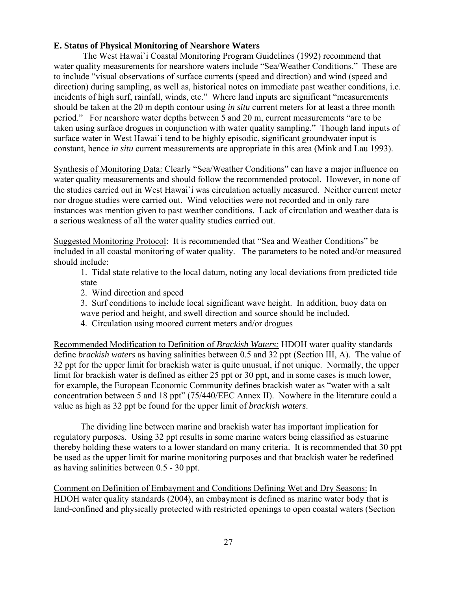# **E. Status of Physical Monitoring of Nearshore Waters**

 The West Hawai`i Coastal Monitoring Program Guidelines (1992) recommend that water quality measurements for nearshore waters include "Sea/Weather Conditions." These are to include "visual observations of surface currents (speed and direction) and wind (speed and direction) during sampling, as well as, historical notes on immediate past weather conditions, i.e. incidents of high surf, rainfall, winds, etc." Where land inputs are significant "measurements should be taken at the 20 m depth contour using *in situ* current meters for at least a three month period." For nearshore water depths between 5 and 20 m, current measurements "are to be taken using surface drogues in conjunction with water quality sampling." Though land inputs of surface water in West Hawai`i tend to be highly episodic, significant groundwater input is constant, hence *in situ* current measurements are appropriate in this area (Mink and Lau 1993).

Synthesis of Monitoring Data: Clearly "Sea/Weather Conditions" can have a major influence on water quality measurements and should follow the recommended protocol. However, in none of the studies carried out in West Hawai`i was circulation actually measured. Neither current meter nor drogue studies were carried out. Wind velocities were not recorded and in only rare instances was mention given to past weather conditions. Lack of circulation and weather data is a serious weakness of all the water quality studies carried out.

Suggested Monitoring Protocol: It is recommended that "Sea and Weather Conditions" be included in all coastal monitoring of water quality. The parameters to be noted and/or measured should include:

1. Tidal state relative to the local datum, noting any local deviations from predicted tide state

- 2. Wind direction and speed
- 3. Surf conditions to include local significant wave height. In addition, buoy data on wave period and height, and swell direction and source should be included.
- 4. Circulation using moored current meters and/or drogues

Recommended Modification to Definition of *Brackish Waters:* HDOH water quality standards define *brackish waters* as having salinities between 0.5 and 32 ppt (Section III, A). The value of 32 ppt for the upper limit for brackish water is quite unusual, if not unique. Normally, the upper limit for brackish water is defined as either 25 ppt or 30 ppt, and in some cases is much lower, for example, the European Economic Community defines brackish water as "water with a salt concentration between 5 and 18 ppt" (75/440/EEC Annex II). Nowhere in the literature could a value as high as 32 ppt be found for the upper limit of *brackish waters*.

The dividing line between marine and brackish water has important implication for regulatory purposes. Using 32 ppt results in some marine waters being classified as estuarine thereby holding these waters to a lower standard on many criteria. It is recommended that 30 ppt be used as the upper limit for marine monitoring purposes and that brackish water be redefined as having salinities between 0.5 - 30 ppt.

Comment on Definition of Embayment and Conditions Defining Wet and Dry Seasons: In HDOH water quality standards (2004), an embayment is defined as marine water body that is land-confined and physically protected with restricted openings to open coastal waters (Section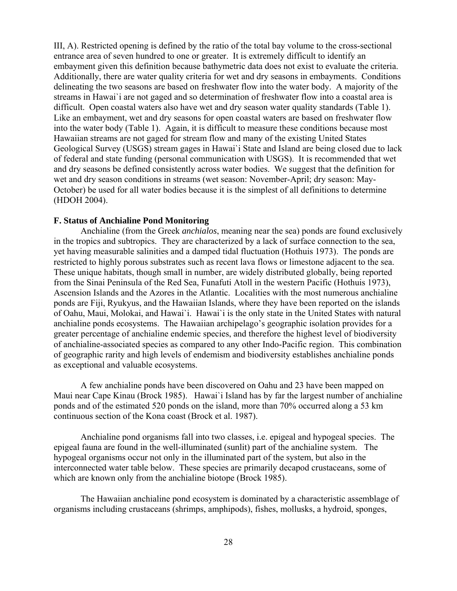III, A). Restricted opening is defined by the ratio of the total bay volume to the cross-sectional entrance area of seven hundred to one or greater. It is extremely difficult to identify an embayment given this definition because bathymetric data does not exist to evaluate the criteria. Additionally, there are water quality criteria for wet and dry seasons in embayments. Conditions delineating the two seasons are based on freshwater flow into the water body. A majority of the streams in Hawai`i are not gaged and so determination of freshwater flow into a coastal area is difficult. Open coastal waters also have wet and dry season water quality standards (Table 1). Like an embayment, wet and dry seasons for open coastal waters are based on freshwater flow into the water body (Table 1). Again, it is difficult to measure these conditions because most Hawaiian streams are not gaged for stream flow and many of the existing United States Geological Survey (USGS) stream gages in Hawai`i State and Island are being closed due to lack of federal and state funding (personal communication with USGS). It is recommended that wet and dry seasons be defined consistently across water bodies. We suggest that the definition for wet and dry season conditions in streams (wet season: November-April; dry season: May-October) be used for all water bodies because it is the simplest of all definitions to determine (HDOH 2004).

#### **F. Status of Anchialine Pond Monitoring**

Anchialine (from the Greek *anchialos*, meaning near the sea) ponds are found exclusively in the tropics and subtropics. They are characterized by a lack of surface connection to the sea, yet having measurable salinities and a damped tidal fluctuation (Hothuis 1973). The ponds are restricted to highly porous substrates such as recent lava flows or limestone adjacent to the sea. These unique habitats, though small in number, are widely distributed globally, being reported from the Sinai Peninsula of the Red Sea, Funafuti Atoll in the western Pacific (Hothuis 1973), Ascension Islands and the Azores in the Atlantic. Localities with the most numerous anchialine ponds are Fiji, Ryukyus, and the Hawaiian Islands, where they have been reported on the islands of Oahu, Maui, Molokai, and Hawai`i. Hawai`i is the only state in the United States with natural anchialine ponds ecosystems. The Hawaiian archipelago's geographic isolation provides for a greater percentage of anchialine endemic species, and therefore the highest level of biodiversity of anchialine-associated species as compared to any other Indo-Pacific region. This combination of geographic rarity and high levels of endemism and biodiversity establishes anchialine ponds as exceptional and valuable ecosystems.

A few anchialine ponds have been discovered on Oahu and 23 have been mapped on Maui near Cape Kinau (Brock 1985). Hawai`i Island has by far the largest number of anchialine ponds and of the estimated 520 ponds on the island, more than 70% occurred along a 53 km continuous section of the Kona coast (Brock et al. 1987).

Anchialine pond organisms fall into two classes, i.e. epigeal and hypogeal species. The epigeal fauna are found in the well-illuminated (sunlit) part of the anchialine system. The hypogeal organisms occur not only in the illuminated part of the system, but also in the interconnected water table below. These species are primarily decapod crustaceans, some of which are known only from the anchialine biotope (Brock 1985).

The Hawaiian anchialine pond ecosystem is dominated by a characteristic assemblage of organisms including crustaceans (shrimps, amphipods), fishes, mollusks, a hydroid, sponges,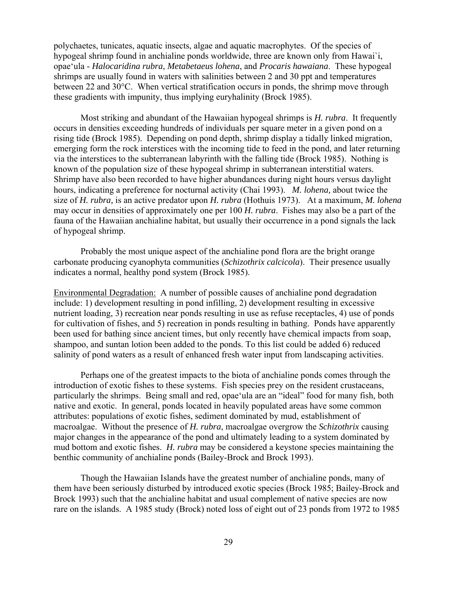polychaetes, tunicates, aquatic insects, algae and aquatic macrophytes. Of the species of hypogeal shrimp found in anchialine ponds worldwide, three are known only from Hawai`i, opae'ula - *Halocaridina rubra*, *Metabetaeus lohena*, and *Procaris hawaiana*. These hypogeal shrimps are usually found in waters with salinities between 2 and 30 ppt and temperatures between 22 and 30°C. When vertical stratification occurs in ponds, the shrimp move through these gradients with impunity, thus implying euryhalinity (Brock 1985).

Most striking and abundant of the Hawaiian hypogeal shrimps is *H. rubra*. It frequently occurs in densities exceeding hundreds of individuals per square meter in a given pond on a rising tide (Brock 1985). Depending on pond depth, shrimp display a tidally linked migration, emerging form the rock interstices with the incoming tide to feed in the pond, and later returning via the interstices to the subterranean labyrinth with the falling tide (Brock 1985). Nothing is known of the population size of these hypogeal shrimp in subterranean interstitial waters. Shrimp have also been recorded to have higher abundances during night hours versus daylight hours, indicating a preference for nocturnal activity (Chai 1993). *M. lohena,* about twice the size of *H. rubra,* is an active predator upon *H. rubra* (Hothuis 1973). At a maximum, *M. lohena* may occur in densities of approximately one per 100 *H. rubra*. Fishes may also be a part of the fauna of the Hawaiian anchialine habitat, but usually their occurrence in a pond signals the lack of hypogeal shrimp.

Probably the most unique aspect of the anchialine pond flora are the bright orange carbonate producing cyanophyta communities (*Schizothrix calcicola*). Their presence usually indicates a normal, healthy pond system (Brock 1985).

Environmental Degradation: A number of possible causes of anchialine pond degradation include: 1) development resulting in pond infilling, 2) development resulting in excessive nutrient loading, 3) recreation near ponds resulting in use as refuse receptacles, 4) use of ponds for cultivation of fishes, and 5) recreation in ponds resulting in bathing. Ponds have apparently been used for bathing since ancient times, but only recently have chemical impacts from soap, shampoo, and suntan lotion been added to the ponds. To this list could be added 6) reduced salinity of pond waters as a result of enhanced fresh water input from landscaping activities.

Perhaps one of the greatest impacts to the biota of anchialine ponds comes through the introduction of exotic fishes to these systems. Fish species prey on the resident crustaceans, particularly the shrimps. Being small and red, opae'ula are an "ideal" food for many fish, both native and exotic. In general, ponds located in heavily populated areas have some common attributes: populations of exotic fishes, sediment dominated by mud, establishment of macroalgae. Without the presence of *H. rubra*, macroalgae overgrow the *Schizothrix* causing major changes in the appearance of the pond and ultimately leading to a system dominated by mud bottom and exotic fishes. *H. rubra* may be considered a keystone species maintaining the benthic community of anchialine ponds (Bailey-Brock and Brock 1993).

Though the Hawaiian Islands have the greatest number of anchialine ponds, many of them have been seriously disturbed by introduced exotic species (Brock 1985; Bailey-Brock and Brock 1993) such that the anchialine habitat and usual complement of native species are now rare on the islands. A 1985 study (Brock) noted loss of eight out of 23 ponds from 1972 to 1985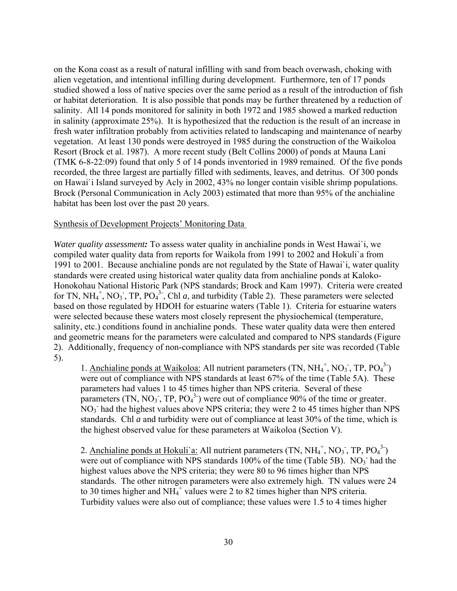on the Kona coast as a result of natural infilling with sand from beach overwash, choking with alien vegetation, and intentional infilling during development. Furthermore, ten of 17 ponds studied showed a loss of native species over the same period as a result of the introduction of fish or habitat deterioration. It is also possible that ponds may be further threatened by a reduction of salinity. All 14 ponds monitored for salinity in both 1972 and 1985 showed a marked reduction in salinity (approximate 25%). It is hypothesized that the reduction is the result of an increase in fresh water infiltration probably from activities related to landscaping and maintenance of nearby vegetation. At least 130 ponds were destroyed in 1985 during the construction of the Waikoloa Resort (Brock et al. 1987). A more recent study (Belt Collins 2000) of ponds at Mauna Lani (TMK 6-8-22:09) found that only 5 of 14 ponds inventoried in 1989 remained. Of the five ponds recorded, the three largest are partially filled with sediments, leaves, and detritus. Of 300 ponds on Hawai`i Island surveyed by Acly in 2002, 43% no longer contain visible shrimp populations. Brock (Personal Communication in Acly 2003) estimated that more than 95% of the anchialine habitat has been lost over the past 20 years.

## Synthesis of Development Projects' Monitoring Data

*Water quality assessment:* To assess water quality in anchialine ponds in West Hawai`i, we compiled water quality data from reports for Waikola from 1991 to 2002 and Hokuli`a from 1991 to 2001. Because anchialine ponds are not regulated by the State of Hawai`i, water quality standards were created using historical water quality data from anchialine ponds at Kaloko-Honokohau National Historic Park (NPS standards; Brock and Kam 1997). Criteria were created for TN, NH<sub>4</sub><sup>+</sup>, NO<sub>3</sub><sup>-</sup>, TP, PO<sub>4</sub><sup>3-</sup>, Chl *a*, and turbidity (Table 2). These parameters were selected based on those regulated by HDOH for estuarine waters (Table 1). Criteria for estuarine waters were selected because these waters most closely represent the physiochemical (temperature, salinity, etc.) conditions found in anchialine ponds. These water quality data were then entered and geometric means for the parameters were calculated and compared to NPS standards (Figure 2). Additionally, frequency of non-compliance with NPS standards per site was recorded (Table 5).

1. Anchialine ponds at Waikoloa: All nutrient parameters  $(TN, NH_4^+, NO_3^-, TP, PO_4^{3})$ were out of compliance with NPS standards at least 67% of the time (Table 5A). These parameters had values 1 to 45 times higher than NPS criteria. Several of these parameters (TN,  $NO_3$ , TP,  $PO_4^3$ ) were out of compliance 90% of the time or greater.  $NO<sub>3</sub>$  had the highest values above NPS criteria; they were 2 to 45 times higher than NPS standards. Chl *a* and turbidity were out of compliance at least 30% of the time, which is the highest observed value for these parameters at Waikoloa (Section V).

2. Anchialine ponds at Hokuli'a: All nutrient parameters (TN,  $NH_4^+$ , NO<sub>3</sub>, TP, PO<sub>4</sub><sup>3</sup>) were out of compliance with NPS standards 100% of the time (Table 5B). NO<sub>3</sub> had the highest values above the NPS criteria; they were 80 to 96 times higher than NPS standards. The other nitrogen parameters were also extremely high. TN values were 24 to 30 times higher and  $NH_4^+$  values were 2 to 82 times higher than NPS criteria. Turbidity values were also out of compliance; these values were 1.5 to 4 times higher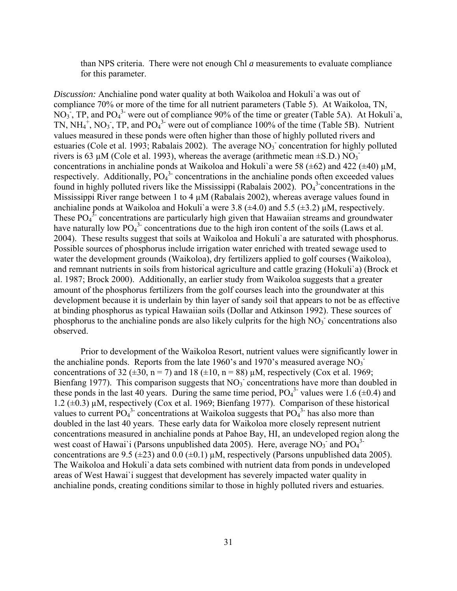than NPS criteria. There were not enough Chl *a* measurements to evaluate compliance for this parameter.

*Discussion:* Anchialine pond water quality at both Waikoloa and Hokuli`a was out of compliance 70% or more of the time for all nutrient parameters (Table 5). At Waikoloa, TN, NO<sub>3</sub>, TP, and PO<sub>4</sub><sup>3</sup> were out of compliance 90% of the time or greater (Table 5A). At Hokuli'a, TN,  $NH_4^+$ , NO<sub>3</sub>, TP, and PO<sub>4</sub><sup>3</sup> were out of compliance 100% of the time (Table 5B). Nutrient values measured in these ponds were often higher than those of highly polluted rivers and estuaries (Cole et al. 1993; Rabalais 2002). The average NO<sub>3</sub> concentration for highly polluted rivers is 63  $\mu$ M (Cole et al. 1993), whereas the average (arithmetic mean  $\pm$ S.D.) NO<sub>3</sub> concentrations in anchialine ponds at Waikoloa and Hokuli'a were 58 ( $\pm$ 62) and 422 ( $\pm$ 40)  $\mu$ M, respectively. Additionally,  $PO<sub>4</sub><sup>3</sup>$  concentrations in the anchialine ponds often exceeded values found in highly polluted rivers like the Mississippi (Rabalais 2002).  $PO<sub>4</sub><sup>3</sup>$  concentrations in the Mississippi River range between 1 to 4  $\mu$ M (Rabalais 2002), whereas average values found in anchialine ponds at Waikoloa and Hokuli'a were 3.8 ( $\pm$ 4.0) and 5.5 ( $\pm$ 3.2)  $\mu$ M, respectively. These  $PO<sub>4</sub><sup>3</sup>$  concentrations are particularly high given that Hawaiian streams and groundwater have naturally low  $PO_4^3$  concentrations due to the high iron content of the soils (Laws et al. 2004). These results suggest that soils at Waikoloa and Hokuli`a are saturated with phosphorus. Possible sources of phosphorus include irrigation water enriched with treated sewage used to water the development grounds (Waikoloa), dry fertilizers applied to golf courses (Waikoloa), and remnant nutrients in soils from historical agriculture and cattle grazing (Hokuli`a) (Brock et al. 1987; Brock 2000). Additionally, an earlier study from Waikoloa suggests that a greater amount of the phosphorus fertilizers from the golf courses leach into the groundwater at this development because it is underlain by thin layer of sandy soil that appears to not be as effective at binding phosphorus as typical Hawaiian soils (Dollar and Atkinson 1992). These sources of phosphorus to the anchialine ponds are also likely culprits for the high  $NO<sub>3</sub>$  concentrations also observed.

Prior to development of the Waikoloa Resort, nutrient values were significantly lower in the anchialine ponds. Reports from the late 1960's and 1970's measured average  $NO<sub>3</sub>$ <sup>-</sup> concentrations of 32 ( $\pm$ 30, n = 7) and 18 ( $\pm$ 10, n = 88)  $\mu$ M, respectively (Cox et al. 1969; Bienfang 1977). This comparison suggests that  $NO<sub>3</sub>$  concentrations have more than doubled in these ponds in the last 40 years. During the same time period,  $PO<sub>4</sub><sup>3</sup>$  values were 1.6 ( $\pm$ 0.4) and 1.2  $(\pm 0.3)$  µM, respectively (Cox et al. 1969; Bienfang 1977). Comparison of these historical values to current  $\overline{PO_4}^3$  concentrations at Waikoloa suggests that  $\overline{PO_4}^3$  has also more than doubled in the last 40 years. These early data for Waikoloa more closely represent nutrient concentrations measured in anchialine ponds at Pahoe Bay, HI, an undeveloped region along the west coast of Hawai`i (Parsons unpublished data 2005). Here, average  $NO_3$ <sup>3</sup> and  $PO_4$ <sup>3</sup> concentrations are 9.5 ( $\pm$ 23) and 0.0 ( $\pm$ 0.1)  $\mu$ M, respectively (Parsons unpublished data 2005). The Waikoloa and Hokuli`a data sets combined with nutrient data from ponds in undeveloped areas of West Hawai`i suggest that development has severely impacted water quality in anchialine ponds, creating conditions similar to those in highly polluted rivers and estuaries.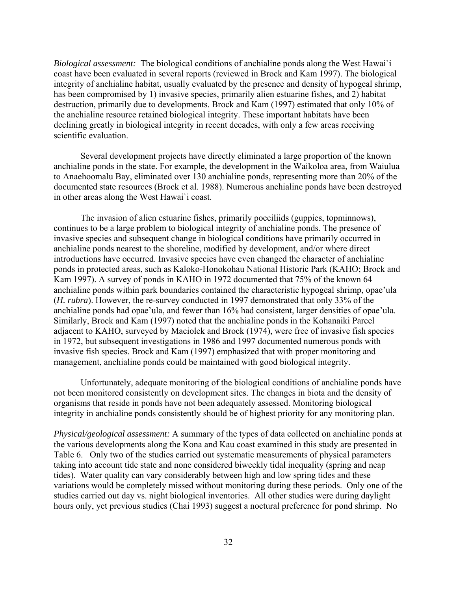*Biological assessment:* The biological conditions of anchialine ponds along the West Hawai`i coast have been evaluated in several reports (reviewed in Brock and Kam 1997). The biological integrity of anchialine habitat, usually evaluated by the presence and density of hypogeal shrimp, has been compromised by 1) invasive species, primarily alien estuarine fishes, and 2) habitat destruction, primarily due to developments. Brock and Kam (1997) estimated that only 10% of the anchialine resource retained biological integrity. These important habitats have been declining greatly in biological integrity in recent decades, with only a few areas receiving scientific evaluation.

Several development projects have directly eliminated a large proportion of the known anchialine ponds in the state. For example, the development in the Waikoloa area, from Waiulua to Anaehoomalu Bay, eliminated over 130 anchialine ponds, representing more than 20% of the documented state resources (Brock et al. 1988). Numerous anchialine ponds have been destroyed in other areas along the West Hawai`i coast.

The invasion of alien estuarine fishes, primarily poeciliids (guppies, topminnows), continues to be a large problem to biological integrity of anchialine ponds. The presence of invasive species and subsequent change in biological conditions have primarily occurred in anchialine ponds nearest to the shoreline, modified by development, and/or where direct introductions have occurred. Invasive species have even changed the character of anchialine ponds in protected areas, such as Kaloko-Honokohau National Historic Park (KAHO; Brock and Kam 1997). A survey of ponds in KAHO in 1972 documented that 75% of the known 64 anchialine ponds within park boundaries contained the characteristic hypogeal shrimp, opae'ula (*H. rubra*). However, the re-survey conducted in 1997 demonstrated that only 33% of the anchialine ponds had opae'ula, and fewer than 16% had consistent, larger densities of opae'ula. Similarly, Brock and Kam (1997) noted that the anchialine ponds in the Kohanaiki Parcel adjacent to KAHO, surveyed by Maciolek and Brock (1974), were free of invasive fish species in 1972, but subsequent investigations in 1986 and 1997 documented numerous ponds with invasive fish species. Brock and Kam (1997) emphasized that with proper monitoring and management, anchialine ponds could be maintained with good biological integrity.

Unfortunately, adequate monitoring of the biological conditions of anchialine ponds have not been monitored consistently on development sites. The changes in biota and the density of organisms that reside in ponds have not been adequately assessed. Monitoring biological integrity in anchialine ponds consistently should be of highest priority for any monitoring plan.

*Physical/geological assessment:* A summary of the types of data collected on anchialine ponds at the various developments along the Kona and Kau coast examined in this study are presented in Table 6. Only two of the studies carried out systematic measurements of physical parameters taking into account tide state and none considered biweekly tidal inequality (spring and neap tides). Water quality can vary considerably between high and low spring tides and these variations would be completely missed without monitoring during these periods. Only one of the studies carried out day vs. night biological inventories. All other studies were during daylight hours only, yet previous studies (Chai 1993) suggest a noctural preference for pond shrimp. No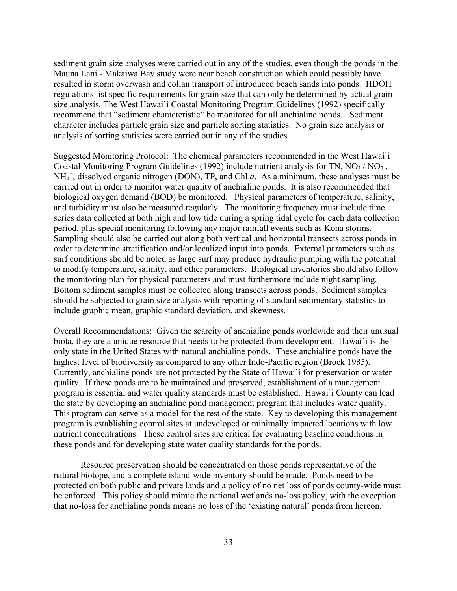sediment grain size analyses were carried out in any of the studies, even though the ponds in the Mauna Lani - Makaiwa Bay study were near beach construction which could possibly have resulted in storm overwash and eolian transport of introduced beach sands into ponds. HDOH regulations list specific requirements for grain size that can only be determined by actual grain size analysis. The West Hawai`i Coastal Monitoring Program Guidelines (1992) specifically recommend that "sediment characteristic" be monitored for all anchialine ponds. Sediment character includes particle grain size and particle sorting statistics. No grain size analysis or analysis of sorting statistics were carried out in any of the studies.

Suggested Monitoring Protocol: The chemical parameters recommended in the West Hawai`i Coastal Monitoring Program Guidelines (1992) include nutrient analysis for TN,  $NO<sub>3</sub> / NO<sub>2</sub>$ ,  $NH_4^+$ , dissolved organic nitrogen (DON), TP, and Chl  $a$ . As a minimum, these analyses must be carried out in order to monitor water quality of anchialine ponds. It is also recommended that biological oxygen demand (BOD) be monitored. Physical parameters of temperature, salinity, and turbidity must also be measured regularly. The monitoring frequency must include time series data collected at both high and low tide during a spring tidal cycle for each data collection period, plus special monitoring following any major rainfall events such as Kona storms. Sampling should also be carried out along both vertical and horizontal transects across ponds in order to determine stratification and/or localized input into ponds. External parameters such as surf conditions should be noted as large surf may produce hydraulic pumping with the potential to modify temperature, salinity, and other parameters. Biological inventories should also follow the monitoring plan for physical parameters and must furthermore include night sampling. Bottom sediment samples must be collected along transects across ponds. Sediment samples should be subjected to grain size analysis with reporting of standard sedimentary statistics to include graphic mean, graphic standard deviation, and skewness.

Overall Recommendations: Given the scarcity of anchialine ponds worldwide and their unusual biota, they are a unique resource that needs to be protected from development. Hawai`i is the only state in the United States with natural anchialine ponds. These anchialine ponds have the highest level of biodiversity as compared to any other Indo-Pacific region (Brock 1985). Currently, anchialine ponds are not protected by the State of Hawai`i for preservation or water quality. If these ponds are to be maintained and preserved, establishment of a management program is essential and water quality standards must be established. Hawai`i County can lead the state by developing an anchialine pond management program that includes water quality. This program can serve as a model for the rest of the state. Key to developing this management program is establishing control sites at undeveloped or minimally impacted locations with low nutrient concentrations. These control sites are critical for evaluating baseline conditions in these ponds and for developing state water quality standards for the ponds.

Resource preservation should be concentrated on those ponds representative of the natural biotope, and a complete island-wide inventory should be made. Ponds need to be protected on both public and private lands and a policy of no net loss of ponds county-wide must be enforced. This policy should mimic the national wetlands no-loss policy, with the exception that no-loss for anchialine ponds means no loss of the 'existing natural' ponds from hereon.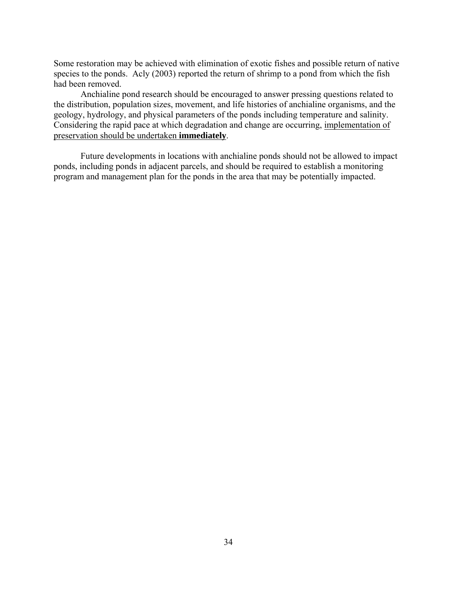Some restoration may be achieved with elimination of exotic fishes and possible return of native species to the ponds. Acly (2003) reported the return of shrimp to a pond from which the fish had been removed.

Anchialine pond research should be encouraged to answer pressing questions related to the distribution, population sizes, movement, and life histories of anchialine organisms, and the geology, hydrology, and physical parameters of the ponds including temperature and salinity. Considering the rapid pace at which degradation and change are occurring, implementation of preservation should be undertaken **immediately**.

Future developments in locations with anchialine ponds should not be allowed to impact ponds, including ponds in adjacent parcels, and should be required to establish a monitoring program and management plan for the ponds in the area that may be potentially impacted.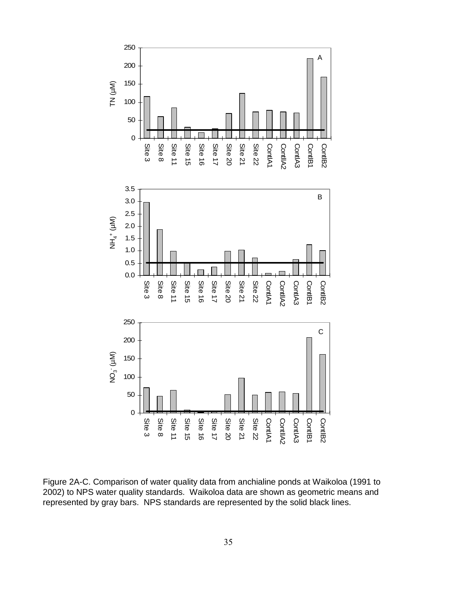

Figure 2A-C. Comparison of water quality data from anchialine ponds at Waikoloa (1991 to 2002) to NPS water quality standards. Waikoloa data are shown as geometric means and represented by gray bars. NPS standards are represented by the solid black lines.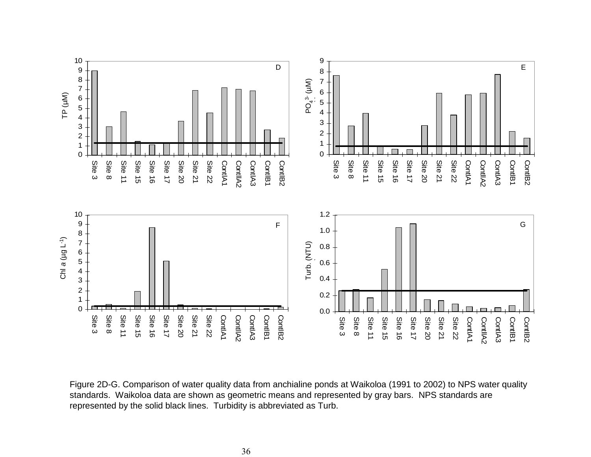

Figure 2D-G. Comparison of water quality data from anchialine ponds at Waikoloa (1991 to 2002) to NPS water quality standards. Waikoloa data are shown as geometric means and represented by gray bars. NPS standards are represented by the solid black lines. Turbidity is abbreviated as Turb.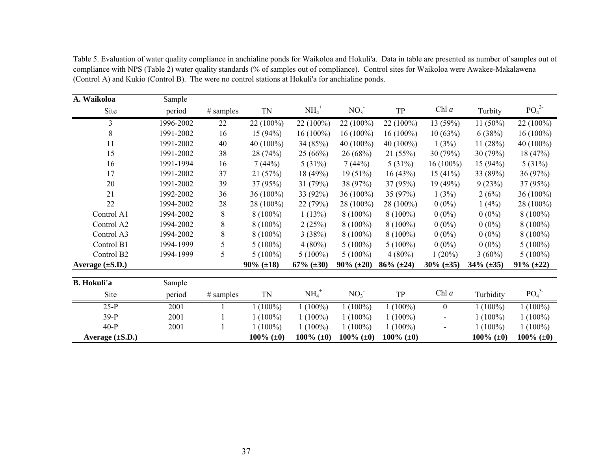| A. Waikoloa          | Sample    |             |                    |                |                 |                |                |                     |                              |
|----------------------|-----------|-------------|--------------------|----------------|-----------------|----------------|----------------|---------------------|------------------------------|
| Site                 | period    | $#$ samples | TN                 | $NH_4^+$       | NO <sub>3</sub> | ${\rm TP}$     | Chl a          | Turbity             | PO <sub>4</sub> <sup>3</sup> |
| 3                    | 1996-2002 | 22          | 22 (100%)          | 22 (100%)      | 22 (100%)       | 22 (100%)      | 13 (59%)       | $11(50\%)$          | 22 (100%)                    |
| 8                    | 1991-2002 | 16          | 15(94%)            | $16(100\%)$    | $16(100\%)$     | $16(100\%)$    | 10(63%)        | 6(38%)              | $16(100\%)$                  |
| 11                   | 1991-2002 | 40          | 40 (100%)          | 34 (85%)       | $40(100\%)$     | 40 $(100\%)$   | 1(3%)          | 11(28%)             | 40 (100%)                    |
| 15                   | 1991-2002 | 38          | 28(74%)            | 25(66%)        | 26 (68%)        | 21(55%)        | 30(79%)        | 30 (79%)            | 18 (47%)                     |
| 16                   | 1991-1994 | 16          | 7(44%)             | 5(31%)         | 7(44%)          | 5(31%)         | $16(100\%)$    | 15(94%)             | 5(31%)                       |
| 17                   | 1991-2002 | 37          | 21(57%)            | 18(49%)        | $19(51\%)$      | 16(43%)        | 15(41%)        | 33 (89%)            | 36 (97%)                     |
| 20                   | 1991-2002 | 39          | 37(95%)            | 31 $(79%)$     | 38 (97%)        | 37 (95%)       | 19(49%)        | 9(23%)              | 37 (95%)                     |
| 21                   | 1992-2002 | 36          | $36(100\%)$        | 33 (92%)       | $36(100\%)$     | 35 (97%)       | 1(3%)          | 2(6%)               | 36 (100%)                    |
| 22                   | 1994-2002 | 28          | 28 (100%)          | 22 (79%)       | 28 (100%)       | 28 (100%)      | $0(0\%)$       | 1(4%)               | 28 (100%)                    |
| Control A1           | 1994-2002 | 8           | $8(100\%)$         | 1(13%)         | $8(100\%)$      | $8(100\%)$     | $0(0\%)$       | $0(0\%)$            | $8(100\%)$                   |
| Control A2           | 1994-2002 | 8           | $8(100\%)$         | 2(25%)         | $8(100\%)$      | $8(100\%)$     | $0(0\%)$       | $0(0\%)$            | $8(100\%)$                   |
| Control A3           | 1994-2002 | 8           | $8(100\%)$         | 3(38%)         | $8(100\%)$      | $8(100\%)$     | $0(0\%)$       | $0(0\%)$            | $8(100\%)$                   |
| Control B1           | 1994-1999 | 5           | $5(100\%)$         | $4(80\%)$      | $5(100\%)$      | $5(100\%)$     | $0(0\%)$       | $0(0\%)$            | $5(100\%)$                   |
| Control B2           | 1994-1999 | 5           | $5(100\%)$         | $5(100\%)$     | $5(100\%)$      | $4(80\%)$      | 1(20%)         | $3(60\%)$           | $5(100\%)$                   |
| Average (±S.D.)      |           |             | $90\%~(\pm 18)$    | 67% $(\pm 30)$ | $90\%~(\pm 20)$ | $86% (\pm 24)$ | $30\%$ (±35)   | $34\%$ ( $\pm 35$ ) | $91\%$ ( $\pm 22$ )          |
| <b>B.</b> Hokuli'a   | Sample    |             |                    |                |                 |                |                |                     |                              |
| Site                 | period    | $#$ samples | $\mbox{T}\mbox{N}$ | $NH_4^+$       | NO <sub>3</sub> | TP             | Chl a          | Turbidity           | PO <sub>4</sub> <sup>3</sup> |
| $25-P$               | 2001      |             | $1(100\%)$         | $1(100\%)$     | $1(100\%)$      | $1(100\%)$     | $\overline{0}$ | $1(100\%)$          | $1(100\%)$                   |
| $39-P$               | 2001      |             | $1(100\%)$         | $1(100\%)$     | $1(100\%)$      | $1(100\%)$     |                | $1(100\%)$          | $1(100\%)$                   |
| $40-P$               | 2001      |             | $1(100\%)$         | $1(100\%)$     | $1(100\%)$      | $1(100\%)$     |                | $1(100\%)$          | $1(100\%)$                   |
| Average $(\pm S.D.)$ |           |             | 100% $(\pm 0)$     | 100% $(\pm 0)$ | 100% $(\pm 0)$  | 100% $(\pm 0)$ |                | 100% $(\pm 0)$      | 100% $(\pm 0)$               |

Table 5. Evaluation of water quality compliance in anchialine ponds for Waikoloa and Hokuli'a. Data in table are presented as number of samples out of compliance with NPS (Table 2) water quality standards (% of samples out of compliance). Control sites for Waikoloa were Awakee-Makalawena (Control A) and Kukio (Control B). The were no control stations at Hokuli'a for anchialine ponds.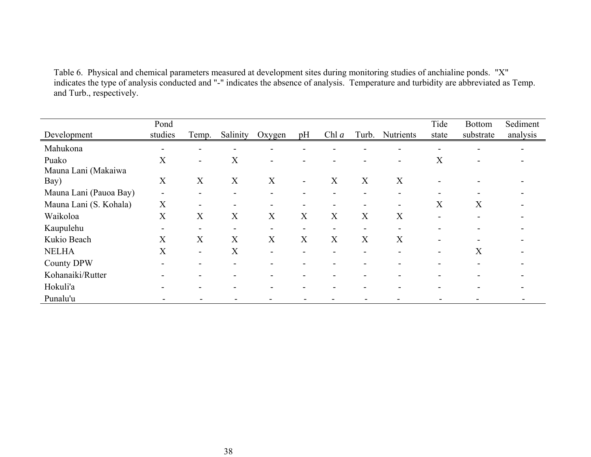Table 6. Physical and chemical parameters measured at development sites during monitoring studies of anchialine ponds. "X" indicates the type of analysis conducted and "-" indicates the absence of analysis. Temperature and turbidity are abbreviated as Temp. and Turb., respectively.

| Development                  | Pond<br>studies          | Temp.                    | Salinity                 | Oxygen                   | pH                       | Chl $a$                  | Turb.                    | <b>Nutrients</b>         | Tide<br>state | <b>Bottom</b><br>substrate | Sediment<br>analysis |
|------------------------------|--------------------------|--------------------------|--------------------------|--------------------------|--------------------------|--------------------------|--------------------------|--------------------------|---------------|----------------------------|----------------------|
| Mahukona                     | $\blacksquare$           |                          |                          |                          |                          |                          |                          |                          |               |                            |                      |
| Puako<br>Mauna Lani (Makaiwa | X                        | ۰.                       | X                        | $\overline{\phantom{0}}$ |                          |                          |                          |                          | X             |                            |                      |
| Bay)                         | X                        | X                        | X                        | X                        | $\overline{\phantom{a}}$ | X                        | X                        | X                        |               |                            |                      |
| Mauna Lani (Pauoa Bay)       | $\overline{\phantom{a}}$ | $\overline{\phantom{a}}$ | -                        | $\blacksquare$           | $\overline{\phantom{0}}$ | $\blacksquare$           | -                        | $\overline{\phantom{0}}$ |               |                            |                      |
| Mauna Lani (S. Kohala)       | X                        |                          |                          | $\overline{\phantom{a}}$ |                          | $\overline{\phantom{0}}$ |                          |                          | X             | X                          |                      |
| Waikoloa                     | X                        | X                        | X                        | X                        | X                        | X                        | X                        | X                        |               |                            |                      |
| Kaupulehu                    | $\sim$                   | $\overline{\phantom{0}}$ | $\sim$                   | $\overline{\phantom{a}}$ | $\blacksquare$           | $\overline{\phantom{a}}$ | $\overline{\phantom{a}}$ |                          |               |                            |                      |
| Kukio Beach                  | X                        | X                        | X                        | X                        | X                        | X                        | X                        | X                        |               |                            |                      |
| <b>NELHA</b>                 | $\rm\overline{X}$        | $\blacksquare$           | X                        | $\overline{\phantom{0}}$ |                          | $\overline{\phantom{0}}$ |                          |                          |               | X                          |                      |
| <b>County DPW</b>            | $\blacksquare$           |                          | $\overline{\phantom{0}}$ | $\overline{\phantom{0}}$ |                          | $\overline{\phantom{0}}$ |                          |                          |               |                            |                      |
| Kohanaiki/Rutter             |                          |                          |                          |                          |                          |                          |                          |                          |               |                            |                      |
| Hokuli'a                     | $\overline{\phantom{0}}$ |                          |                          |                          |                          |                          |                          |                          |               |                            |                      |
| Punalu'u                     |                          |                          |                          |                          |                          |                          |                          |                          |               |                            |                      |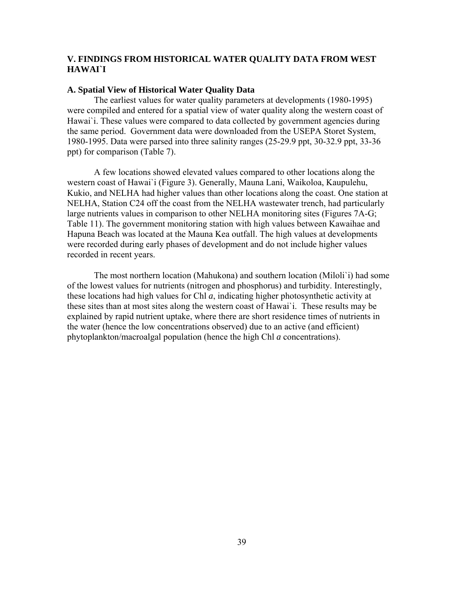## **V. FINDINGS FROM HISTORICAL WATER QUALITY DATA FROM WEST HAWAI`I**

#### **A. Spatial View of Historical Water Quality Data**

The earliest values for water quality parameters at developments (1980-1995) were compiled and entered for a spatial view of water quality along the western coast of Hawai'i. These values were compared to data collected by government agencies during the same period. Government data were downloaded from the USEPA Storet System, 1980-1995. Data were parsed into three salinity ranges (25-29.9 ppt, 30-32.9 ppt, 33-36 ppt) for comparison (Table 7).

A few locations showed elevated values compared to other locations along the western coast of Hawai`i (Figure 3). Generally, Mauna Lani, Waikoloa, Kaupulehu, Kukio, and NELHA had higher values than other locations along the coast. One station at NELHA, Station C24 off the coast from the NELHA wastewater trench, had particularly large nutrients values in comparison to other NELHA monitoring sites (Figures 7A-G; Table 11). The government monitoring station with high values between Kawaihae and Hapuna Beach was located at the Mauna Kea outfall. The high values at developments were recorded during early phases of development and do not include higher values recorded in recent years.

The most northern location (Mahukona) and southern location (Miloli`i) had some of the lowest values for nutrients (nitrogen and phosphorus) and turbidity. Interestingly, these locations had high values for Chl *a*, indicating higher photosynthetic activity at these sites than at most sites along the western coast of Hawai`i. These results may be explained by rapid nutrient uptake, where there are short residence times of nutrients in the water (hence the low concentrations observed) due to an active (and efficient) phytoplankton/macroalgal population (hence the high Chl *a* concentrations).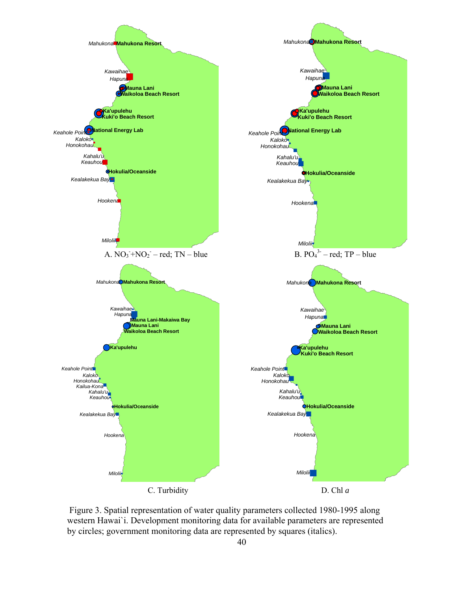

 Figure 3. Spatial representation of water quality parameters collected 1980-1995 along western Hawai`i. Development monitoring data for available parameters are represented by circles; government monitoring data are represented by squares (italics).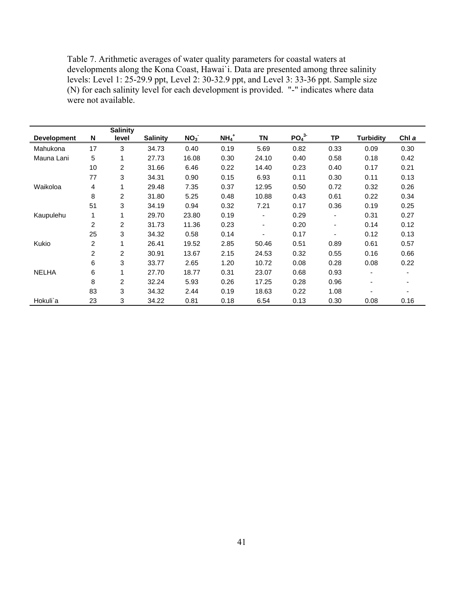Table 7. Arithmetic averages of water quality parameters for coastal waters at developments along the Kona Coast, Hawai`i. Data are presented among three salinity levels: Level 1: 25-29.9 ppt, Level 2: 30-32.9 ppt, and Level 3: 33-36 ppt. Sample size (N) for each salinity level for each development is provided. "-" indicates where data were not available.

|                    |                | <b>Salinity</b> |                 |                 |                    |       |                              |                          |           |       |
|--------------------|----------------|-----------------|-----------------|-----------------|--------------------|-------|------------------------------|--------------------------|-----------|-------|
| <b>Development</b> | N              | level           | <b>Salinity</b> | NO <sub>3</sub> | $NH4$ <sup>+</sup> | ΤN    | PO <sub>4</sub> <sup>3</sup> | TP                       | Turbidity | Chl a |
| Mahukona           | 17             | 3               | 34.73           | 0.40            | 0.19               | 5.69  | 0.82                         | 0.33                     | 0.09      | 0.30  |
| Mauna Lani         | 5              | 1               | 27.73           | 16.08           | 0.30               | 24.10 | 0.40                         | 0.58                     | 0.18      | 0.42  |
|                    | 10             | 2               | 31.66           | 6.46            | 0.22               | 14.40 | 0.23                         | 0.40                     | 0.17      | 0.21  |
|                    | 77             | 3               | 34.31           | 0.90            | 0.15               | 6.93  | 0.11                         | 0.30                     | 0.11      | 0.13  |
| Waikoloa           | 4              | 1               | 29.48           | 7.35            | 0.37               | 12.95 | 0.50                         | 0.72                     | 0.32      | 0.26  |
|                    | 8              | $\overline{c}$  | 31.80           | 5.25            | 0.48               | 10.88 | 0.43                         | 0.61                     | 0.22      | 0.34  |
|                    | 51             | 3               | 34.19           | 0.94            | 0.32               | 7.21  | 0.17                         | 0.36                     | 0.19      | 0.25  |
| Kaupulehu          | 1              | 1               | 29.70           | 23.80           | 0.19               | ۰     | 0.29                         | $\overline{\phantom{a}}$ | 0.31      | 0.27  |
|                    | 2              | $\overline{2}$  | 31.73           | 11.36           | 0.23               | ۰     | 0.20                         | $\overline{\phantom{a}}$ | 0.14      | 0.12  |
|                    | 25             | 3               | 34.32           | 0.58            | 0.14               |       | 0.17                         | ٠                        | 0.12      | 0.13  |
| Kukio              | $\overline{c}$ |                 | 26.41           | 19.52           | 2.85               | 50.46 | 0.51                         | 0.89                     | 0.61      | 0.57  |
|                    | 2              | $\overline{2}$  | 30.91           | 13.67           | 2.15               | 24.53 | 0.32                         | 0.55                     | 0.16      | 0.66  |
|                    | 6              | 3               | 33.77           | 2.65            | 1.20               | 10.72 | 0.08                         | 0.28                     | 0.08      | 0.22  |
| <b>NELHA</b>       | 6              |                 | 27.70           | 18.77           | 0.31               | 23.07 | 0.68                         | 0.93                     | ٠         |       |
|                    | 8              | $\overline{2}$  | 32.24           | 5.93            | 0.26               | 17.25 | 0.28                         | 0.96                     | ٠         |       |
|                    | 83             | 3               | 34.32           | 2.44            | 0.19               | 18.63 | 0.22                         | 1.08                     |           |       |
| Hokuli`a           | 23             | 3               | 34.22           | 0.81            | 0.18               | 6.54  | 0.13                         | 0.30                     | 0.08      | 0.16  |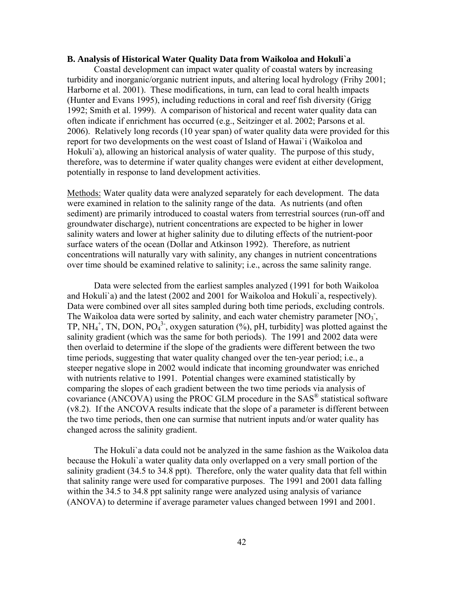#### **B. Analysis of Historical Water Quality Data from Waikoloa and Hokuli`a**

Coastal development can impact water quality of coastal waters by increasing turbidity and inorganic/organic nutrient inputs, and altering local hydrology (Frihy 2001; Harborne et al. 2001). These modifications, in turn, can lead to coral health impacts (Hunter and Evans 1995), including reductions in coral and reef fish diversity (Grigg 1992; Smith et al. 1999). A comparison of historical and recent water quality data can often indicate if enrichment has occurred (e.g., Seitzinger et al. 2002; Parsons et al. 2006). Relatively long records (10 year span) of water quality data were provided for this report for two developments on the west coast of Island of Hawai`i (Waikoloa and Hokuli`a), allowing an historical analysis of water quality. The purpose of this study, therefore, was to determine if water quality changes were evident at either development, potentially in response to land development activities.

Methods: Water quality data were analyzed separately for each development. The data were examined in relation to the salinity range of the data. As nutrients (and often sediment) are primarily introduced to coastal waters from terrestrial sources (run-off and groundwater discharge), nutrient concentrations are expected to be higher in lower salinity waters and lower at higher salinity due to diluting effects of the nutrient-poor surface waters of the ocean (Dollar and Atkinson 1992). Therefore, as nutrient concentrations will naturally vary with salinity, any changes in nutrient concentrations over time should be examined relative to salinity; i.e., across the same salinity range.

Data were selected from the earliest samples analyzed (1991 for both Waikoloa and Hokuli`a) and the latest (2002 and 2001 for Waikoloa and Hokuli`a, respectively). Data were combined over all sites sampled during both time periods, excluding controls. The Waikoloa data were sorted by salinity, and each water chemistry parameter  $[NO<sub>3</sub>]$ , TP, NH<sub>4</sub><sup>+</sup>, TN, DON, PO<sub>4</sub><sup>3</sup><sup>-</sup>, oxygen saturation (%), pH, turbidity] was plotted against the salinity gradient (which was the same for both periods). The 1991 and 2002 data were then overlaid to determine if the slope of the gradients were different between the two time periods, suggesting that water quality changed over the ten-year period; i.e., a steeper negative slope in 2002 would indicate that incoming groundwater was enriched with nutrients relative to 1991. Potential changes were examined statistically by comparing the slopes of each gradient between the two time periods via analysis of covariance (ANCOVA) using the PROC GLM procedure in the SAS® statistical software (v8.2). If the ANCOVA results indicate that the slope of a parameter is different between the two time periods, then one can surmise that nutrient inputs and/or water quality has changed across the salinity gradient.

The Hokuli`a data could not be analyzed in the same fashion as the Waikoloa data because the Hokuli`a water quality data only overlapped on a very small portion of the salinity gradient (34.5 to 34.8 ppt). Therefore, only the water quality data that fell within that salinity range were used for comparative purposes. The 1991 and 2001 data falling within the 34.5 to 34.8 ppt salinity range were analyzed using analysis of variance (ANOVA) to determine if average parameter values changed between 1991 and 2001.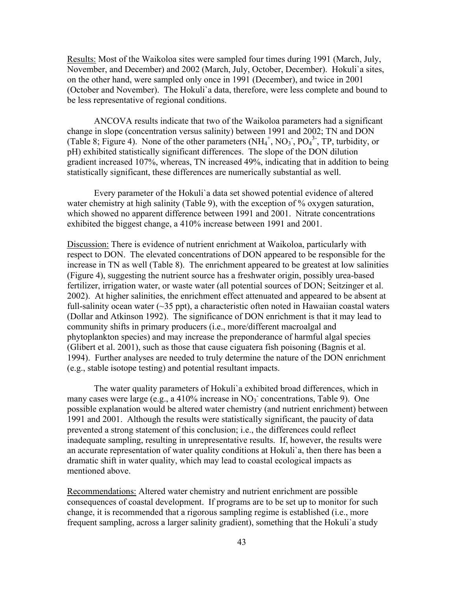Results: Most of the Waikoloa sites were sampled four times during 1991 (March, July, November, and December) and 2002 (March, July, October, December). Hokuli`a sites, on the other hand, were sampled only once in 1991 (December), and twice in 2001 (October and November). The Hokuli`a data, therefore, were less complete and bound to be less representative of regional conditions.

ANCOVA results indicate that two of the Waikoloa parameters had a significant change in slope (concentration versus salinity) between 1991 and 2002; TN and DON (Table 8; Figure 4). None of the other parameters  $(NH_4^+, NO_3, PO_4^3, TP, turbidity, or$ pH) exhibited statistically significant differences. The slope of the DON dilution gradient increased 107%, whereas, TN increased 49%, indicating that in addition to being statistically significant, these differences are numerically substantial as well.

Every parameter of the Hokuli`a data set showed potential evidence of altered water chemistry at high salinity (Table 9), with the exception of % oxygen saturation, which showed no apparent difference between 1991 and 2001. Nitrate concentrations exhibited the biggest change, a 410% increase between 1991 and 2001.

Discussion: There is evidence of nutrient enrichment at Waikoloa, particularly with respect to DON. The elevated concentrations of DON appeared to be responsible for the increase in TN as well (Table 8). The enrichment appeared to be greatest at low salinities (Figure 4), suggesting the nutrient source has a freshwater origin, possibly urea-based fertilizer, irrigation water, or waste water (all potential sources of DON; Seitzinger et al. 2002). At higher salinities, the enrichment effect attenuated and appeared to be absent at full-salinity ocean water  $(\sim 35 \text{ ppt})$ , a characteristic often noted in Hawaiian coastal waters (Dollar and Atkinson 1992). The significance of DON enrichment is that it may lead to community shifts in primary producers (i.e., more/different macroalgal and phytoplankton species) and may increase the preponderance of harmful algal species (Glibert et al. 2001), such as those that cause ciguatera fish poisoning (Bagnis et al. 1994). Further analyses are needed to truly determine the nature of the DON enrichment (e.g., stable isotope testing) and potential resultant impacts.

The water quality parameters of Hokuli`a exhibited broad differences, which in many cases were large (e.g., a 410% increase in  $NO<sub>3</sub>$  concentrations, Table 9). One possible explanation would be altered water chemistry (and nutrient enrichment) between 1991 and 2001. Although the results were statistically significant, the paucity of data prevented a strong statement of this conclusion; i.e., the differences could reflect inadequate sampling, resulting in unrepresentative results. If, however, the results were an accurate representation of water quality conditions at Hokuli`a, then there has been a dramatic shift in water quality, which may lead to coastal ecological impacts as mentioned above.

Recommendations: Altered water chemistry and nutrient enrichment are possible consequences of coastal development. If programs are to be set up to monitor for such change, it is recommended that a rigorous sampling regime is established (i.e., more frequent sampling, across a larger salinity gradient), something that the Hokuli`a study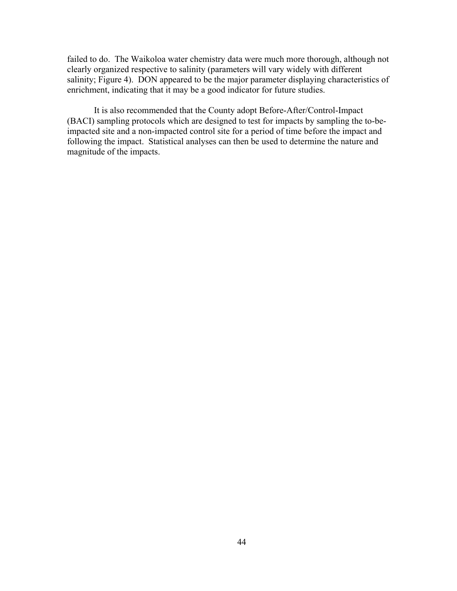failed to do. The Waikoloa water chemistry data were much more thorough, although not clearly organized respective to salinity (parameters will vary widely with different salinity; Figure 4). DON appeared to be the major parameter displaying characteristics of enrichment, indicating that it may be a good indicator for future studies.

It is also recommended that the County adopt Before-After/Control-Impact (BACI) sampling protocols which are designed to test for impacts by sampling the to-beimpacted site and a non-impacted control site for a period of time before the impact and following the impact. Statistical analyses can then be used to determine the nature and magnitude of the impacts.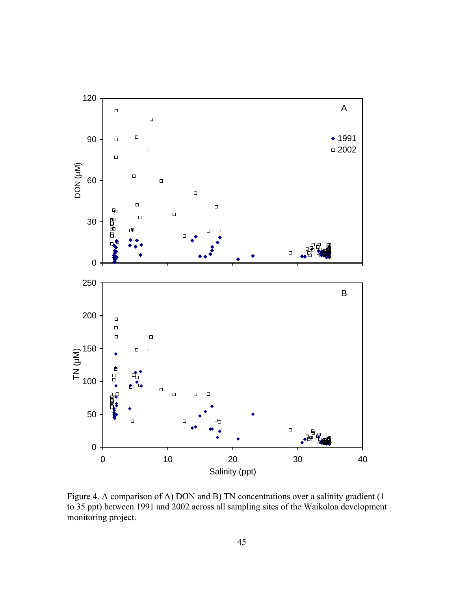

Figure 4. A comparison of A) DON and B) TN concentrations over a salinity gradient (1 to 35 ppt) between 1991 and 2002 across all sampling sites of the Waikoloa development monitoring project.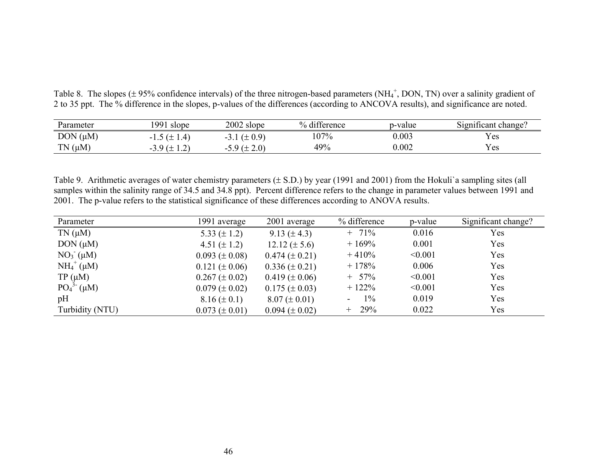Table 8. The slopes ( $\pm$  95% confidence intervals) of the three nitrogen-based parameters (NH<sub>4</sub><sup>+</sup>, DON, TN) over a salinity gradient of 2 to 35 ppt. The % difference in the slopes, p-values of the differences (according to ANCOVA results), and significance are noted.

| Parameter    | 991<br>slope    | 2002 slope      | % difference | p-value | $\sim$ $\cdot$<br>Significant change? |
|--------------|-----------------|-----------------|--------------|---------|---------------------------------------|
| $DOM(\mu M)$ | $1.5 (\pm 1.4)$ | $5.1 (\pm 0.9)$ | 107%         | 0.003   | Y es                                  |
| $TN(\mu M)$  | $0(1+$<br>—     | 2.0)            | 49%          | 0.002   | Y es                                  |

Table 9. Arithmetic averages of water chemistry parameters (± S.D.) by year (1991 and 2001) from the Hokuli`a sampling sites (all samples within the salinity range of 34.5 and 34.8 ppt). Percent difference refers to the change in parameter values between 1991 and 2001. The p-value refers to the statistical significance of these differences according to ANOVA results.

| Parameter           | 1991 average         | 2001 average         | % difference | p-value | Significant change? |
|---------------------|----------------------|----------------------|--------------|---------|---------------------|
| $TN(\mu M)$         | 5.33 $(\pm 1.2)$     | $9.13 (\pm 4.3)$     | $+ 71\%$     | 0.016   | Yes                 |
| $DOM(\mu M)$        | 4.51 $(\pm 1.2)$     | $12.12 (\pm 5.6)$    | $+169%$      | 0.001   | Yes                 |
| $NO3-(\mu M)$       | $0.093 \ (\pm 0.08)$ | $0.474 \ (\pm 0.21)$ | $+410%$      | < 0.001 | Yes                 |
| $NH_4^+$ ( $\mu$ M) | $0.121 (\pm 0.06)$   | $0.336 \ (\pm 0.21)$ | $+178%$      | 0.006   | Yes                 |
| $TP(\mu M)$         | $0.267 \ (\pm 0.02)$ | $0.419 \ (\pm 0.06)$ | $+ 57\%$     | < 0.001 | Yes                 |
| $PO_4^{3-}(\mu M)$  | $0.079 \ (\pm 0.02)$ | $0.175 \ (\pm 0.03)$ | $+122%$      | < 0.001 | Yes                 |
| pH                  | $8.16 (\pm 0.1)$     | $8.07 (\pm 0.01)$    | $1\%$<br>۰.  | 0.019   | Yes                 |
| Turbidity (NTU)     | $0.073 \ (\pm 0.01)$ | $0.094 \ (\pm 0.02)$ | $+ 29\%$     | 0.022   | Yes                 |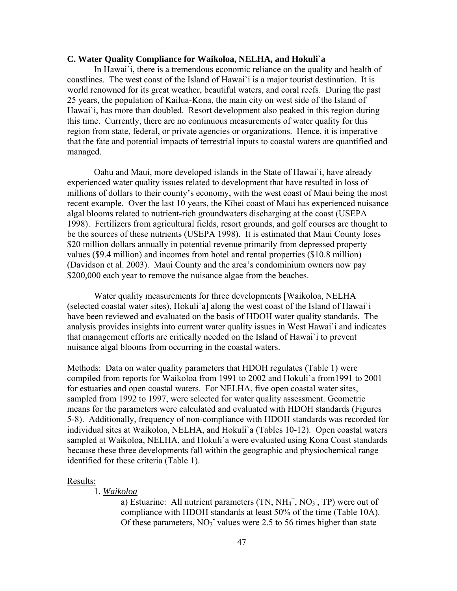#### **C. Water Quality Compliance for Waikoloa, NELHA, and Hokuli`a**

In Hawai`i, there is a tremendous economic reliance on the quality and health of coastlines. The west coast of the Island of Hawai`i is a major tourist destination. It is world renowned for its great weather, beautiful waters, and coral reefs. During the past 25 years, the population of Kailua-Kona, the main city on west side of the Island of Hawai`i, has more than doubled. Resort development also peaked in this region during this time. Currently, there are no continuous measurements of water quality for this region from state, federal, or private agencies or organizations. Hence, it is imperative that the fate and potential impacts of terrestrial inputs to coastal waters are quantified and managed.

Oahu and Maui, more developed islands in the State of Hawai`i, have already experienced water quality issues related to development that have resulted in loss of millions of dollars to their county's economy, with the west coast of Maui being the most recent example. Over the last 10 years, the Kīhei coast of Maui has experienced nuisance algal blooms related to nutrient-rich groundwaters discharging at the coast (USEPA 1998). Fertilizers from agricultural fields, resort grounds, and golf courses are thought to be the sources of these nutrients (USEPA 1998). It is estimated that Maui County loses \$20 million dollars annually in potential revenue primarily from depressed property values (\$9.4 million) and incomes from hotel and rental properties (\$10.8 million) (Davidson et al. 2003). Maui County and the area's condominium owners now pay \$200,000 each year to remove the nuisance algae from the beaches.

Water quality measurements for three developments [Waikoloa, NELHA (selected coastal water sites), Hokuli`a] along the west coast of the Island of Hawai`i have been reviewed and evaluated on the basis of HDOH water quality standards. The analysis provides insights into current water quality issues in West Hawai`i and indicates that management efforts are critically needed on the Island of Hawai`i to prevent nuisance algal blooms from occurring in the coastal waters.

Methods: Data on water quality parameters that HDOH regulates (Table 1) were compiled from reports for Waikoloa from 1991 to 2002 and Hokuli`a from1991 to 2001 for estuaries and open coastal waters. For NELHA, five open coastal water sites, sampled from 1992 to 1997, were selected for water quality assessment. Geometric means for the parameters were calculated and evaluated with HDOH standards (Figures 5-8). Additionally, frequency of non-compliance with HDOH standards was recorded for individual sites at Waikoloa, NELHA, and Hokuli`a (Tables 10-12). Open coastal waters sampled at Waikoloa, NELHA, and Hokuli`a were evaluated using Kona Coast standards because these three developments fall within the geographic and physiochemical range identified for these criteria (Table 1).

#### Results:

#### 1. *Waikoloa*

a) Estuarine: All nutrient parameters (TN,  $NH_4^+$ , NO<sub>3</sub>, TP) were out of compliance with HDOH standards at least 50% of the time (Table 10A). Of these parameters,  $NO_3$  values were 2.5 to 56 times higher than state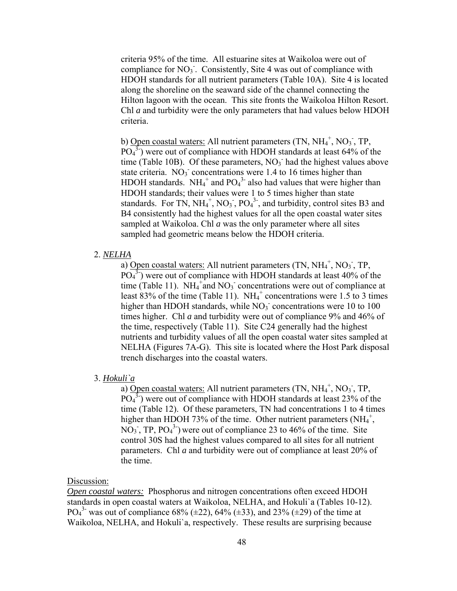criteria 95% of the time. All estuarine sites at Waikoloa were out of compliance for NO<sub>3</sub>. Consistently, Site 4 was out of compliance with HDOH standards for all nutrient parameters (Table 10A). Site 4 is located along the shoreline on the seaward side of the channel connecting the Hilton lagoon with the ocean. This site fronts the Waikoloa Hilton Resort. Chl *a* and turbidity were the only parameters that had values below HDOH criteria.

b) Open coastal waters: All nutrient parameters  $(TN, NH<sub>4</sub><sup>+</sup>, NO<sub>3</sub><sup>-</sup>, TP,$  $\overline{PO_4}$ <sup>3-</sup>) were out of compliance with HDOH standards at least 64% of the time (Table 10B). Of these parameters,  $NO<sub>3</sub>$  had the highest values above state criteria.  $NO<sub>3</sub>$  concentrations were 1.4 to 16 times higher than HDOH standards.  $NH_4^+$  and  $PO_4^3$  also had values that were higher than HDOH standards; their values were 1 to 5 times higher than state standards. For TN,  $NH_4^+$ , NO<sub>3</sub>, PO<sub>4</sub><sup>3</sup>, and turbidity, control sites B3 and B4 consistently had the highest values for all the open coastal water sites sampled at Waikoloa. Chl *a* was the only parameter where all sites sampled had geometric means below the HDOH criteria.

### 2. *NELHA*

a) Open coastal waters: All nutrient parameters (TN,  $NH_4^+$ , NO<sub>3</sub><sup>-</sup>, TP,  $\overline{PO_4}$ <sup>3</sup>) were out of compliance with HDOH standards at least 40% of the time (Table 11).  $NH_4^+$  and  $NO_3^-$  concentrations were out of compliance at least 83% of the time (Table 11).  $NH_4^+$  concentrations were 1.5 to 3 times higher than HDOH standards, while  $NO<sub>3</sub>$  concentrations were 10 to 100 times higher. Chl *a* and turbidity were out of compliance 9% and 46% of the time, respectively (Table 11). Site C24 generally had the highest nutrients and turbidity values of all the open coastal water sites sampled at NELHA (Figures 7A-G). This site is located where the Host Park disposal trench discharges into the coastal waters.

## 3. *Hokuli`a*

a) Open coastal waters: All nutrient parameters (TN,  $NH_4^+$ ,  $NO_3^-$ , TP,  $\overline{PO_4}$ <sup>3</sup>) were out of compliance with HDOH standards at least 23% of the time (Table 12). Of these parameters, TN had concentrations 1 to 4 times higher than HDOH 73% of the time. Other nutrient parameters  $(NH_4^+,$  $NO<sub>3</sub>$ , TP,  $PO<sub>4</sub><sup>3</sup>$ ) were out of compliance 23 to 46% of the time. Site control 30S had the highest values compared to all sites for all nutrient parameters. Chl *a* and turbidity were out of compliance at least 20% of the time.

### Discussion:

*Open coastal waters:* Phosphorus and nitrogen concentrations often exceed HDOH standards in open coastal waters at Waikoloa, NELHA, and Hokuli`a (Tables 10-12). PO<sub>4</sub><sup>3</sup> was out of compliance 68% ( $\pm$ 22), 64% ( $\pm$ 33), and 23% ( $\pm$ 29) of the time at Waikoloa, NELHA, and Hokuli`a, respectively. These results are surprising because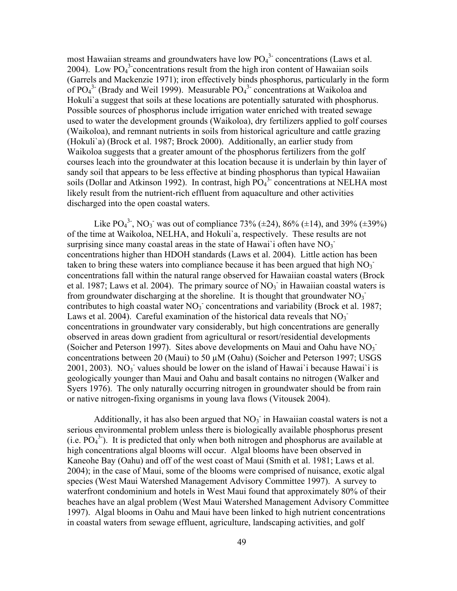most Hawaiian streams and groundwaters have low  $PO<sub>4</sub><sup>3</sup>$  concentrations (Laws et al. 2004). Low  $PO<sub>4</sub><sup>3</sup>$  concentrations result from the high iron content of Hawaiian soils (Garrels and Mackenzie 1971); iron effectively binds phosphorus, particularly in the form of  $PO_4^3$  (Brady and Weil 1999). Measurable  $PO_4^3$  concentrations at Waikoloa and Hokuli`a suggest that soils at these locations are potentially saturated with phosphorus. Possible sources of phosphorus include irrigation water enriched with treated sewage used to water the development grounds (Waikoloa), dry fertilizers applied to golf courses (Waikoloa), and remnant nutrients in soils from historical agriculture and cattle grazing (Hokuli`a) (Brock et al. 1987; Brock 2000). Additionally, an earlier study from Waikoloa suggests that a greater amount of the phosphorus fertilizers from the golf courses leach into the groundwater at this location because it is underlain by thin layer of sandy soil that appears to be less effective at binding phosphorus than typical Hawaiian soils (Dollar and Atkinson 1992). In contrast, high PO<sub>4</sub><sup>3</sup> concentrations at NELHA most likely result from the nutrient-rich effluent from aquaculture and other activities discharged into the open coastal waters.

Like PO<sub>4</sub><sup>3</sup>, NO<sub>3</sub> was out of compliance 73% ( $\pm$ 24), 86% ( $\pm$ 14), and 39% ( $\pm$ 39%) of the time at Waikoloa, NELHA, and Hokuli`a, respectively. These results are not surprising since many coastal areas in the state of Hawai`i often have  $NO_3$ <sup>-</sup> concentrations higher than HDOH standards (Laws et al. 2004). Little action has been taken to bring these waters into compliance because it has been argued that high  $NO<sub>3</sub>$ concentrations fall within the natural range observed for Hawaiian coastal waters (Brock et al. 1987; Laws et al. 2004). The primary source of  $NO<sub>3</sub>$  in Hawaiian coastal waters is from groundwater discharging at the shoreline. It is thought that groundwater  $NO<sub>3</sub>$ contributes to high coastal water  $NO<sub>3</sub>$  concentrations and variability (Brock et al. 1987; Laws et al. 2004). Careful examination of the historical data reveals that  $NO_3$ concentrations in groundwater vary considerably, but high concentrations are generally observed in areas down gradient from agricultural or resort/residential developments (Soicher and Peterson 1997). Sites above developments on Maui and Oahu have  $NO<sub>3</sub>$ concentrations between 20 (Maui) to 50 µM (Oahu) (Soicher and Peterson 1997; USGS 2001, 2003). NO<sub>3</sub> values should be lower on the island of Hawai`i because Hawai`i is geologically younger than Maui and Oahu and basalt contains no nitrogen (Walker and Syers 1976). The only naturally occurring nitrogen in groundwater should be from rain or native nitrogen-fixing organisms in young lava flows (Vitousek 2004).

Additionally, it has also been argued that  $NO<sub>3</sub>$  in Hawaiian coastal waters is not a serious environmental problem unless there is biologically available phosphorus present  $(i.e. PO<sub>4</sub><sup>3</sup>)$ . It is predicted that only when both nitrogen and phosphorus are available at high concentrations algal blooms will occur. Algal blooms have been observed in Kaneohe Bay (Oahu) and off of the west coast of Maui (Smith et al. 1981; Laws et al. 2004); in the case of Maui, some of the blooms were comprised of nuisance, exotic algal species (West Maui Watershed Management Advisory Committee 1997). A survey to waterfront condominium and hotels in West Maui found that approximately 80% of their beaches have an algal problem (West Maui Watershed Management Advisory Committee 1997). Algal blooms in Oahu and Maui have been linked to high nutrient concentrations in coastal waters from sewage effluent, agriculture, landscaping activities, and golf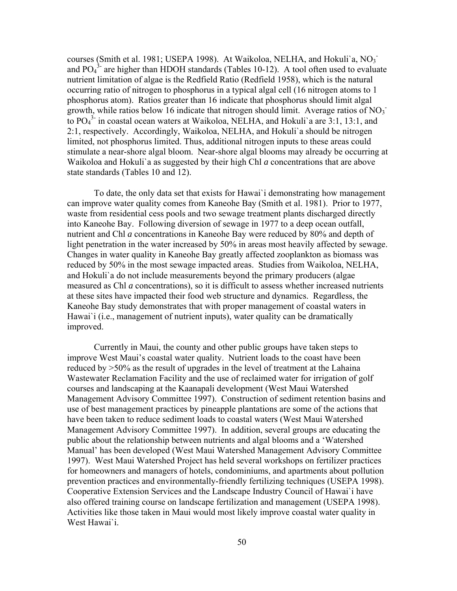courses (Smith et al. 1981; USEPA 1998). At Waikoloa, NELHA, and Hokuli'a, NO<sub>3</sub> and  $PO<sub>4</sub><sup>3</sup>$  are higher than HDOH standards (Tables 10-12). A tool often used to evaluate nutrient limitation of algae is the Redfield Ratio (Redfield 1958), which is the natural occurring ratio of nitrogen to phosphorus in a typical algal cell (16 nitrogen atoms to 1 phosphorus atom). Ratios greater than 16 indicate that phosphorus should limit algal growth, while ratios below 16 indicate that nitrogen should limit. Average ratios of  $NO<sub>3</sub>$ to PO4 3- in coastal ocean waters at Waikoloa, NELHA, and Hokuli`a are 3:1, 13:1, and 2:1, respectively. Accordingly, Waikoloa, NELHA, and Hokuli`a should be nitrogen limited, not phosphorus limited. Thus, additional nitrogen inputs to these areas could stimulate a near-shore algal bloom. Near-shore algal blooms may already be occurring at Waikoloa and Hokuli`a as suggested by their high Chl *a* concentrations that are above state standards (Tables 10 and 12).

To date, the only data set that exists for Hawai`i demonstrating how management can improve water quality comes from Kaneohe Bay (Smith et al. 1981). Prior to 1977, waste from residential cess pools and two sewage treatment plants discharged directly into Kaneohe Bay. Following diversion of sewage in 1977 to a deep ocean outfall, nutrient and Chl *a* concentrations in Kaneohe Bay were reduced by 80% and depth of light penetration in the water increased by 50% in areas most heavily affected by sewage. Changes in water quality in Kaneohe Bay greatly affected zooplankton as biomass was reduced by 50% in the most sewage impacted areas. Studies from Waikoloa, NELHA, and Hokuli`a do not include measurements beyond the primary producers (algae measured as Chl *a* concentrations), so it is difficult to assess whether increased nutrients at these sites have impacted their food web structure and dynamics. Regardless, the Kaneohe Bay study demonstrates that with proper management of coastal waters in Hawai'i (i.e., management of nutrient inputs), water quality can be dramatically improved.

Currently in Maui, the county and other public groups have taken steps to improve West Maui's coastal water quality. Nutrient loads to the coast have been reduced by >50% as the result of upgrades in the level of treatment at the Lahaina Wastewater Reclamation Facility and the use of reclaimed water for irrigation of golf courses and landscaping at the Kaanapali development (West Maui Watershed Management Advisory Committee 1997). Construction of sediment retention basins and use of best management practices by pineapple plantations are some of the actions that have been taken to reduce sediment loads to coastal waters (West Maui Watershed Management Advisory Committee 1997). In addition, several groups are educating the public about the relationship between nutrients and algal blooms and a 'Watershed Manual' has been developed (West Maui Watershed Management Advisory Committee 1997). West Maui Watershed Project has held several workshops on fertilizer practices for homeowners and managers of hotels, condominiums, and apartments about pollution prevention practices and environmentally-friendly fertilizing techniques (USEPA 1998). Cooperative Extension Services and the Landscape Industry Council of Hawai`i have also offered training course on landscape fertilization and management (USEPA 1998). Activities like those taken in Maui would most likely improve coastal water quality in West Hawai`i.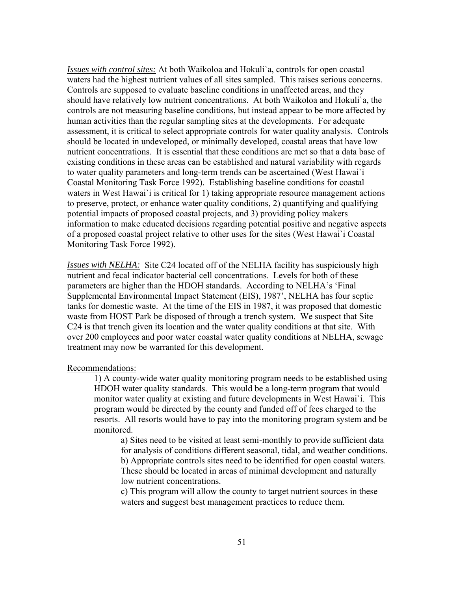*Issues with control sites:* At both Waikoloa and Hokuli`a, controls for open coastal waters had the highest nutrient values of all sites sampled. This raises serious concerns. Controls are supposed to evaluate baseline conditions in unaffected areas, and they should have relatively low nutrient concentrations. At both Waikoloa and Hokuli`a, the controls are not measuring baseline conditions, but instead appear to be more affected by human activities than the regular sampling sites at the developments. For adequate assessment, it is critical to select appropriate controls for water quality analysis. Controls should be located in undeveloped, or minimally developed, coastal areas that have low nutrient concentrations. It is essential that these conditions are met so that a data base of existing conditions in these areas can be established and natural variability with regards to water quality parameters and long-term trends can be ascertained (West Hawai`i Coastal Monitoring Task Force 1992). Establishing baseline conditions for coastal waters in West Hawai'i is critical for 1) taking appropriate resource management actions to preserve, protect, or enhance water quality conditions, 2) quantifying and qualifying potential impacts of proposed coastal projects, and 3) providing policy makers information to make educated decisions regarding potential positive and negative aspects of a proposed coastal project relative to other uses for the sites (West Hawai`i Coastal Monitoring Task Force 1992).

*Issues with NELHA:* Site C24 located off of the NELHA facility has suspiciously high nutrient and fecal indicator bacterial cell concentrations. Levels for both of these parameters are higher than the HDOH standards. According to NELHA's 'Final Supplemental Environmental Impact Statement (EIS), 1987', NELHA has four septic tanks for domestic waste. At the time of the EIS in 1987, it was proposed that domestic waste from HOST Park be disposed of through a trench system. We suspect that Site C24 is that trench given its location and the water quality conditions at that site. With over 200 employees and poor water coastal water quality conditions at NELHA, sewage treatment may now be warranted for this development.

Recommendations:

1) A county-wide water quality monitoring program needs to be established using HDOH water quality standards. This would be a long-term program that would monitor water quality at existing and future developments in West Hawai`i. This program would be directed by the county and funded off of fees charged to the resorts. All resorts would have to pay into the monitoring program system and be monitored.

a) Sites need to be visited at least semi-monthly to provide sufficient data for analysis of conditions different seasonal, tidal, and weather conditions. b) Appropriate controls sites need to be identified for open coastal waters. These should be located in areas of minimal development and naturally low nutrient concentrations.

c) This program will allow the county to target nutrient sources in these waters and suggest best management practices to reduce them.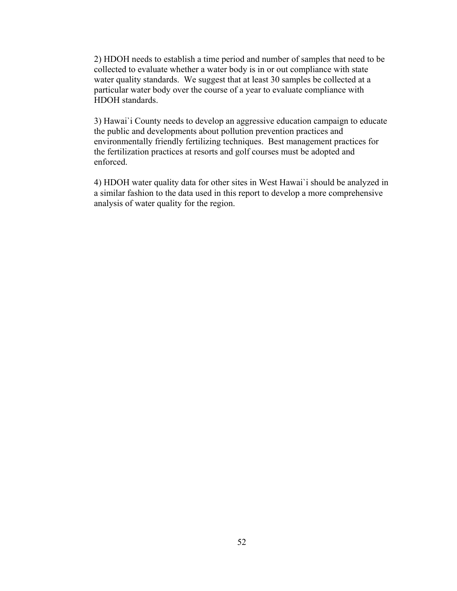2) HDOH needs to establish a time period and number of samples that need to be collected to evaluate whether a water body is in or out compliance with state water quality standards. We suggest that at least 30 samples be collected at a particular water body over the course of a year to evaluate compliance with HDOH standards.

3) Hawai`i County needs to develop an aggressive education campaign to educate the public and developments about pollution prevention practices and environmentally friendly fertilizing techniques. Best management practices for the fertilization practices at resorts and golf courses must be adopted and enforced.

4) HDOH water quality data for other sites in West Hawai`i should be analyzed in a similar fashion to the data used in this report to develop a more comprehensive analysis of water quality for the region.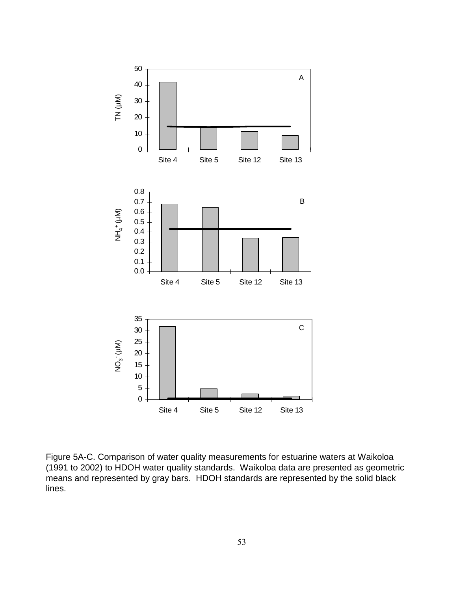

Figure 5A-C. Comparison of water quality measurements for estuarine waters at Waikoloa (1991 to 2002) to HDOH water quality standards. Waikoloa data are presented as geometric means and represented by gray bars. HDOH standards are represented by the solid black lines.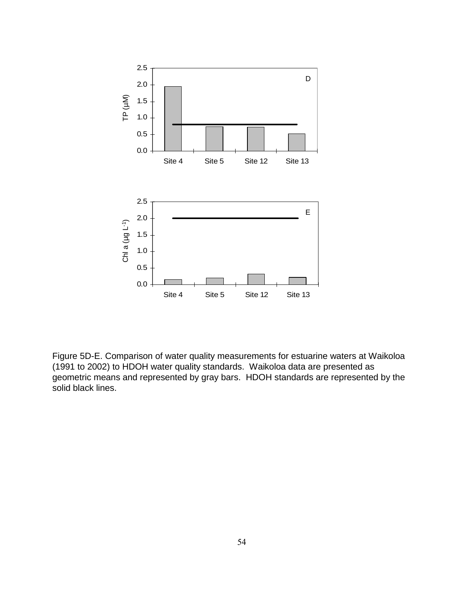

Figure 5D-E. Comparison of water quality measurements for estuarine waters at Waikoloa (1991 to 2002) to HDOH water quality standards. Waikoloa data are presented as geometric means and represented by gray bars. HDOH standards are represented by the solid black lines.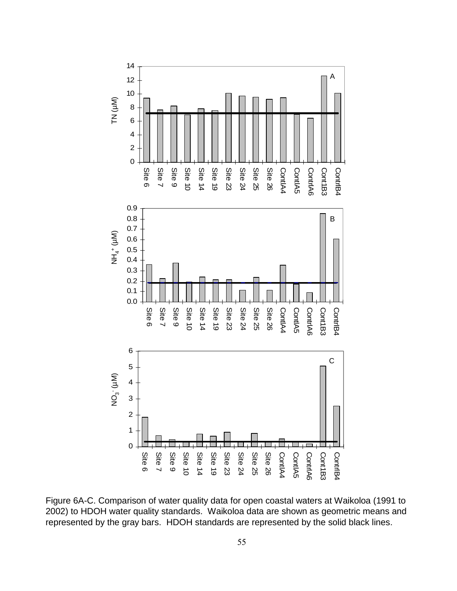

Figure 6A-C. Comparison of water quality data for open coastal waters at Waikoloa (1991 to 2002) to HDOH water quality standards. Waikoloa data are shown as geometric means and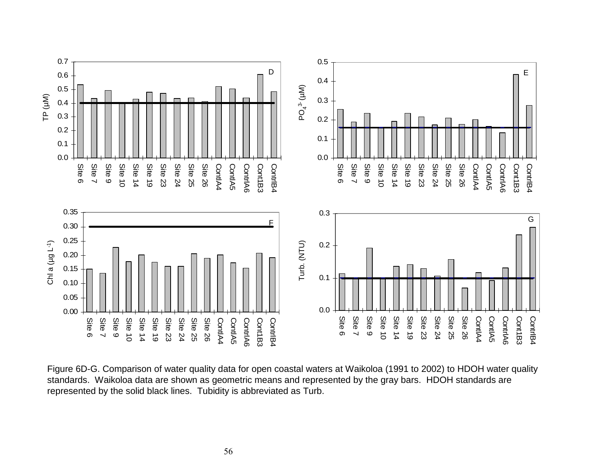

Figure 6D-G. Comparison of water quality data for open coastal waters at Waikoloa (1991 to 2002) to HDOH water quality standards. Waikoloa data are shown as geometric means and represented by the gray bars. HDOH standards are represented by the solid black lines. Tubidity is abbreviated as Turb.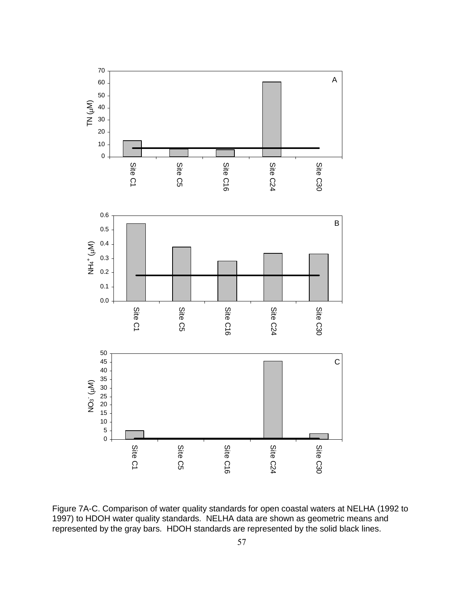

Figure 7A-C. Comparison of water quality standards for open coastal waters at NELHA (1992 to 1997) to HDOH water quality standards. NELHA data are shown as geometric means and represented by the gray bars. HDOH standards are represented by the solid black lines.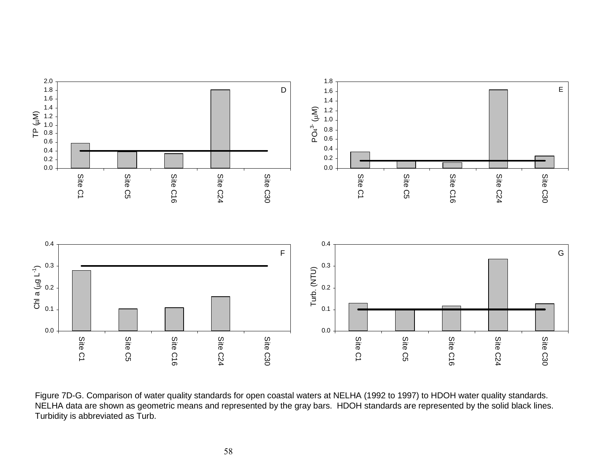

Figure 7D-G. Comparison of water quality standards for open coastal waters at NELHA (1992 to 1997) to HDOH water quality standards. NELHA data are shown as geometric means and represented by the gray bars. HDOH standards are represented by the solid black lines. Turbidity is abbreviated as Turb.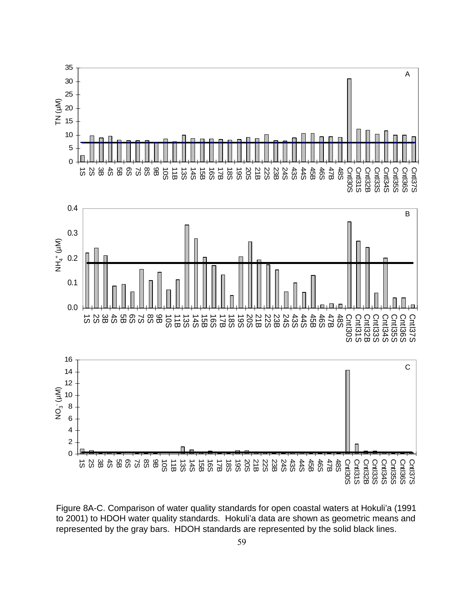

Figure 8A-C. Comparison of water quality standards for open coastal waters at Hokuli'a (1991 to 2001) to HDOH water quality standards. Hokuli'a data are shown as geometric means and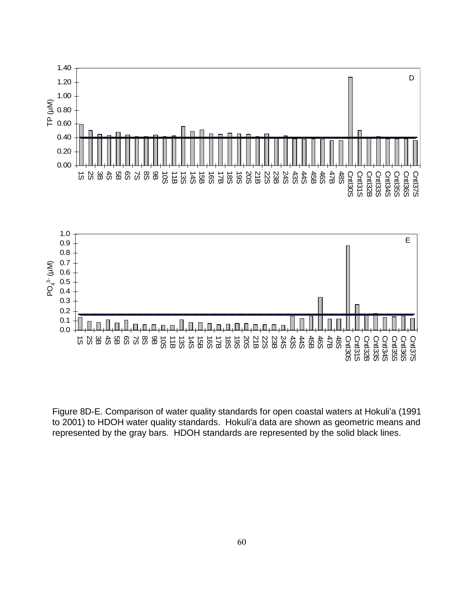

Figure 8D-E. Comparison of water quality standards for open coastal waters at Hokuli'a (1991 to 2001) to HDOH water quality standards. Hokuli'a data are shown as geometric means and represented by the gray bars. HDOH standards are represented by the solid black lines.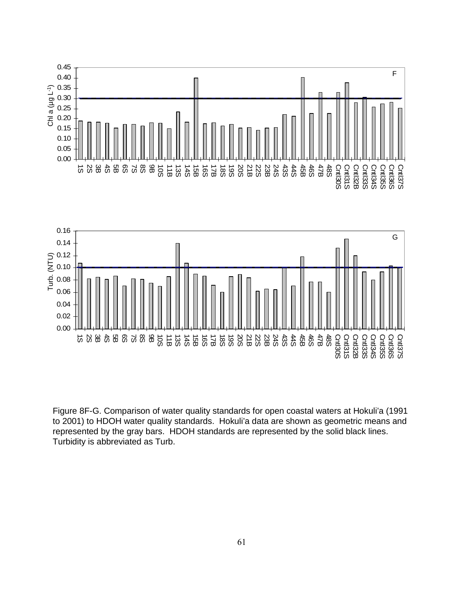



Cntl3 0 S Cntl31S Cntl3 2 B Cntl3 3 S Cntl3 4 S Cntl3 5 S Cntl3 6 S Cntl3 7 S

1S 2S 3B 4S 5B 6S 7S 8S 9B 10S 11B 13S 14S 15B 16S 17B 18S 19S 20S 21B 22S 23B 24S 43S 44S 45B 46S 47B 48S

0.00

61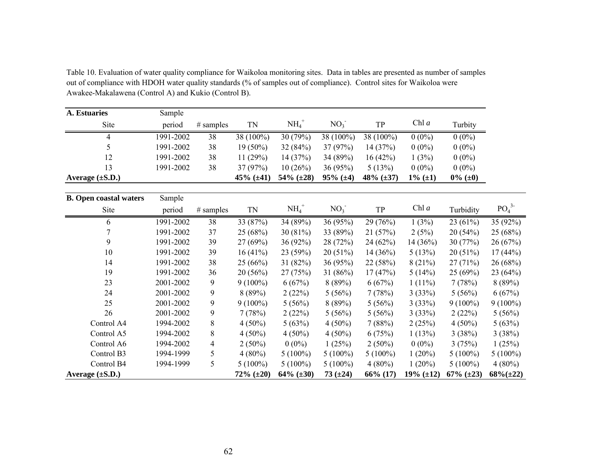**A. Estuaries** Sample Sitee period # samples TN  $NH_4^+$  NO<sub>3</sub> TP Chl *a* Turbity 4 1991-2002 38 38 (100%) 30 (79%) 38 (100%) 38 (100%) 0 (0%) 0 (0%) 55 1991-2002 38 19 (50%) 32 (84%) 37 (97%) 14 (37%) 0 (0%) 0 (0%) 12 1991-2002 38 11 (29%) 14 (37%) 34 (89%) 16 (42%) 1 (3%) 0 (0%) 133 1991-2002 38 37 (97%) 10 (26%) 36 (95%) 5 (13%) 0 (0%) 0 (0%) **Average (±S.D.) 45% (±41) 54% (±28) 95% (±4) 48% (±37) 1% (±1) 0% (±0) B. Open coastal waters** Sample Sitee period # samples TN  $NH_4^+$  NO<sub>3</sub> TP Chl *a* Turbidity PO<sub>4</sub><sup>3</sup> 6 1991-2002 38 33 (87%) 34 (89%) 36 (95%) 29 (76%) 1 (3%) 23 (61%) 35 (92%) 7 1991-2002 37 25 (68%) 30 (81%) 33 (89%) 21 (57%) 2 (5%) 20 (54%) 25 (68%) 9 1991-2002 39 27 (69%) 36 (92%) 28 (72%) 24 (62%) 14 (36%) 30 (77%) 26 (67%) 10 1991-2002 39 16 (41%) 23 (59%) 20 (51%) 14 (36%) 5 (13%) 20 (51%) 17 (44%) 14 1991-2002 38 25 (66%) 31 (82%) 36 (95%) 22 (58%) 8 (21%) 27 (71%) 26 (68%) 19 1991-2002 36 20 (56%) 27 (75%) 31 (86%) 17 (47%) 5 (14%) 25 (69%) 23 (64%) 23 2001-2002 9 9 (100%) 6 (67%) 8 (89%) 6 (67%) 1 (11%) 7 (78%) 8 (89%) 24 2001-2002 9 8 (89%) 2 (22%) 5 (56%) 7 (78%) 3 (33%) 5 (56%) 6 (67%) 25 2001-2002 9 9 (100%) 5 (56%) 8 (89%) 5 (56%) 3 (33%) 9 (100%) 9 (100%) 26 2001-2002 9 7 (78%) 2 (22%) 5 (56%) 5 (56%) 3 (33%) 2 (22%) 5 (56%) Control A4 1994-2002 8 4 (50%) 5 (63%) 4 (50%) 7 (88%) 2 (25%) 4 (50%) 5 (63%) Control A5 1994-2002 8 4 (50%) 4 (50%) 4 (50%) 6 (75%) 1 (13%) 3 (38%) 3 (38%) Control A6 1994-2002 4 2 (50%) 0 (0%) 1 (25%) 2 (50%) 0 (0%) 3 (75%) 1 (25%) Control B3 1994-1999 5 4 (80%) 5 (100%) 5 (100%) 5 (100%) 1 (20%) 5 (100%) 5 (100%) Control B4 1994-1999 5 5 (100%) 5 (100%) 5 (100%) 4 (80%) 1 (20%) 5 (100%) 4 (80%) **Average (±S.D.) 72% (±20) 64% (±30) 73 (±24) 66% (17) 19% (±12) 67% (±23) 68%(±22)**

Table 10. Evaluation of water quality compliance for Waikoloa monitoring sites. Data in tables are presented as number of samples out of compliance with HDOH water quality standards (% of samples out of compliance). Control sites for Waikoloa were Awakee-Makalawena (Control A) and Kukio (Control B).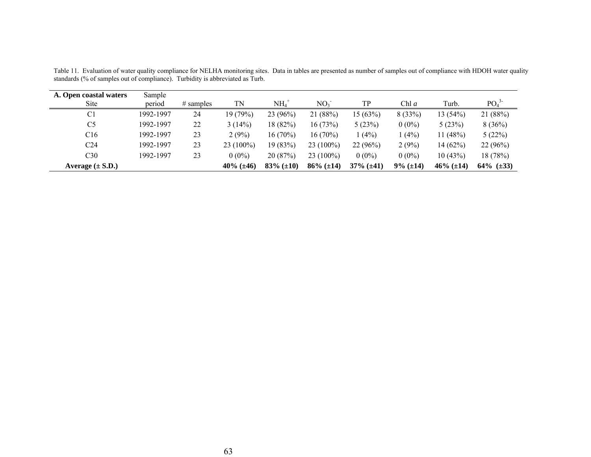| A. Open coastal waters | Sample    |              |                     |                     |                     |                     |                   |                     |                              |
|------------------------|-----------|--------------|---------------------|---------------------|---------------------|---------------------|-------------------|---------------------|------------------------------|
| <b>Site</b>            | period    | $\#$ samples | TN                  | $\mathrm{NH_4}^+$   | NO <sub>3</sub>     | TP                  | Chl a             | Turb.               | PO <sub>4</sub> <sup>3</sup> |
| C <sub>1</sub>         | 1992-1997 | 24           | 19(79%)             | 23(96%)             | 21(88%)             | 15(63%)             | 8(33%)            | 13(54%)             | 21 (88%)                     |
| C <sub>5</sub>         | 1992-1997 | 22           | 3(14%)              | 18 (82%)            | 16(73%)             | 5(23%)              | $0(0\%)$          | 5(23%)              | 8(36%)                       |
| C16                    | 1992-1997 | 23           | 2(9%)               | $16(70\%)$          | $16(70\%)$          | $(4\%)$             | 1(4%)             | 11(48%)             | 5(22%)                       |
| C24                    | 1992-1997 | 23           | 23 (100%)           | 19(83%)             | $23(100\%)$         | 22(96%)             | 2(9%)             | 14(62%)             | 22(96%)                      |
| C30                    | 1992-1997 | 23           | $0(0\%)$            | 20(87%)             | $23(100\%)$         | $0(0\%)$            | $0(0\%)$          | 10(43%)             | 18(78%)                      |
| Average $(\pm S.D.)$   |           |              | $40\%$ ( $\pm 46$ ) | $83\%$ ( $\pm 10$ ) | $86\%$ ( $\pm 14$ ) | $37\%$ ( $\pm 41$ ) | $9\%$ ( $\pm$ 14) | $46\%$ ( $\pm 14$ ) | $64\%$ ( $\pm 33$ )          |

Table 11. Evaluation of water quality compliance for NELHA monitoring sites. Data in tables are presented as number of samples out of compliance with HDOH water quality standards (% of samples out of compliance). Turbidity is abbreviated as Turb.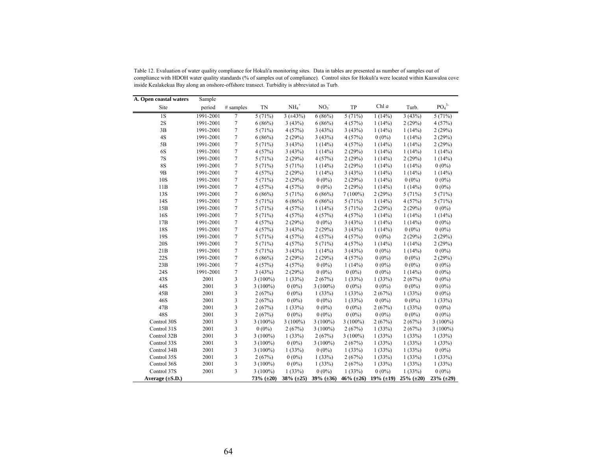| A. Open coastal waters | Sample    |                |                     |                     |                 |                 |              |                     |                              |
|------------------------|-----------|----------------|---------------------|---------------------|-----------------|-----------------|--------------|---------------------|------------------------------|
| Site                   | period    | # samples      | TN                  | $NH_4$ <sup>+</sup> | NO <sub>3</sub> | TP              | Chl $a$      | Turb.               | PO <sub>4</sub> <sup>3</sup> |
| 1S                     | 1991-2001 | 7              | 5(71%)              | $3 (+43%)$          | 6(86%)          | 5(71%)          | 1(14%)       | 3(43%)              | 5(71%)                       |
| 2S                     | 1991-2001 | 7              | 6(86%)              | 3(43%)              | 6(86%)          | 4(57%)          | 1(14%)       | 2(29%)              | 4(57%)                       |
| 3B                     | 1991-2001 | 7              | 5(71%)              | 4(57%)              | 3(43%)          | 3(43%)          | 1(14%)       | 1(14%)              | 2(29%)                       |
| 4S                     | 1991-2001 | 7              | 6(86%)              | 2(29%)              | 3(43%)          | 4(57%)          | $0(0\%)$     | 1(14%)              | 2(29%)                       |
| 5B                     | 1991-2001 | 7              | 5(71%)              | 3(43%)              | 1(14%)          | 4(57%)          | 1(14%)       | 1(14%)              | 2(29%)                       |
| 6S                     | 1991-2001 | $\overline{7}$ | 4(57%)              | 3(43%)              | 1(14%)          | 2(29%)          | 1(14%)       | 1(14%)              | 1(14%)                       |
| 7S                     | 1991-2001 | 7              | 5(71%)              | 2(29%)              | 4(57%)          | 2(29%)          | 1(14%)       | 2(29%)              | 1(14%)                       |
| <b>8S</b>              | 1991-2001 | 7              | 5(71%)              | 5(71%)              | 1(14%)          | 2(29%)          | 1(14%)       | 1(14%)              | $0(0\%)$                     |
| 9 <sub>B</sub>         | 1991-2001 | 7              | 4(57%)              | 2(29%)              | 1(14%)          | 3(43%)          | 1(14%)       | 1(14%)              | 1(14%)                       |
| 10S                    | 1991-2001 | 7              | 5(71%)              | 2(29%)              | $0(0\%)$        | 2(29%)          | 1(14%)       | $0(0\%)$            | $0(0\%)$                     |
| 11B                    | 1991-2001 | 7              | 4(57%)              | 4(57%)              | $0(0\%)$        | 2(29%)          | 1(14%)       | 1(14%)              | $0(0\%)$                     |
| 13S                    | 1991-2001 | 7              | 6(86%)              | 5(71%)              | 6(86%)          | $7(100\%)$      | 2(29%)       | 5(71%)              | 5(71%)                       |
| 14S                    | 1991-2001 | 7              | 5(71%)              | 6(86%)              | 6(86%)          | 5(71%)          | 1(14%)       | 4(57%)              | 5(71%)                       |
| 15B                    | 1991-2001 | $\overline{7}$ | 5(71%)              | 4(57%)              | 1(14%)          | 5(71%)          | 2(29%)       | 2(29%)              | $0(0\%)$                     |
| 16S                    | 1991-2001 | 7              | 5(71%)              | 4(57%)              | 4(57%)          | 4(57%)          | 1(14%)       | 1(14%)              | 1(14%)                       |
| 17B                    | 1991-2001 | 7              | 4(57%)              | 2(29%)              | $0(0\%)$        | 3(43%)          | 1(14%)       | 1(14%)              | $0(0\%)$                     |
| 18S                    | 1991-2001 | 7              | 4(57%)              | 3(43%)              | 2(29%)          | 3(43%)          | 1(14%)       | $0(0\%)$            | $0(0\%)$                     |
| 19S                    | 1991-2001 | 7              | 5(71%)              | 4(57%)              | 4(57%)          | 4(57%)          | $0(0\%)$     | 2(29%)              | 2(29%)                       |
| <b>20S</b>             | 1991-2001 | $\overline{7}$ | 5(71%)              | 4(57%)              | 5(71%)          | 4(57%)          | 1(14%)       | 1(14%)              | 2(29%)                       |
| 21B                    | 1991-2001 | 7              | 5(71%)              | 3(43%)              | 1(14%)          | 3(43%)          | $0(0\%)$     | 1(14%)              | $0(0\%)$                     |
| <b>22S</b>             | 1991-2001 | 7              | 6(86%)              | 2(29%)              | 2(29%)          | 4(57%)          | $0(0\%)$     | $0(0\%)$            | 2(29%)                       |
| 23B                    | 1991-2001 | $\overline{7}$ | 4(57%)              | 4(57%)              | $0(0\%)$        | 1(14%)          | $0(0\%)$     | $0(0\%)$            | $0(0\%)$                     |
| 24S                    | 1991-2001 | $\overline{7}$ | 3(43%)              | 2(29%)              | $0(0\%)$        | $0(0\%)$        | $0(0\%)$     | 1(14%)              | $0(0\%)$                     |
| 43S                    | 2001      | 3              | $3(100\%)$          | 1(33%)              | 2(67%)          | 1(33%)          | 1(33%)       | 2(67%)              | $0(0\%)$                     |
| 44S                    | 2001      | 3              | $3(100\%)$          | $0(0\%)$            | $3(100\%)$      | $0(0\%)$        | $0(0\%)$     | $0(0\%)$            | $0(0\%)$                     |
| 45B                    | 2001      | 3              | 2(67%)              | $0(0\%)$            | 1(33%)          | 1(33%)          | 2(67%)       | 1(33%)              | $0(0\%)$                     |
| 46S                    | 2001      | 3              | 2(67%)              | $0(0\%)$            | $0(0\%)$        | 1(33%)          | $0(0\%)$     | $0(0\%)$            | 1(33%)                       |
| 47B                    | 2001      | 3              | 2(67%)              | 1(33%)              | $0(0\%)$        | $0(0\%)$        | 2(67%)       | 1(33%)              | $0(0\%)$                     |
| 48S                    | 2001      | 3              | 2(67%)              | $0(0\%)$            | $0(0\%)$        | $0(0\%)$        | $0(0\%)$     | $0(0\%)$            | $0(0\%)$                     |
| Control 30S            | 2001      | 3              | $3(100\%)$          | $3(100\%)$          | $3(100\%)$      | $3(100\%)$      | 2(67%)       | 2(67%)              | $3(100\%)$                   |
| Control 31S            | 2001      | 3              | $0(0\%)$            | 2(67%)              | $3(100\%)$      | 2(67%)          | 1(33%)       | 2(67%)              | $3(100\%)$                   |
| Control 32B            | 2001      | 3              | $3(100\%)$          | 1(33%)              | 2(67%)          | $3(100\%)$      | 1(33%)       | 1(33%)              | 1(33%)                       |
| Control 33S            | 2001      | 3              | $3(100\%)$          | $0(0\%)$            | $3(100\%)$      | 2(67%)          | 1(33%)       | 1(33%)              | 1(33%)                       |
| Control 34B            | 2001      | 3              | $3(100\%)$          | 1(33%)              | $0(0\%)$        | 1(33%)          | 1(33%)       | 1(33%)              | $0(0\%)$                     |
| Control 35S            | 2001      | 3              | 2(67%)              | $0(0\%)$            | 1(33%)          | 2(67%)          | 1(33%)       | 1(33%)              | 1(33%)                       |
| Control 36S            | 2001      | 3              | $3(100\%)$          | $0(0\%)$            | 1(33%)          | 2(67%)          | 1(33%)       | 1(33%)              | 1(33%)                       |
| Control 37S            | 2001      | 3              | $3(100\%)$          | 1(33%)              | $0(0\%)$        | 1(33%)          | $0(0\%)$     | 1(33%)              | $0(0\%)$                     |
| Average $(\pm S.D.)$   |           |                | $73\%$ ( $\pm 20$ ) | $38\%~(\pm 25)$     | $39\%$ (±36)    | $46\%~(\pm 26)$ | $19\%$ (±19) | $25\%$ ( $\pm 20$ ) | $23\%$ ( $\pm 29$ )          |

Table 12. Evaluation of water quality compliance for Hokuli'a monitoring sites. Data in tables are presented as number of samples out of compliance with HDOH water quality standards (% of samples out of compliance). Control sites for Hokuli'a were located within Kaawaloa cove inside Kealakekua Bay along an onshore-offshore transect. Turbidity is abbreviated as Turb.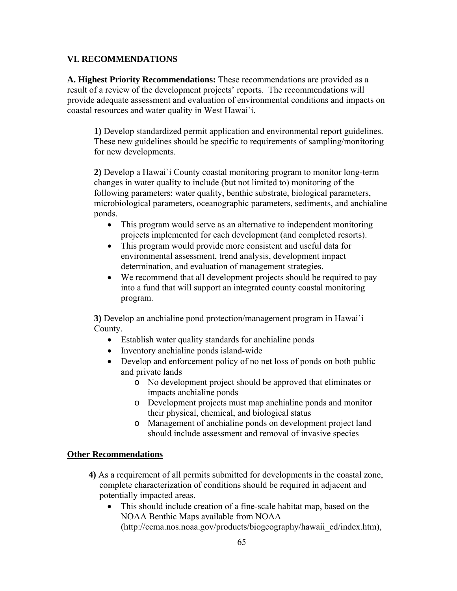## **VI. RECOMMENDATIONS**

**A. Highest Priority Recommendations:** These recommendations are provided as a result of a review of the development projects' reports. The recommendations will provide adequate assessment and evaluation of environmental conditions and impacts on coastal resources and water quality in West Hawai`i.

**1)** Develop standardized permit application and environmental report guidelines. These new guidelines should be specific to requirements of sampling/monitoring for new developments.

**2)** Develop a Hawai`i County coastal monitoring program to monitor long-term changes in water quality to include (but not limited to) monitoring of the following parameters: water quality, benthic substrate, biological parameters, microbiological parameters, oceanographic parameters, sediments, and anchialine ponds.

- This program would serve as an alternative to independent monitoring projects implemented for each development (and completed resorts).
- This program would provide more consistent and useful data for environmental assessment, trend analysis, development impact determination, and evaluation of management strategies.
- We recommend that all development projects should be required to pay into a fund that will support an integrated county coastal monitoring program.

**3)** Develop an anchialine pond protection/management program in Hawai`i County.

- Establish water quality standards for anchialine ponds
- Inventory anchialine ponds island-wide
- Develop and enforcement policy of no net loss of ponds on both public and private lands
	- o No development project should be approved that eliminates or impacts anchialine ponds
	- o Development projects must map anchialine ponds and monitor their physical, chemical, and biological status
	- o Management of anchialine ponds on development project land should include assessment and removal of invasive species

## **Other Recommendations**

- **4)** As a requirement of all permits submitted for developments in the coastal zone, complete characterization of conditions should be required in adjacent and potentially impacted areas.
	- This should include creation of a fine-scale habitat map, based on the NOAA Benthic Maps available from NOAA (http://ccma.nos.noaa.gov/products/biogeography/hawaii\_cd/index.htm),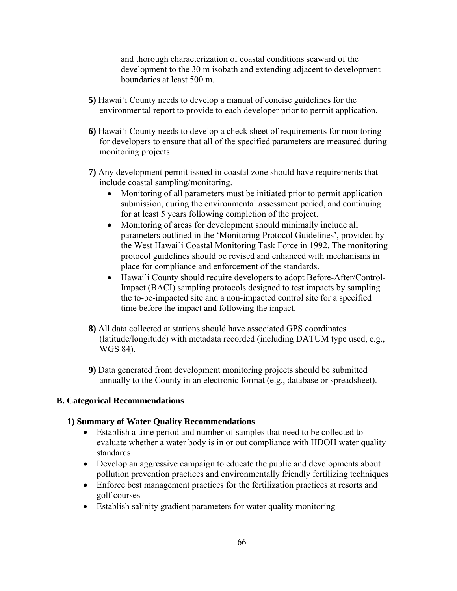and thorough characterization of coastal conditions seaward of the development to the 30 m isobath and extending adjacent to development boundaries at least 500 m.

- **5)** Hawai`i County needs to develop a manual of concise guidelines for the environmental report to provide to each developer prior to permit application.
- **6)** Hawai`i County needs to develop a check sheet of requirements for monitoring for developers to ensure that all of the specified parameters are measured during monitoring projects.
- **7)** Any development permit issued in coastal zone should have requirements that include coastal sampling/monitoring.
	- Monitoring of all parameters must be initiated prior to permit application submission, during the environmental assessment period, and continuing for at least 5 years following completion of the project.
	- Monitoring of areas for development should minimally include all parameters outlined in the 'Monitoring Protocol Guidelines', provided by the West Hawai`i Coastal Monitoring Task Force in 1992. The monitoring protocol guidelines should be revised and enhanced with mechanisms in place for compliance and enforcement of the standards.
	- Hawai`i County should require developers to adopt Before-After/Control-Impact (BACI) sampling protocols designed to test impacts by sampling the to-be-impacted site and a non-impacted control site for a specified time before the impact and following the impact.
- **8)** All data collected at stations should have associated GPS coordinates (latitude/longitude) with metadata recorded (including DATUM type used, e.g., WGS 84).
- **9)** Data generated from development monitoring projects should be submitted annually to the County in an electronic format (e.g., database or spreadsheet).

# **B. Categorical Recommendations**

## **1) Summary of Water Quality Recommendations**

- Establish a time period and number of samples that need to be collected to evaluate whether a water body is in or out compliance with HDOH water quality standards
- Develop an aggressive campaign to educate the public and developments about pollution prevention practices and environmentally friendly fertilizing techniques
- Enforce best management practices for the fertilization practices at resorts and golf courses
- Establish salinity gradient parameters for water quality monitoring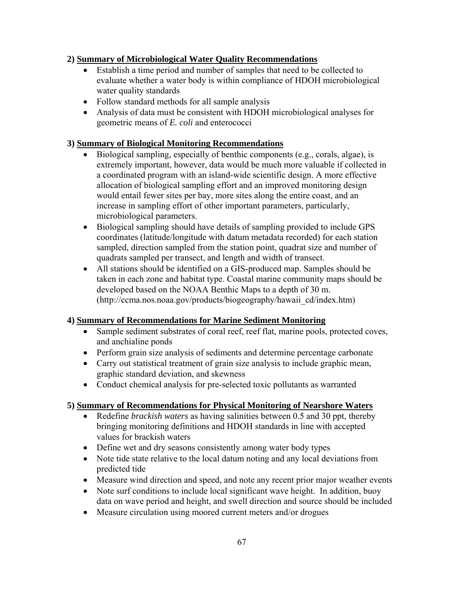# **2) Summary of Microbiological Water Quality Recommendations**

- Establish a time period and number of samples that need to be collected to evaluate whether a water body is within compliance of HDOH microbiological water quality standards
- Follow standard methods for all sample analysis
- Analysis of data must be consistent with HDOH microbiological analyses for geometric means of *E. coli* and enterococci

# **3) Summary of Biological Monitoring Recommendations**

- Biological sampling, especially of benthic components (e.g., corals, algae), is extremely important, however, data would be much more valuable if collected in a coordinated program with an island-wide scientific design. A more effective allocation of biological sampling effort and an improved monitoring design would entail fewer sites per bay, more sites along the entire coast, and an increase in sampling effort of other important parameters, particularly, microbiological parameters.
- Biological sampling should have details of sampling provided to include GPS coordinates (latitude/longitude with datum metadata recorded) for each station sampled, direction sampled from the station point, quadrat size and number of quadrats sampled per transect, and length and width of transect.
- All stations should be identified on a GIS-produced map. Samples should be taken in each zone and habitat type. Coastal marine community maps should be developed based on the NOAA Benthic Maps to a depth of 30 m. (http://ccma.nos.noaa.gov/products/biogeography/hawaii\_cd/index.htm)

# **4) Summary of Recommendations for Marine Sediment Monitoring**

- Sample sediment substrates of coral reef, reef flat, marine pools, protected coves, and anchialine ponds
- Perform grain size analysis of sediments and determine percentage carbonate
- Carry out statistical treatment of grain size analysis to include graphic mean, graphic standard deviation, and skewness
- Conduct chemical analysis for pre-selected toxic pollutants as warranted

# **5) Summary of Recommendations for Physical Monitoring of Nearshore Waters**

- Redefine *brackish waters* as having salinities between 0.5 and 30 ppt, thereby bringing monitoring definitions and HDOH standards in line with accepted values for brackish waters
- Define wet and dry seasons consistently among water body types
- Note tide state relative to the local datum noting and any local deviations from predicted tide
- Measure wind direction and speed, and note any recent prior major weather events
- Note surf conditions to include local significant wave height. In addition, buoy data on wave period and height, and swell direction and source should be included
- Measure circulation using moored current meters and/or drogues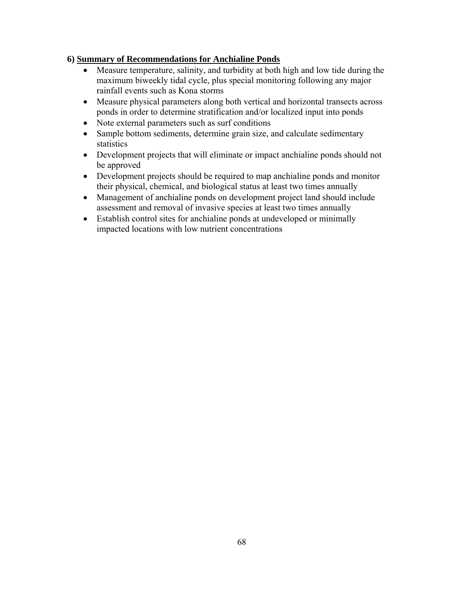# **6) Summary of Recommendations for Anchialine Ponds**

- Measure temperature, salinity, and turbidity at both high and low tide during the maximum biweekly tidal cycle, plus special monitoring following any major rainfall events such as Kona storms
- Measure physical parameters along both vertical and horizontal transects across ponds in order to determine stratification and/or localized input into ponds
- Note external parameters such as surf conditions
- Sample bottom sediments, determine grain size, and calculate sedimentary statistics
- Development projects that will eliminate or impact anchialine ponds should not be approved
- Development projects should be required to map anchialine ponds and monitor their physical, chemical, and biological status at least two times annually
- Management of anchialine ponds on development project land should include assessment and removal of invasive species at least two times annually
- Establish control sites for anchialine ponds at undeveloped or minimally impacted locations with low nutrient concentrations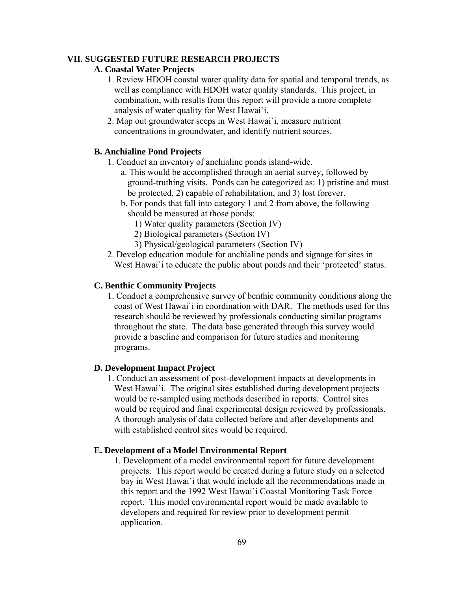### **VII. SUGGESTED FUTURE RESEARCH PROJECTS**

## **A. Coastal Water Projects**

- 1. Review HDOH coastal water quality data for spatial and temporal trends, as well as compliance with HDOH water quality standards. This project, in combination, with results from this report will provide a more complete analysis of water quality for West Hawai`i.
- 2. Map out groundwater seeps in West Hawai`i, measure nutrient concentrations in groundwater, and identify nutrient sources.

### **B. Anchialine Pond Projects**

- 1. Conduct an inventory of anchialine ponds island-wide.
	- a. This would be accomplished through an aerial survey, followed by ground-truthing visits. Ponds can be categorized as: 1) pristine and must be protected, 2) capable of rehabilitation, and 3) lost forever.
	- b. For ponds that fall into category 1 and 2 from above, the following should be measured at those ponds:
		- 1) Water quality parameters (Section IV)
		- 2) Biological parameters (Section IV)
		- 3) Physical/geological parameters (Section IV)
- 2. Develop education module for anchialine ponds and signage for sites in West Hawai' i to educate the public about ponds and their 'protected' status.

### **C. Benthic Community Projects**

1. Conduct a comprehensive survey of benthic community conditions along the coast of West Hawai`i in coordination with DAR. The methods used for this research should be reviewed by professionals conducting similar programs throughout the state. The data base generated through this survey would provide a baseline and comparison for future studies and monitoring programs.

### **D. Development Impact Project**

1. Conduct an assessment of post-development impacts at developments in West Hawai`i. The original sites established during development projects would be re-sampled using methods described in reports. Control sites would be required and final experimental design reviewed by professionals. A thorough analysis of data collected before and after developments and with established control sites would be required.

### **E. Development of a Model Environmental Report**

1. Development of a model environmental report for future development projects. This report would be created during a future study on a selected bay in West Hawai`i that would include all the recommendations made in this report and the 1992 West Hawai`i Coastal Monitoring Task Force report. This model environmental report would be made available to developers and required for review prior to development permit application.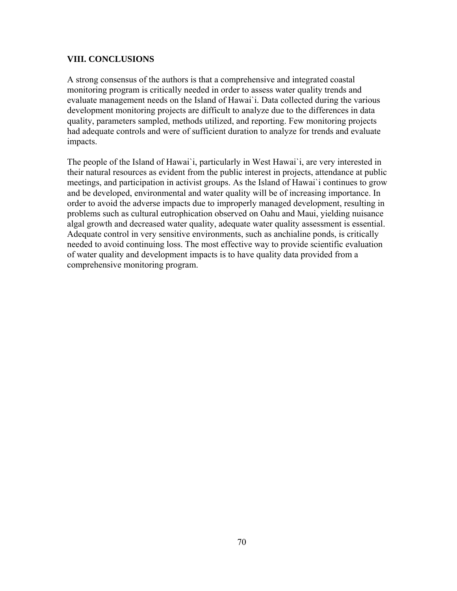# **VIII. CONCLUSIONS**

A strong consensus of the authors is that a comprehensive and integrated coastal monitoring program is critically needed in order to assess water quality trends and evaluate management needs on the Island of Hawai`i. Data collected during the various development monitoring projects are difficult to analyze due to the differences in data quality, parameters sampled, methods utilized, and reporting. Few monitoring projects had adequate controls and were of sufficient duration to analyze for trends and evaluate impacts.

The people of the Island of Hawai`i, particularly in West Hawai`i, are very interested in their natural resources as evident from the public interest in projects, attendance at public meetings, and participation in activist groups. As the Island of Hawai`i continues to grow and be developed, environmental and water quality will be of increasing importance. In order to avoid the adverse impacts due to improperly managed development, resulting in problems such as cultural eutrophication observed on Oahu and Maui, yielding nuisance algal growth and decreased water quality, adequate water quality assessment is essential. Adequate control in very sensitive environments, such as anchialine ponds, is critically needed to avoid continuing loss. The most effective way to provide scientific evaluation of water quality and development impacts is to have quality data provided from a comprehensive monitoring program.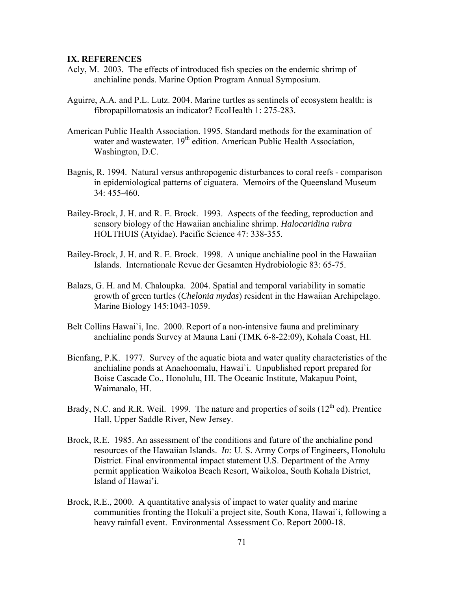### **IX. REFERENCES**

- Acly, M. 2003. The effects of introduced fish species on the endemic shrimp of anchialine ponds. Marine Option Program Annual Symposium.
- Aguirre, A.A. and P.L. Lutz. 2004. Marine turtles as sentinels of ecosystem health: is fibropapillomatosis an indicator? EcoHealth 1: 275-283.
- American Public Health Association. 1995. Standard methods for the examination of water and wastewater.  $19<sup>th</sup>$  edition. American Public Health Association, Washington, D.C.
- Bagnis, R. 1994. Natural versus anthropogenic disturbances to coral reefs comparison in epidemiological patterns of ciguatera. Memoirs of the Queensland Museum 34: 455-460.
- Bailey-Brock, J. H. and R. E. Brock. 1993. Aspects of the feeding, reproduction and sensory biology of the Hawaiian anchialine shrimp. *Halocaridina rubra* HOLTHUIS (Atyidae). Pacific Science 47: 338-355.
- Bailey-Brock, J. H. and R. E. Brock. 1998. A unique anchialine pool in the Hawaiian Islands. Internationale Revue der Gesamten Hydrobiologie 83: 65-75.
- Balazs, G. H. and M. Chaloupka. 2004. Spatial and temporal variability in somatic growth of green turtles (*Chelonia mydas*) resident in the Hawaiian Archipelago. Marine Biology 145:1043-1059.
- Belt Collins Hawai`i, Inc. 2000. Report of a non-intensive fauna and preliminary anchialine ponds Survey at Mauna Lani (TMK 6-8-22:09), Kohala Coast, HI.
- Bienfang, P.K. 1977. Survey of the aquatic biota and water quality characteristics of the anchialine ponds at Anaehoomalu, Hawai`i. Unpublished report prepared for Boise Cascade Co., Honolulu, HI. The Oceanic Institute, Makapuu Point, Waimanalo, HI.
- Brady, N.C. and R.R. Weil. 1999. The nature and properties of soils  $(12<sup>th</sup>$  ed). Prentice Hall, Upper Saddle River, New Jersey.
- Brock, R.E. 1985. An assessment of the conditions and future of the anchialine pond resources of the Hawaiian Islands. *In:* U. S. Army Corps of Engineers, Honolulu District. Final environmental impact statement U.S. Department of the Army permit application Waikoloa Beach Resort, Waikoloa, South Kohala District, Island of Hawai'i.
- Brock, R.E., 2000. A quantitative analysis of impact to water quality and marine communities fronting the Hokuli`a project site, South Kona, Hawai`i, following a heavy rainfall event. Environmental Assessment Co. Report 2000-18.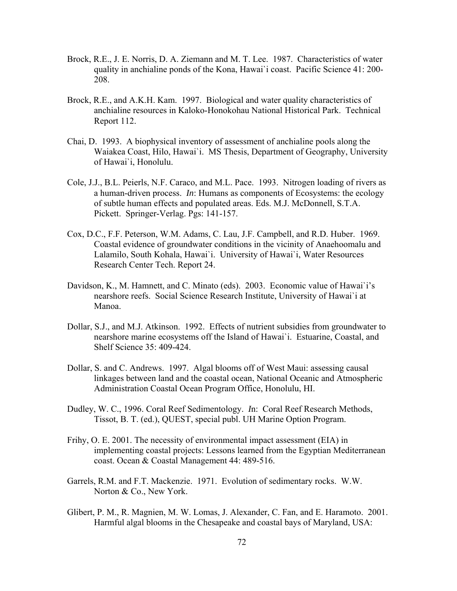- Brock, R.E., J. E. Norris, D. A. Ziemann and M. T. Lee. 1987. Characteristics of water quality in anchialine ponds of the Kona, Hawai`i coast. Pacific Science 41: 200- 208.
- Brock, R.E., and A.K.H. Kam. 1997. Biological and water quality characteristics of anchialine resources in Kaloko-Honokohau National Historical Park. Technical Report 112.
- Chai, D. 1993. A biophysical inventory of assessment of anchialine pools along the Waiakea Coast, Hilo, Hawai`i. MS Thesis, Department of Geography, University of Hawai`i, Honolulu.
- Cole, J.J., B.L. Peierls, N.F. Caraco, and M.L. Pace. 1993. Nitrogen loading of rivers as a human-driven process. *In*: Humans as components of Ecosystems: the ecology of subtle human effects and populated areas. Eds. M.J. McDonnell, S.T.A. Pickett. Springer-Verlag. Pgs: 141-157.
- Cox, D.C., F.F. Peterson, W.M. Adams, C. Lau, J.F. Campbell, and R.D. Huber. 1969. Coastal evidence of groundwater conditions in the vicinity of Anaehoomalu and Lalamilo, South Kohala, Hawai`i. University of Hawai`i, Water Resources Research Center Tech. Report 24.
- Davidson, K., M. Hamnett, and C. Minato (eds). 2003. Economic value of Hawai`i's nearshore reefs. Social Science Research Institute, University of Hawai`i at Manoa.
- Dollar, S.J., and M.J. Atkinson. 1992. Effects of nutrient subsidies from groundwater to nearshore marine ecosystems off the Island of Hawai`i. Estuarine, Coastal, and Shelf Science 35: 409-424.
- Dollar, S. and C. Andrews. 1997. Algal blooms off of West Maui: assessing causal linkages between land and the coastal ocean, National Oceanic and Atmospheric Administration Coastal Ocean Program Office, Honolulu, HI.
- Dudley, W. C., 1996. Coral Reef Sedimentology. *I*n: Coral Reef Research Methods, Tissot, B. T. (ed.), QUEST, special publ. UH Marine Option Program.
- Frihy, O. E. 2001. The necessity of environmental impact assessment (EIA) in implementing coastal projects: Lessons learned from the Egyptian Mediterranean coast. Ocean & Coastal Management 44: 489-516.
- Garrels, R.M. and F.T. Mackenzie. 1971. Evolution of sedimentary rocks. W.W. Norton & Co., New York.
- Glibert, P. M., R. Magnien, M. W. Lomas, J. Alexander, C. Fan, and E. Haramoto. 2001. Harmful algal blooms in the Chesapeake and coastal bays of Maryland, USA: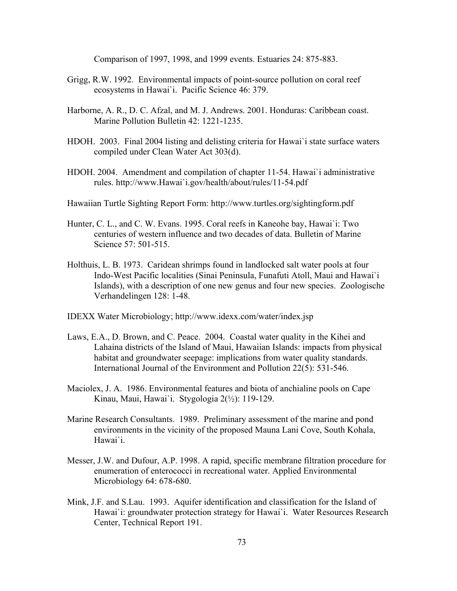Comparison of 1997, 1998, and 1999 events. Estuaries 24: 875-883.

- Grigg, R.W. 1992. Environmental impacts of point-source pollution on coral reef ecosystems in Hawai`i. Pacific Science 46: 379.
- Harborne, A. R., D. C. Afzal, and M. J. Andrews. 2001. Honduras: Caribbean coast. Marine Pollution Bulletin 42: 1221-1235.
- HDOH. 2003. Final 2004 listing and delisting criteria for Hawai`i state surface waters compiled under Clean Water Act 303(d).
- HDOH. 2004. Amendment and compilation of chapter 11-54. Hawai`i administrative rules. [http://www.Hawai`i.gov/health/about/rules/11-54.pdf](http://www.hawaii.gov/health/about/rules/11-54.pdf)
- Hawaiian Turtle Sighting Report Form: <http://www.turtles.org/sightingform.pdf>
- Hunter, C. L., and C. W. Evans. 1995. Coral reefs in Kaneohe bay, Hawai`i: Two centuries of western influence and two decades of data. Bulletin of Marine Science 57: 501-515.
- Holthuis, L. B. 1973. Caridean shrimps found in landlocked salt water pools at four Indo-West Pacific localities (Sinai Peninsula, Funafuti Atoll, Maui and Hawai`i Islands), with a description of one new genus and four new species. Zoologische Verhandelingen 128: 1-48.
- IDEXX Water Microbiology; <http://www.idexx.com/water/index.jsp>
- Laws, E.A., D. Brown, and C. Peace. 2004. Coastal water quality in the Kihei and Lahaina districts of the Island of Maui, Hawaiian Islands: impacts from physical habitat and groundwater seepage: implications from water quality standards. International Journal of the Environment and Pollution 22(5): 531-546.
- Maciolex, J. A. 1986. Environmental features and biota of anchialine pools on Cape Kinau, Maui, Hawai`i. Stygologia 2(½): 119-129.
- Marine Research Consultants. 1989. Preliminary assessment of the marine and pond environments in the vicinity of the proposed Mauna Lani Cove, South Kohala, Hawai`i.
- Messer, J.W. and Dufour, A.P. 1998. A rapid, specific membrane filtration procedure for enumeration of enterococci in recreational water. Applied Environmental Microbiology 64: 678-680.
- Mink, J.F. and S.Lau. 1993. Aquifer identification and classification for the Island of Hawai`i: groundwater protection strategy for Hawai`i. Water Resources Research Center, Technical Report 191.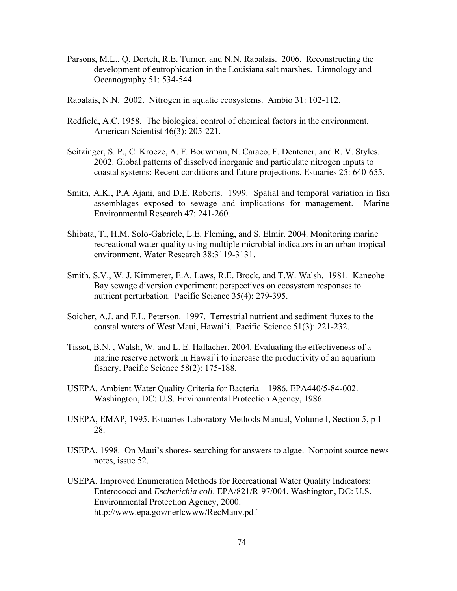- Parsons, M.L., Q. Dortch, R.E. Turner, and N.N. Rabalais. 2006. Reconstructing the development of eutrophication in the Louisiana salt marshes. Limnology and Oceanography 51: 534-544.
- Rabalais, N.N. 2002. Nitrogen in aquatic ecosystems. Ambio 31: 102-112.
- Redfield, A.C. 1958. The biological control of chemical factors in the environment. American Scientist 46(3): 205-221.
- Seitzinger, S. P., C. Kroeze, A. F. Bouwman, N. Caraco, F. Dentener, and R. V. Styles. 2002. Global patterns of dissolved inorganic and particulate nitrogen inputs to coastal systems: Recent conditions and future projections. Estuaries 25: 640-655.
- Smith, A.K., P.A Ajani, and D.E. Roberts. 1999. Spatial and temporal variation in fish assemblages exposed to sewage and implications for management. Marine Environmental Research 47: 241-260.
- Shibata, T., H.M. Solo-Gabriele, L.E. Fleming, and S. Elmir. 2004. Monitoring marine recreational water quality using multiple microbial indicators in an urban tropical environment. Water Research 38:3119-3131.
- Smith, S.V., W. J. Kimmerer, E.A. Laws, R.E. Brock, and T.W. Walsh. 1981. Kaneohe Bay sewage diversion experiment: perspectives on ecosystem responses to nutrient perturbation. Pacific Science 35(4): 279-395.
- Soicher, A.J. and F.L. Peterson. 1997. Terrestrial nutrient and sediment fluxes to the coastal waters of West Maui, Hawai`i. Pacific Science 51(3): 221-232.
- Tissot, B.N. , Walsh, W. and L. E. Hallacher. 2004. Evaluating the effectiveness of a marine reserve network in Hawai`i to increase the productivity of an aquarium fishery. Pacific Science 58(2): 175-188.
- USEPA. Ambient Water Quality Criteria for Bacteria 1986. EPA440/5-84-002. Washington, DC: U.S. Environmental Protection Agency, 1986.
- USEPA, EMAP, 1995. Estuaries Laboratory Methods Manual, Volume I, Section 5, p 1- 28.
- USEPA. 1998. On Maui's shores- searching for answers to algae. Nonpoint source news notes, issue 52.
- USEPA. Improved Enumeration Methods for Recreational Water Quality Indicators: Enterococci and *Escherichia coli*. EPA/821/R-97/004. Washington, DC: U.S. Environmental Protection Agency, 2000. <http://www.epa.gov/nerlcwww/RecManv.pdf>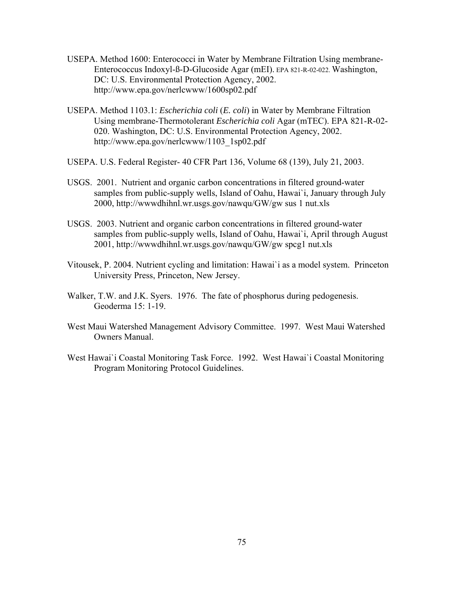- USEPA. Method 1600: Enterococci in Water by Membrane Filtration Using membrane-Enterococcus Indoxyl-ß-D-Glucoside Agar (mEI). EPA 821-R-02-022. Washington, DC: U.S. Environmental Protection Agency, 2002. <http://www.epa.gov/nerlcwww/1600sp02.pdf>
- USEPA. Method 1103.1: *Escherichia coli* (*E. coli*) in Water by Membrane Filtration Using membrane-Thermotolerant *Escherichia coli* Agar (mTEC). EPA 821-R-02- 020. Washington, DC: U.S. Environmental Protection Agency, 2002. [http://www.epa.gov/nerlcwww/1103\\_1sp02.pdf](http://www.epa.gov/nerlcwww/1103_1sp02.pdf)
- USEPA. U.S. Federal Register- 40 CFR Part 136, Volume 68 (139), July 21, 2003.
- USGS. 2001. Nutrient and organic carbon concentrations in filtered ground-water samples from public-supply wells, Island of Oahu, Hawai`i, January through July 2000, <http://wwwdhihnl.wr.usgs.gov/nawqu/GW/gw>sus 1 nut.xls
- USGS. 2003. Nutrient and organic carbon concentrations in filtered ground-water samples from public-supply wells, Island of Oahu, Hawai`i, April through August 2001, <http://wwwdhihnl.wr.usgs.gov/nawqu/GW/gw spcg1 nut.xls>
- Vitousek, P. 2004. Nutrient cycling and limitation: Hawai`i as a model system. Princeton University Press, Princeton, New Jersey.
- Walker, T.W. and J.K. Syers. 1976. The fate of phosphorus during pedogenesis. Geoderma 15: 1-19.
- West Maui Watershed Management Advisory Committee. 1997. West Maui Watershed Owners Manual.
- West Hawai`i Coastal Monitoring Task Force. 1992. West Hawai`i Coastal Monitoring Program Monitoring Protocol Guidelines.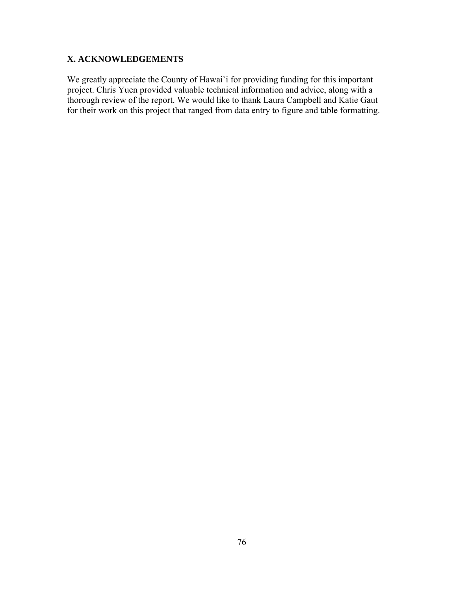## **X. ACKNOWLEDGEMENTS**

We greatly appreciate the County of Hawai'i for providing funding for this important project. Chris Yuen provided valuable technical information and advice, along with a thorough review of the report. We would like to thank Laura Campbell and Katie Gaut for their work on this project that ranged from data entry to figure and table formatting.